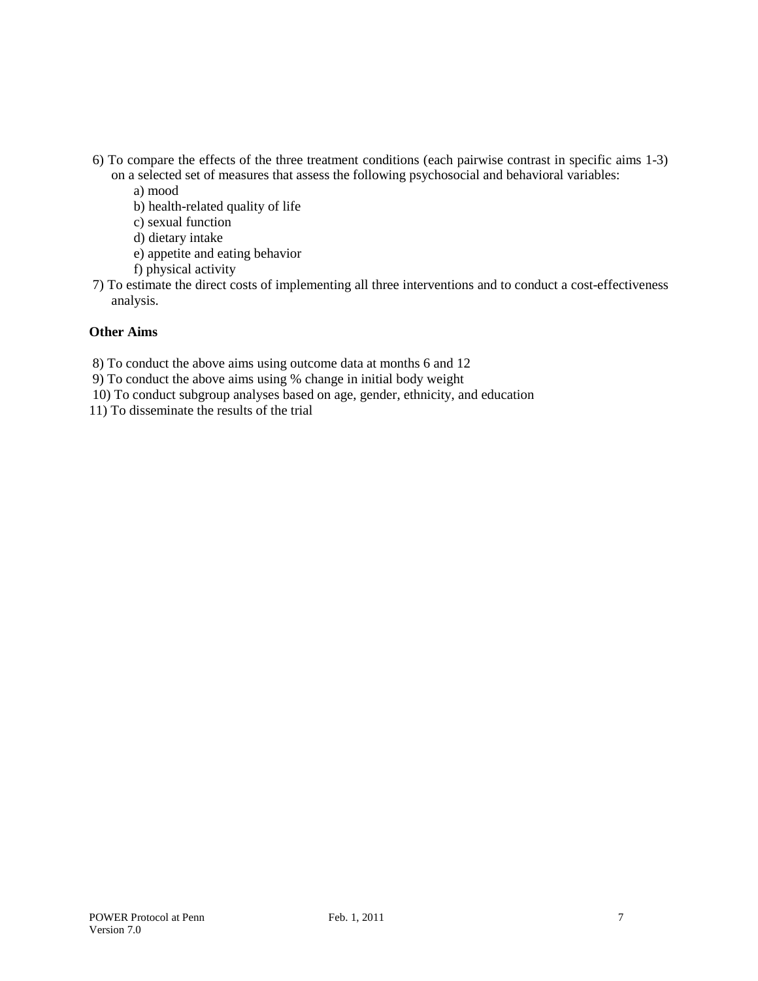- 6) To compare the effects of the three treatment conditions (each pairwise contrast in specific aims 1-3) on a selected set of measures that assess the following psychosocial and behavioral variables:
	- a) mood
	- b) health-related quality of life
	- c) sexual function
	- d) dietary intake
	- e) appetite and eating behavior
	- f) physical activity
- 7) To estimate the direct costs of implementing all three interventions and to conduct a cost-effectiveness analysis.

# **Other Aims**

- 8) To conduct the above aims using outcome data at months 6 and 12
- 9) To conduct the above aims using % change in initial body weight
- 10) To conduct subgroup analyses based on age, gender, ethnicity, and education
- 11) To disseminate the results of the trial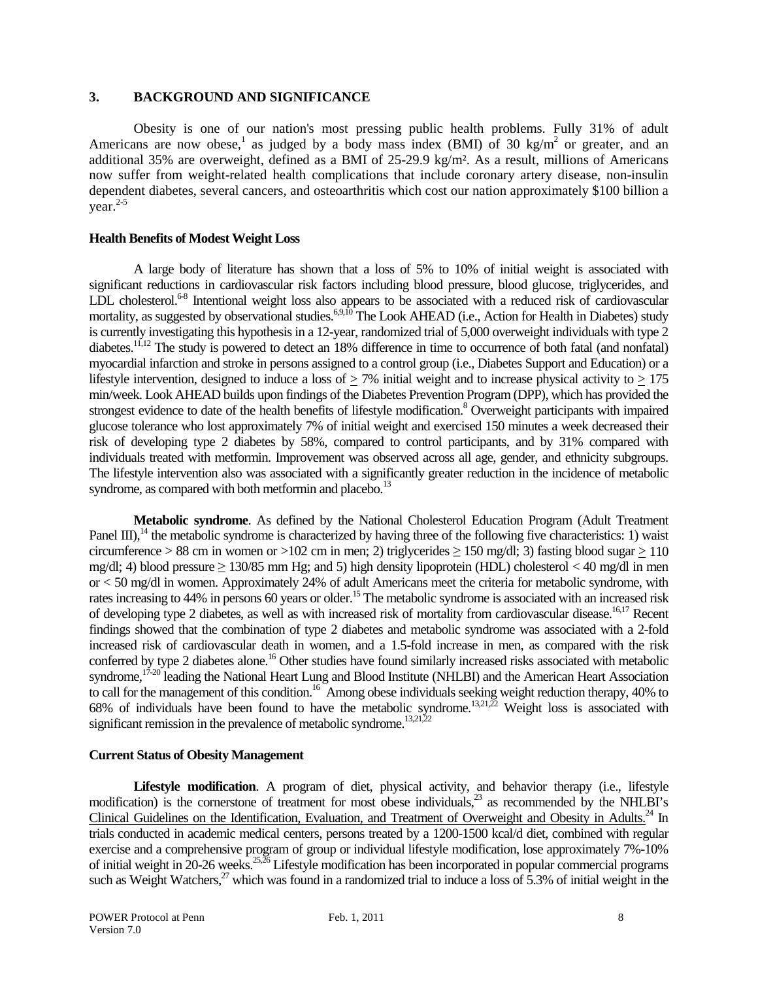#### **3. BACKGROUND AND SIGNIFICANCE**

Obesity is one of our nation's most pressing public health problems. Fully 31% of adult Americans are now obese,<sup>1</sup> as judged by a body mass index (BMI) of 30 kg/m<sup>2</sup> or greater, and an additional 35% are overweight, defined as a BMI of 25-29.9 kg/m². As a result, millions of Americans now suffer from weight-related health complications that include coronary artery disease, non-insulin dependent diabetes, several cancers, and osteoarthritis which cost our nation approximately \$100 billion a  $\text{year}^{2-5}$ 

#### **Health Benefits of Modest Weight Loss**

A large body of literature has shown that a loss of 5% to 10% of initial weight is associated with significant reductions in cardiovascular risk factors including blood pressure, blood glucose, triglycerides, and LDL cholesterol.<sup>6-8</sup> Intentional weight loss also appears to be associated with a reduced risk of cardiovascular mortality, as suggested by observational studies.<sup>6,9,10</sup> The Look AHEAD (i.e., Action for Health in Diabetes) study is currently investigating this hypothesis in a 12-year, randomized trial of 5,000 overweight individuals with type 2 diabetes.<sup>11,12</sup> The study is powered to detect an 18% difference in time to occurrence of both fatal (and nonfatal) myocardial infarction and stroke in persons assigned to a control group (i.e., Diabetes Support and Education) or a lifestyle intervention, designed to induce a loss of  $> 7\%$  initial weight and to increase physical activity to  $> 175$ min/week. Look AHEAD builds upon findings of the Diabetes Prevention Program (DPP), which has provided the strongest evidence to date of the health benefits of lifestyle modification.<sup>8</sup> Overweight participants with impaired glucose tolerance who lost approximately 7% of initial weight and exercised 150 minutes a week decreased their risk of developing type 2 diabetes by 58%, compared to control participants, and by 31% compared with individuals treated with metformin. Improvement was observed across all age, gender, and ethnicity subgroups. The lifestyle intervention also was associated with a significantly greater reduction in the incidence of metabolic syndrome, as compared with both metformin and placebo.<sup>13</sup>

**Metabolic syndrome**. As defined by the National Cholesterol Education Program (Adult Treatment Panel III),<sup>14</sup> the metabolic syndrome is characterized by having three of the following five characteristics: 1) waist circumference > 88 cm in women or > 102 cm in men; 2) triglycerides  $\geq 150$  mg/dl; 3) fasting blood sugar > 110 mg/dl; 4) blood pressure  $\geq 130/85$  mm Hg; and 5) high density lipoprotein (HDL) cholesterol  $< 40$  mg/dl in men or < 50 mg/dl in women. Approximately 24% of adult Americans meet the criteria for metabolic syndrome, with rates increasing to 44% in persons 60 years or older.<sup>15</sup> The metabolic syndrome is associated with an increased risk of developing type 2 diabetes, as well as with increased risk of mortality from cardiovascular disease.<sup>16,17</sup> Recent findings showed that the combination of type 2 diabetes and metabolic syndrome was associated with a 2-fold increased risk of cardiovascular death in women, and a 1.5-fold increase in men, as compared with the risk conferred by type 2 diabetes alone.<sup>16</sup> Other studies have found similarly increased risks associated with metabolic syndrome,<sup>17-20</sup> leading the National Heart Lung and Blood Institute (NHLBI) and the American Heart Association to call for the management of this condition.<sup>16</sup> Among obese individuals seeking weight reduction therapy, 40% to 68% of individuals have been found to have the metabolic syndrome.<sup>13,21,22</sup> Weight loss is associated with significant remission in the prevalence of metabolic syndrome.<sup>13,21,22</sup>

## **Current Status of Obesity Management**

**Lifestyle modification**. A program of diet, physical activity, and behavior therapy (i.e., lifestyle modification) is the cornerstone of treatment for most obese individuals,<sup>23</sup> as recommended by the NHLBI's Clinical Guidelines on the Identification, Evaluation, and Treatment of Overweight and Obesity in Adults.<sup>24</sup> In trials conducted in academic medical centers, persons treated by a 1200-1500 kcal/d diet, combined with regular exercise and a comprehensive program of group or individual lifestyle modification, lose approximately 7%-10% of initial weight in 20-26 weeks.25,26 Lifestyle modification has been incorporated in popular commercial programs such as Weight Watchers,<sup>27</sup> which was found in a randomized trial to induce a loss of 5.3% of initial weight in the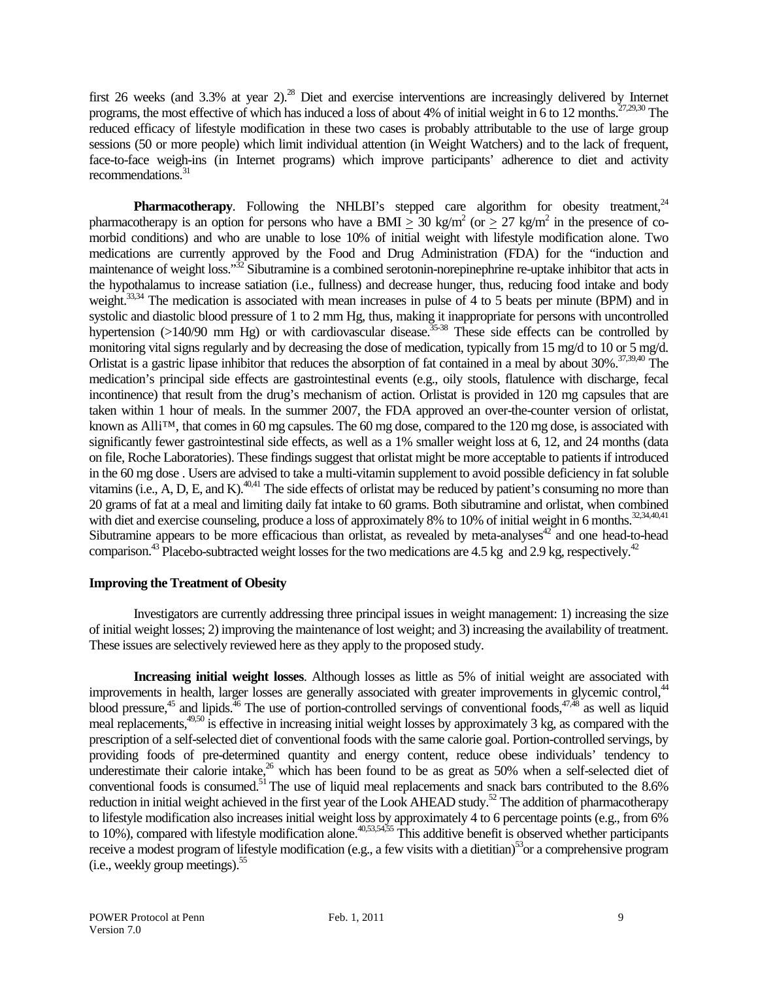first 26 weeks (and 3.3% at year 2).<sup>28</sup> Diet and exercise interventions are increasingly delivered by Internet programs, the most effective of which has induced a loss of about 4% of initial weight in 6 to 12 months.<sup>27,29,30</sup> The reduced efficacy of lifestyle modification in these two cases is probably attributable to the use of large group sessions (50 or more people) which limit individual attention (in Weight Watchers) and to the lack of frequent, face-to-face weigh-ins (in Internet programs) which improve participants' adherence to diet and activity recommendations.<sup>31</sup>

**Pharmacotherapy**. Following the NHLBI's stepped care algorithm for obesity treatment,<sup>24</sup> pharmacotherapy is an option for persons who have a BMI > 30 kg/m<sup>2</sup> (or > 27 kg/m<sup>2</sup> in the presence of comorbid conditions) and who are unable to lose 10% of initial weight with lifestyle modification alone. Two medications are currently approved by the Food and Drug Administration (FDA) for the "induction and maintenance of weight loss."<sup>32</sup> Sibutramine is a combined serotonin-norepinephrine re-uptake inhibitor that acts in the hypothalamus to increase satiation (i.e., fullness) and decrease hunger, thus, reducing food intake and body weight.<sup>33,34</sup> The medication is associated with mean increases in pulse of 4 to 5 beats per minute (BPM) and in systolic and diastolic blood pressure of 1 to 2 mm Hg, thus, making it inappropriate for persons with uncontrolled hypertension  $(>140/90$  mm Hg) or with cardiovascular disease.<sup>35-38</sup> These side effects can be controlled by monitoring vital signs regularly and by decreasing the dose of medication, typically from 15 mg/d to 10 or 5 mg/d. Orlistat is a gastric lipase inhibitor that reduces the absorption of fat contained in a meal by about 30%.<sup>37,39,40</sup> The medication's principal side effects are gastrointestinal events (e.g., oily stools, flatulence with discharge, fecal incontinence) that result from the drug's mechanism of action. Orlistat is provided in 120 mg capsules that are taken within 1 hour of meals. In the summer 2007, the FDA approved an over-the-counter version of orlistat, known as Alli™, that comes in 60 mg capsules. The 60 mg dose, compared to the 120 mg dose, is associated with significantly fewer gastrointestinal side effects, as well as a 1% smaller weight loss at 6, 12, and 24 months (data on file, Roche Laboratories). These findings suggest that orlistat might be more acceptable to patients if introduced in the 60 mg dose . Users are advised to take a multi-vitamin supplement to avoid possible deficiency in fat soluble vitamins (i.e., A, D, E, and K).<sup>40,41</sup> The side effects of orlistat may be reduced by patient's consuming no more than 20 grams of fat at a meal and limiting daily fat intake to 60 grams. Both sibutramine and orlistat, when combined with diet and exercise counseling, produce a loss of approximately 8% to 10% of initial weight in 6 months.<sup>32,34,40,41</sup> Sibutramine appears to be more efficacious than orlistat, as revealed by meta-analyses<sup> $42$ </sup> and one head-to-head comparison.<sup>43</sup> Placebo-subtracted weight losses for the two medications are 4.5 kg and 2.9 kg, respectively.<sup>42</sup>

# **Improving the Treatment of Obesity**

Investigators are currently addressing three principal issues in weight management: 1) increasing the size of initial weight losses; 2) improving the maintenance of lost weight; and 3) increasing the availability of treatment. These issues are selectively reviewed here as they apply to the proposed study.

**Increasing initial weight losses**. Although losses as little as 5% of initial weight are associated with improvements in health, larger losses are generally associated with greater improvements in glycemic control,<sup>44</sup> blood pressure,<sup>45</sup> and lipids.<sup>46</sup> The use of portion-controlled servings of conventional foods,<sup>47,48</sup> as well as liquid meal replacements,<sup>49,50</sup> is effective in increasing initial weight losses by approximately 3 kg, as compared with the prescription of a self-selected diet of conventional foods with the same calorie goal. Portion-controlled servings, by providing foods of pre-determined quantity and energy content, reduce obese individuals' tendency to underestimate their calorie intake, $^{26}$  which has been found to be as great as 50% when a self-selected diet of conventional foods is consumed.<sup>51</sup> The use of liquid meal replacements and snack bars contributed to the 8.6% reduction in initial weight achieved in the first year of the Look AHEAD study.<sup>52</sup> The addition of pharmacotherapy to lifestyle modification also increases initial weight loss by approximately 4 to 6 percentage points (e.g., from 6% to  $10\%$ ), compared with lifestyle modification alone.<sup>40,53,54,55</sup> This additive benefit is observed whether participants receive a modest program of lifestyle modification (e.g., a few visits with a dietitian)<sup>53</sup>or a comprehensive program (i.e., weekly group meetings).55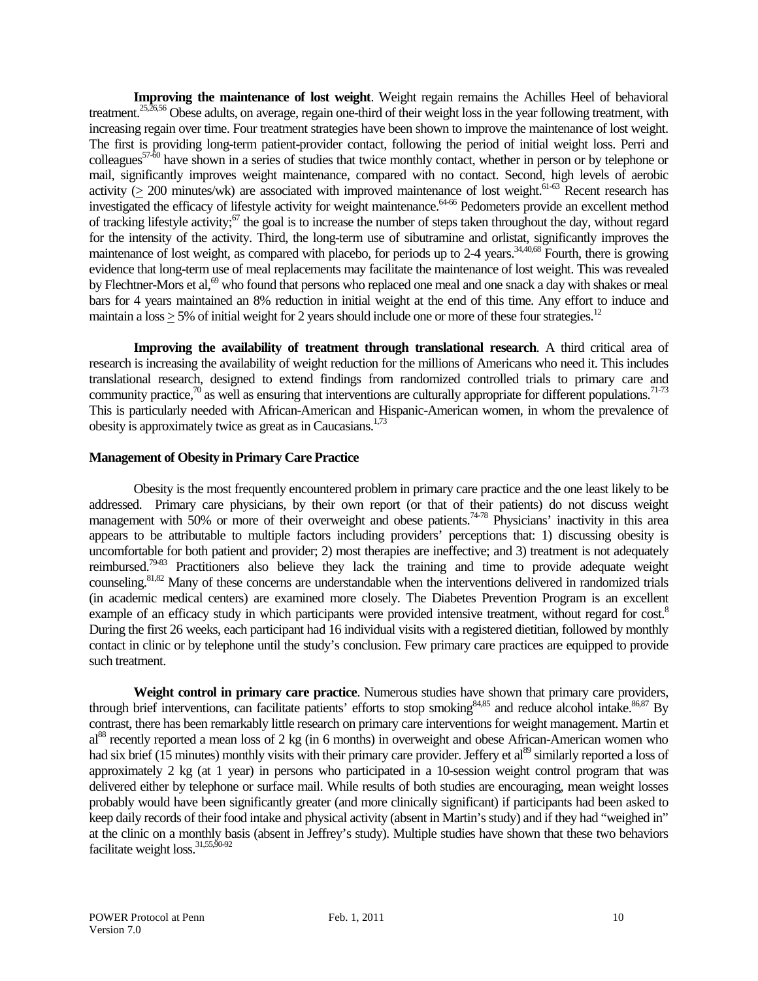**Improving the maintenance of lost weight**. Weight regain remains the Achilles Heel of behavioral treatment.<sup>25,26,56</sup> Obese adults, on average, regain one-third of their weight loss in the year following treatment, with increasing regain over time. Four treatment strategies have been shown to improve the maintenance of lost weight. The first is providing long-term patient-provider contact, following the period of initial weight loss. Perri and colleagues<sup>57-60</sup> have shown in a series of studies that twice monthly contact, whether in person or by telephone or mail, significantly improves weight maintenance, compared with no contact. Second, high levels of aerobic activity ( $> 200$  minutes/wk) are associated with improved maintenance of lost weight.<sup>61-63</sup> Recent research has investigated the efficacy of lifestyle activity for weight maintenance.<sup>64-66</sup> Pedometers provide an excellent method of tracking lifestyle activity; $\frac{67}{10}$  the goal is to increase the number of steps taken throughout the day, without regard for the intensity of the activity. Third, the long-term use of sibutramine and orlistat, significantly improves the maintenance of lost weight, as compared with placebo, for periods up to  $2-4$  years.<sup>34,40,68</sup> Fourth, there is growing evidence that long-term use of meal replacements may facilitate the maintenance of lost weight. This was revealed by Flechtner-Mors et al,<sup>69</sup> who found that persons who replaced one meal and one snack a day with shakes or meal bars for 4 years maintained an 8% reduction in initial weight at the end of this time. Any effort to induce and maintain a  $loss > 5\%$  of initial weight for 2 years should include one or more of these four strategies.<sup>12</sup>

**Improving the availability of treatment through translational research**. A third critical area of research is increasing the availability of weight reduction for the millions of Americans who need it. This includes translational research, designed to extend findings from randomized controlled trials to primary care and community practice, $\frac{70}{173}$  as well as ensuring that interventions are culturally appropriate for different populations.<sup>71-73</sup> This is particularly needed with African-American and Hispanic-American women, in whom the prevalence of obesity is approximately twice as great as in Caucasians.<sup>1,73</sup>

# **Management of Obesity in Primary Care Practice**

Obesity is the most frequently encountered problem in primary care practice and the one least likely to be addressed. Primary care physicians, by their own report (or that of their patients) do not discuss weight management with 50% or more of their overweight and obese patients.<sup>74-78</sup> Physicians' inactivity in this area appears to be attributable to multiple factors including providers' perceptions that: 1) discussing obesity is uncomfortable for both patient and provider; 2) most therapies are ineffective; and 3) treatment is not adequately reimbursed.79-83 Practitioners also believe they lack the training and time to provide adequate weight counseling.<sup>81,82</sup> Many of these concerns are understandable when the interventions delivered in randomized trials (in academic medical centers) are examined more closely. The Diabetes Prevention Program is an excellent example of an efficacy study in which participants were provided intensive treatment, without regard for cost.<sup>8</sup> During the first 26 weeks, each participant had 16 individual visits with a registered dietitian, followed by monthly contact in clinic or by telephone until the study's conclusion. Few primary care practices are equipped to provide such treatment.

**Weight control in primary care practice**. Numerous studies have shown that primary care providers, through brief interventions, can facilitate patients' efforts to stop smoking<sup>84,85</sup> and reduce alcohol intake.<sup>86,87</sup> By contrast, there has been remarkably little research on primary care interventions for weight management. Martin et al<sup>88</sup> recently reported a mean loss of 2 kg (in 6 months) in overweight and obese African-American women who had six brief (15 minutes) monthly visits with their primary care provider. Jeffery et al<sup>89</sup> similarly reported a loss of approximately 2 kg (at 1 year) in persons who participated in a 10-session weight control program that was delivered either by telephone or surface mail. While results of both studies are encouraging, mean weight losses probably would have been significantly greater (and more clinically significant) if participants had been asked to keep daily records of their food intake and physical activity (absent in Martin's study) and if they had "weighed in" at the clinic on a monthly basis (absent in Jeffrey's study). Multiple studies have shown that these two behaviors facilitate weight loss.<sup>31,55,50-92</sup>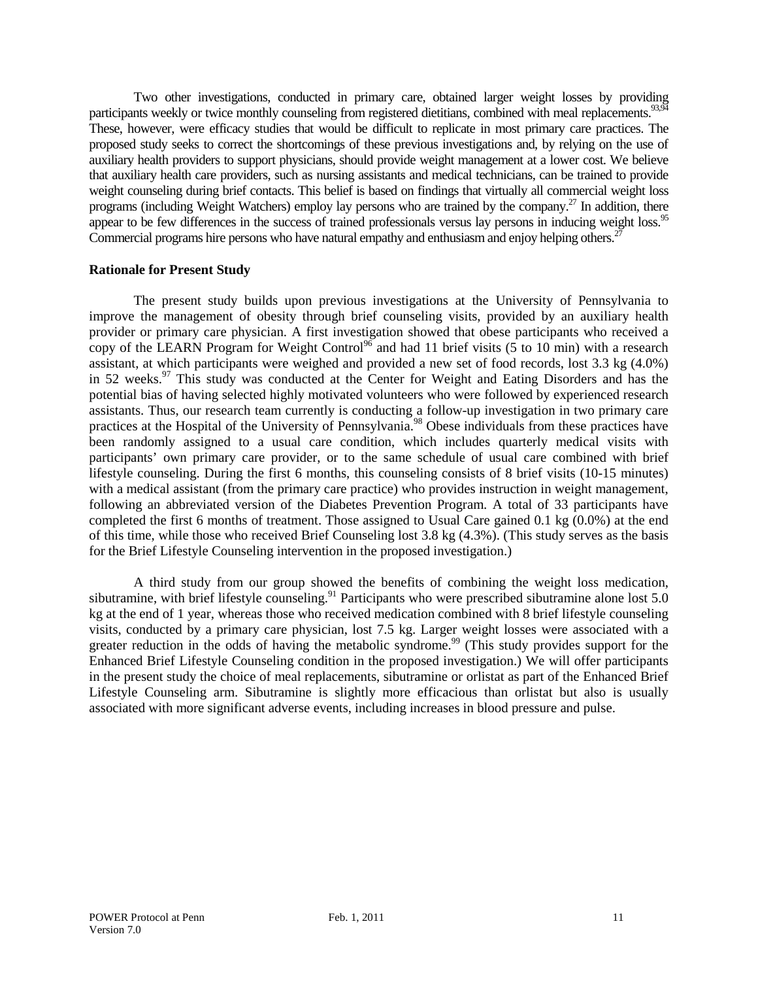Two other investigations, conducted in primary care, obtained larger weight losses by providing participants weekly or twice monthly counseling from registered dietitians, combined with meal replacements.<sup>93,94</sup> These, however, were efficacy studies that would be difficult to replicate in most primary care practices. The proposed study seeks to correct the shortcomings of these previous investigations and, by relying on the use of auxiliary health providers to support physicians, should provide weight management at a lower cost. We believe that auxiliary health care providers, such as nursing assistants and medical technicians, can be trained to provide weight counseling during brief contacts. This belief is based on findings that virtually all commercial weight loss programs (including Weight Watchers) employ lay persons who are trained by the company.<sup>27</sup> In addition, there appear to be few differences in the success of trained professionals versus lay persons in inducing weight loss.<sup>95</sup> Commercial programs hire persons who have natural empathy and enthusiasm and enjoy helping others.<sup>27</sup>

## **Rationale for Present Study**

The present study builds upon previous investigations at the University of Pennsylvania to improve the management of obesity through brief counseling visits, provided by an auxiliary health provider or primary care physician. A first investigation showed that obese participants who received a copy of the LEARN Program for Weight Control<sup>96</sup> and had 11 brief visits (5 to 10 min) with a research assistant, at which participants were weighed and provided a new set of food records, lost 3.3 kg (4.0%) in 52 weeks.<sup>97</sup> This study was conducted at the Center for Weight and Eating Disorders and has the potential bias of having selected highly motivated volunteers who were followed by experienced research assistants. Thus, our research team currently is conducting a follow-up investigation in two primary care practices at the Hospital of the University of Pennsylvania.<sup>98</sup> Obese individuals from these practices have been randomly assigned to a usual care condition, which includes quarterly medical visits with participants' own primary care provider, or to the same schedule of usual care combined with brief lifestyle counseling. During the first 6 months, this counseling consists of 8 brief visits (10-15 minutes) with a medical assistant (from the primary care practice) who provides instruction in weight management, following an abbreviated version of the Diabetes Prevention Program. A total of 33 participants have completed the first 6 months of treatment. Those assigned to Usual Care gained 0.1 kg (0.0%) at the end of this time, while those who received Brief Counseling lost 3.8 kg (4.3%). (This study serves as the basis for the Brief Lifestyle Counseling intervention in the proposed investigation.)

A third study from our group showed the benefits of combining the weight loss medication, sibutramine, with brief lifestyle counseling.<sup>91</sup> Participants who were prescribed sibutramine alone lost  $5.0$ kg at the end of 1 year, whereas those who received medication combined with 8 brief lifestyle counseling visits, conducted by a primary care physician, lost 7.5 kg. Larger weight losses were associated with a greater reduction in the odds of having the metabolic syndrome.<sup>99</sup> (This study provides support for the Enhanced Brief Lifestyle Counseling condition in the proposed investigation.) We will offer participants in the present study the choice of meal replacements, sibutramine or orlistat as part of the Enhanced Brief Lifestyle Counseling arm. Sibutramine is slightly more efficacious than orlistat but also is usually associated with more significant adverse events, including increases in blood pressure and pulse.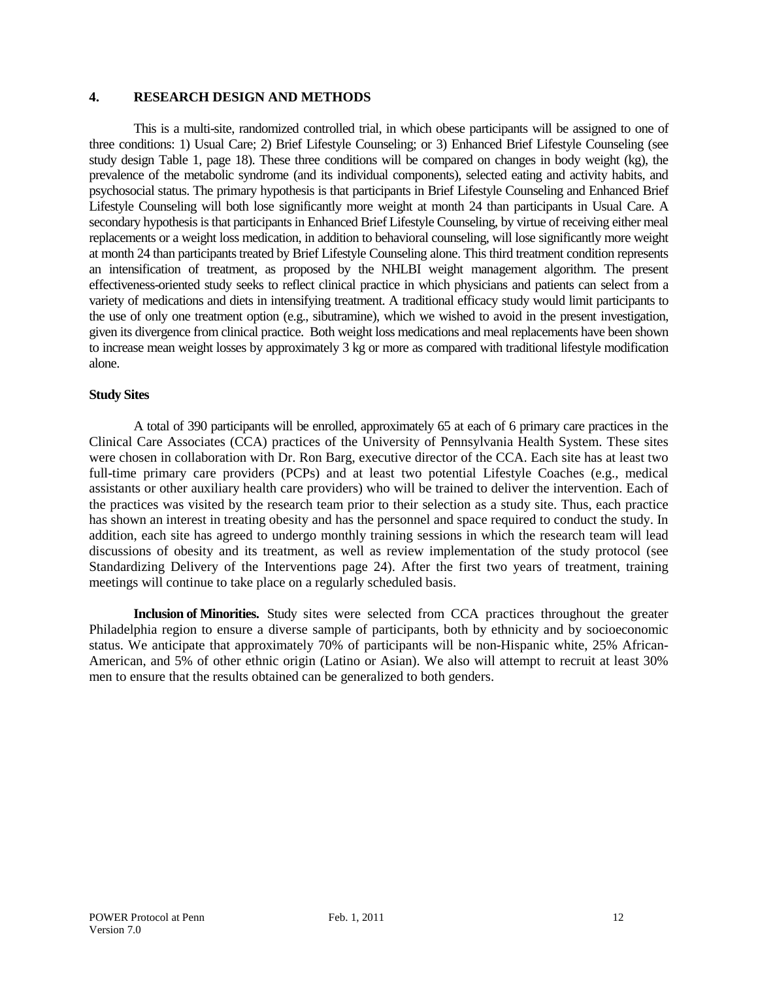#### **4. RESEARCH DESIGN AND METHODS**

This is a multi-site, randomized controlled trial, in which obese participants will be assigned to one of three conditions: 1) Usual Care; 2) Brief Lifestyle Counseling; or 3) Enhanced Brief Lifestyle Counseling (see study design Table 1, page 18). These three conditions will be compared on changes in body weight (kg), the prevalence of the metabolic syndrome (and its individual components), selected eating and activity habits, and psychosocial status. The primary hypothesis is that participants in Brief Lifestyle Counseling and Enhanced Brief Lifestyle Counseling will both lose significantly more weight at month 24 than participants in Usual Care. A secondary hypothesis is that participants in Enhanced Brief Lifestyle Counseling, by virtue of receiving either meal replacements or a weight loss medication, in addition to behavioral counseling, will lose significantly more weight at month 24 than participants treated by Brief Lifestyle Counseling alone. This third treatment condition represents an intensification of treatment, as proposed by the NHLBI weight management algorithm. The present effectiveness-oriented study seeks to reflect clinical practice in which physicians and patients can select from a variety of medications and diets in intensifying treatment. A traditional efficacy study would limit participants to the use of only one treatment option (e.g., sibutramine), which we wished to avoid in the present investigation, given its divergence from clinical practice. Both weight loss medications and meal replacements have been shown to increase mean weight losses by approximately 3 kg or more as compared with traditional lifestyle modification alone.

## **Study Sites**

A total of 390 participants will be enrolled, approximately 65 at each of 6 primary care practices in the Clinical Care Associates (CCA) practices of the University of Pennsylvania Health System. These sites were chosen in collaboration with Dr. Ron Barg, executive director of the CCA. Each site has at least two full-time primary care providers (PCPs) and at least two potential Lifestyle Coaches (e.g., medical assistants or other auxiliary health care providers) who will be trained to deliver the intervention. Each of the practices was visited by the research team prior to their selection as a study site. Thus, each practice has shown an interest in treating obesity and has the personnel and space required to conduct the study. In addition, each site has agreed to undergo monthly training sessions in which the research team will lead discussions of obesity and its treatment, as well as review implementation of the study protocol (see Standardizing Delivery of the Interventions page 24). After the first two years of treatment, training meetings will continue to take place on a regularly scheduled basis.

**Inclusion of Minorities.** Study sites were selected from CCA practices throughout the greater Philadelphia region to ensure a diverse sample of participants, both by ethnicity and by socioeconomic status. We anticipate that approximately 70% of participants will be non-Hispanic white, 25% African-American, and 5% of other ethnic origin (Latino or Asian). We also will attempt to recruit at least 30% men to ensure that the results obtained can be generalized to both genders.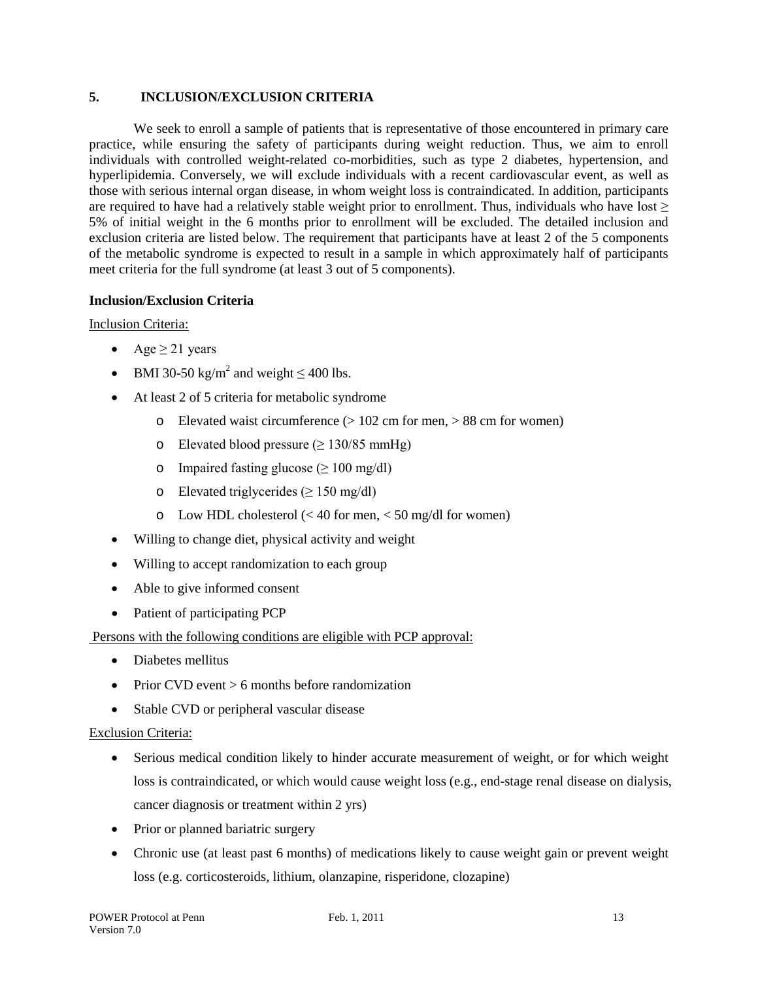# **5. INCLUSION/EXCLUSION CRITERIA**

We seek to enroll a sample of patients that is representative of those encountered in primary care practice, while ensuring the safety of participants during weight reduction. Thus, we aim to enroll individuals with controlled weight-related co-morbidities, such as type 2 diabetes, hypertension, and hyperlipidemia. Conversely, we will exclude individuals with a recent cardiovascular event, as well as those with serious internal organ disease, in whom weight loss is contraindicated. In addition, participants are required to have had a relatively stable weight prior to enrollment. Thus, individuals who have lost  $\geq$ 5% of initial weight in the 6 months prior to enrollment will be excluded. The detailed inclusion and exclusion criteria are listed below. The requirement that participants have at least 2 of the 5 components of the metabolic syndrome is expected to result in a sample in which approximately half of participants meet criteria for the full syndrome (at least 3 out of 5 components).

## **Inclusion/Exclusion Criteria**

# Inclusion Criteria:

- Age  $\geq$  21 years
- BMI 30-50 kg/m<sup>2</sup> and weight  $\leq 400$  lbs.
- At least 2 of 5 criteria for metabolic syndrome
	- o Elevated waist circumference  $(> 102 \text{ cm for men}, > 88 \text{ cm for women})$
	- o Elevated blood pressure ( $\geq$  130/85 mmHg)
	- o Impaired fasting glucose ( $\geq 100$  mg/dl)
	- o Elevated triglycerides ( $\geq 150$  mg/dl)
	- $\circ$  Low HDL cholesterol (< 40 for men, < 50 mg/dl for women)
- Willing to change diet, physical activity and weight
- Willing to accept randomization to each group
- Able to give informed consent
- Patient of participating PCP

Persons with the following conditions are eligible with PCP approval:

- Diabetes mellitus
- Prior CVD event  $> 6$  months before randomization
- Stable CVD or peripheral vascular disease

# Exclusion Criteria:

- Serious medical condition likely to hinder accurate measurement of weight, or for which weight loss is contraindicated, or which would cause weight loss (e.g., end-stage renal disease on dialysis, cancer diagnosis or treatment within 2 yrs)
- Prior or planned bariatric surgery
- Chronic use (at least past 6 months) of medications likely to cause weight gain or prevent weight loss (e.g. corticosteroids, lithium, olanzapine, risperidone, clozapine)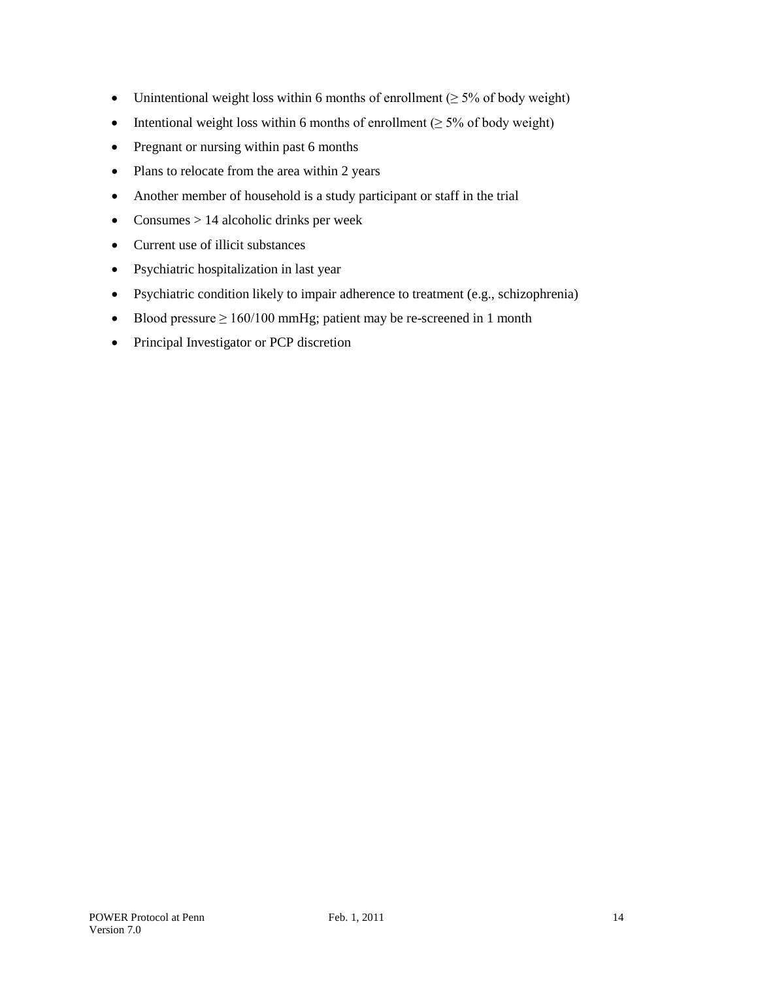- Unintentional weight loss within 6 months of enrollment ( $\geq$  5% of body weight)
- Intentional weight loss within 6 months of enrollment ( $\geq$  5% of body weight)
- Pregnant or nursing within past 6 months
- Plans to relocate from the area within 2 years
- Another member of household is a study participant or staff in the trial
- Consumes  $> 14$  alcoholic drinks per week
- Current use of illicit substances
- Psychiatric hospitalization in last year
- Psychiatric condition likely to impair adherence to treatment (e.g., schizophrenia)
- Blood pressure  $\geq 160/100$  mmHg; patient may be re-screened in 1 month
- Principal Investigator or PCP discretion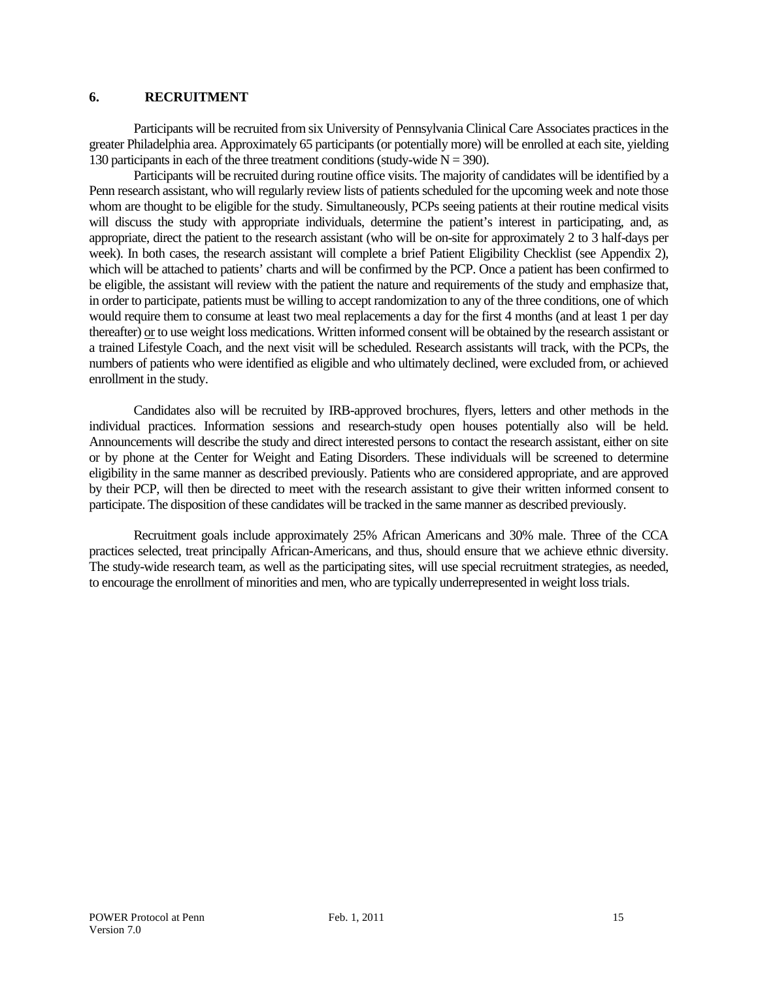#### **6. RECRUITMENT**

Participants will be recruited from six University of Pennsylvania Clinical Care Associates practices in the greater Philadelphia area. Approximately 65 participants(or potentially more) will be enrolled at each site, yielding 130 participants in each of the three treatment conditions (study-wide  $N = 390$ ).

Participants will be recruited during routine office visits. The majority of candidates will be identified by a Penn research assistant, who will regularly review lists of patients scheduled for the upcoming week and note those whom are thought to be eligible for the study. Simultaneously, PCPs seeing patients at their routine medical visits will discuss the study with appropriate individuals, determine the patient's interest in participating, and, as appropriate, direct the patient to the research assistant (who will be on-site for approximately 2 to 3 half-days per week). In both cases, the research assistant will complete a brief Patient Eligibility Checklist (see Appendix 2), which will be attached to patients' charts and will be confirmed by the PCP. Once a patient has been confirmed to be eligible, the assistant will review with the patient the nature and requirements of the study and emphasize that, in order to participate, patients must be willing to accept randomization to any of the three conditions, one of which would require them to consume at least two meal replacements a day for the first 4 months (and at least 1 per day thereafter) or to use weight loss medications. Written informed consent will be obtained by the research assistant or a trained Lifestyle Coach, and the next visit will be scheduled. Research assistants will track, with the PCPs, the numbers of patients who were identified as eligible and who ultimately declined, were excluded from, or achieved enrollment in the study.

Candidates also will be recruited by IRB-approved brochures, flyers, letters and other methods in the individual practices. Information sessions and research-study open houses potentially also will be held. Announcements will describe the study and direct interested persons to contact the research assistant, either on site or by phone at the Center for Weight and Eating Disorders. These individuals will be screened to determine eligibility in the same manner as described previously. Patients who are considered appropriate, and are approved by their PCP, will then be directed to meet with the research assistant to give their written informed consent to participate. The disposition of these candidates will be tracked in the same manner as described previously.

Recruitment goals include approximately 25% African Americans and 30% male. Three of the CCA practices selected, treat principally African-Americans, and thus, should ensure that we achieve ethnic diversity. The study-wide research team, as well as the participating sites, will use special recruitment strategies, as needed, to encourage the enrollment of minorities and men, who are typically underrepresented in weight loss trials.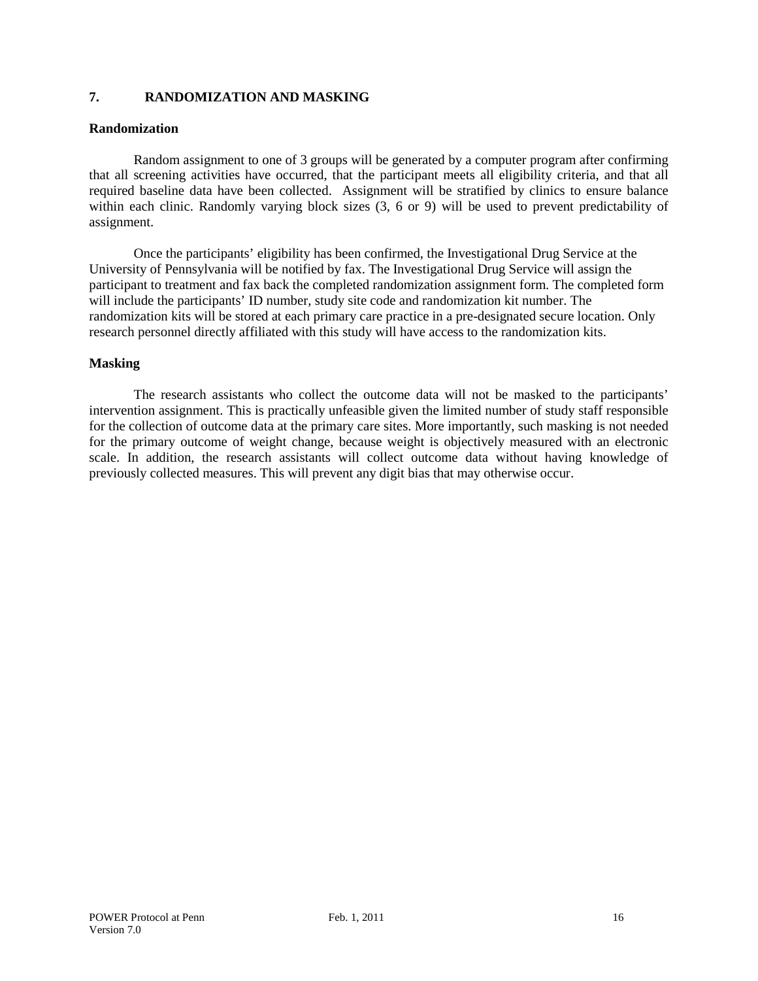# **7. RANDOMIZATION AND MASKING**

#### **Randomization**

Random assignment to one of 3 groups will be generated by a computer program after confirming that all screening activities have occurred, that the participant meets all eligibility criteria, and that all required baseline data have been collected. Assignment will be stratified by clinics to ensure balance within each clinic. Randomly varying block sizes (3, 6 or 9) will be used to prevent predictability of assignment.

Once the participants' eligibility has been confirmed, the Investigational Drug Service at the University of Pennsylvania will be notified by fax. The Investigational Drug Service will assign the participant to treatment and fax back the completed randomization assignment form. The completed form will include the participants' ID number, study site code and randomization kit number. The randomization kits will be stored at each primary care practice in a pre-designated secure location. Only research personnel directly affiliated with this study will have access to the randomization kits.

#### **Masking**

The research assistants who collect the outcome data will not be masked to the participants' intervention assignment. This is practically unfeasible given the limited number of study staff responsible for the collection of outcome data at the primary care sites. More importantly, such masking is not needed for the primary outcome of weight change, because weight is objectively measured with an electronic scale. In addition, the research assistants will collect outcome data without having knowledge of previously collected measures. This will prevent any digit bias that may otherwise occur.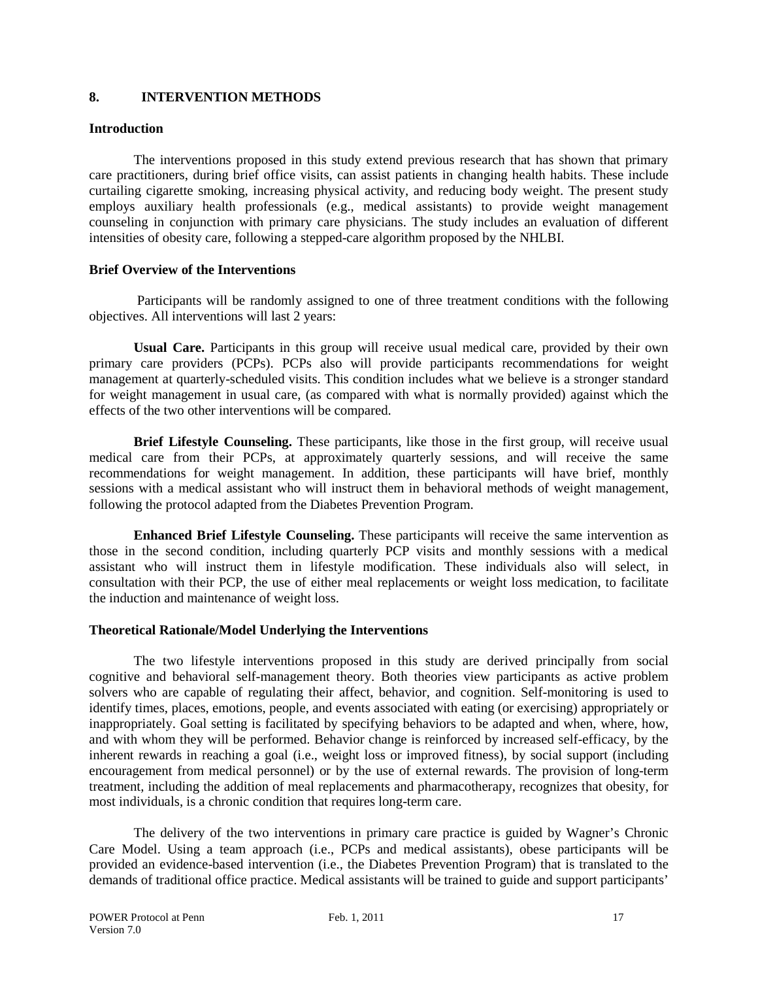#### **8. INTERVENTION METHODS**

#### **Introduction**

The interventions proposed in this study extend previous research that has shown that primary care practitioners, during brief office visits, can assist patients in changing health habits. These include curtailing cigarette smoking, increasing physical activity, and reducing body weight. The present study employs auxiliary health professionals (e.g., medical assistants) to provide weight management counseling in conjunction with primary care physicians. The study includes an evaluation of different intensities of obesity care, following a stepped-care algorithm proposed by the NHLBI.

## **Brief Overview of the Interventions**

Participants will be randomly assigned to one of three treatment conditions with the following objectives. All interventions will last 2 years:

**Usual Care.** Participants in this group will receive usual medical care, provided by their own primary care providers (PCPs). PCPs also will provide participants recommendations for weight management at quarterly-scheduled visits. This condition includes what we believe is a stronger standard for weight management in usual care, (as compared with what is normally provided) against which the effects of the two other interventions will be compared.

**Brief Lifestyle Counseling.** These participants, like those in the first group, will receive usual medical care from their PCPs, at approximately quarterly sessions, and will receive the same recommendations for weight management. In addition, these participants will have brief, monthly sessions with a medical assistant who will instruct them in behavioral methods of weight management, following the protocol adapted from the Diabetes Prevention Program.

**Enhanced Brief Lifestyle Counseling.** These participants will receive the same intervention as those in the second condition, including quarterly PCP visits and monthly sessions with a medical assistant who will instruct them in lifestyle modification. These individuals also will select, in consultation with their PCP, the use of either meal replacements or weight loss medication, to facilitate the induction and maintenance of weight loss.

## **Theoretical Rationale/Model Underlying the Interventions**

The two lifestyle interventions proposed in this study are derived principally from social cognitive and behavioral self-management theory. Both theories view participants as active problem solvers who are capable of regulating their affect, behavior, and cognition. Self-monitoring is used to identify times, places, emotions, people, and events associated with eating (or exercising) appropriately or inappropriately. Goal setting is facilitated by specifying behaviors to be adapted and when, where, how, and with whom they will be performed. Behavior change is reinforced by increased self-efficacy, by the inherent rewards in reaching a goal (i.e., weight loss or improved fitness), by social support (including encouragement from medical personnel) or by the use of external rewards. The provision of long-term treatment, including the addition of meal replacements and pharmacotherapy, recognizes that obesity, for most individuals, is a chronic condition that requires long-term care.

The delivery of the two interventions in primary care practice is guided by Wagner's Chronic Care Model. Using a team approach (i.e., PCPs and medical assistants), obese participants will be provided an evidence-based intervention (i.e., the Diabetes Prevention Program) that is translated to the demands of traditional office practice. Medical assistants will be trained to guide and support participants'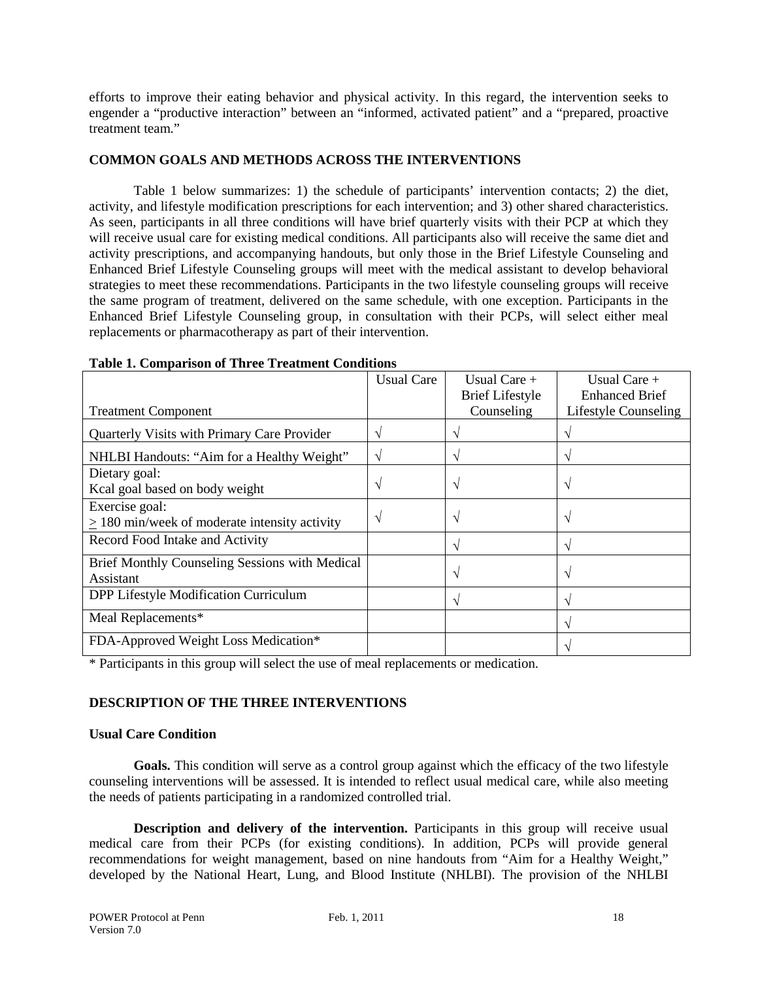efforts to improve their eating behavior and physical activity. In this regard, the intervention seeks to engender a "productive interaction" between an "informed, activated patient" and a "prepared, proactive treatment team."

# **COMMON GOALS AND METHODS ACROSS THE INTERVENTIONS**

Table 1 below summarizes: 1) the schedule of participants' intervention contacts; 2) the diet, activity, and lifestyle modification prescriptions for each intervention; and 3) other shared characteristics. As seen, participants in all three conditions will have brief quarterly visits with their PCP at which they will receive usual care for existing medical conditions. All participants also will receive the same diet and activity prescriptions, and accompanying handouts, but only those in the Brief Lifestyle Counseling and Enhanced Brief Lifestyle Counseling groups will meet with the medical assistant to develop behavioral strategies to meet these recommendations. Participants in the two lifestyle counseling groups will receive the same program of treatment, delivered on the same schedule, with one exception. Participants in the Enhanced Brief Lifestyle Counseling group, in consultation with their PCPs, will select either meal replacements or pharmacotherapy as part of their intervention.

|                                                                      | <b>Usual Care</b> | Usual Care $+$         | Usual Care $+$        |  |  |
|----------------------------------------------------------------------|-------------------|------------------------|-----------------------|--|--|
|                                                                      |                   | <b>Brief Lifestyle</b> | <b>Enhanced Brief</b> |  |  |
| <b>Treatment Component</b>                                           |                   | Counseling             | Lifestyle Counseling  |  |  |
| Quarterly Visits with Primary Care Provider                          | $\mathcal{N}$     |                        |                       |  |  |
| NHLBI Handouts: "Aim for a Healthy Weight"                           | $\mathcal{N}$     |                        |                       |  |  |
| Dietary goal:<br>Kcal goal based on body weight                      | V                 |                        |                       |  |  |
| Exercise goal:<br>$\geq$ 180 min/week of moderate intensity activity | $\gamma$          |                        |                       |  |  |
| Record Food Intake and Activity                                      |                   |                        |                       |  |  |
| Brief Monthly Counseling Sessions with Medical<br>Assistant          |                   |                        |                       |  |  |
| DPP Lifestyle Modification Curriculum                                |                   |                        |                       |  |  |
| Meal Replacements*                                                   |                   |                        |                       |  |  |
| FDA-Approved Weight Loss Medication*                                 |                   |                        |                       |  |  |

#### **Table 1. Comparison of Three Treatment Conditions**

\* Participants in this group will select the use of meal replacements or medication.

## **DESCRIPTION OF THE THREE INTERVENTIONS**

#### **Usual Care Condition**

**Goals.** This condition will serve as a control group against which the efficacy of the two lifestyle counseling interventions will be assessed. It is intended to reflect usual medical care, while also meeting the needs of patients participating in a randomized controlled trial.

**Description and delivery of the intervention.** Participants in this group will receive usual medical care from their PCPs (for existing conditions). In addition, PCPs will provide general recommendations for weight management, based on nine handouts from "Aim for a Healthy Weight," developed by the National Heart, Lung, and Blood Institute (NHLBI). The provision of the NHLBI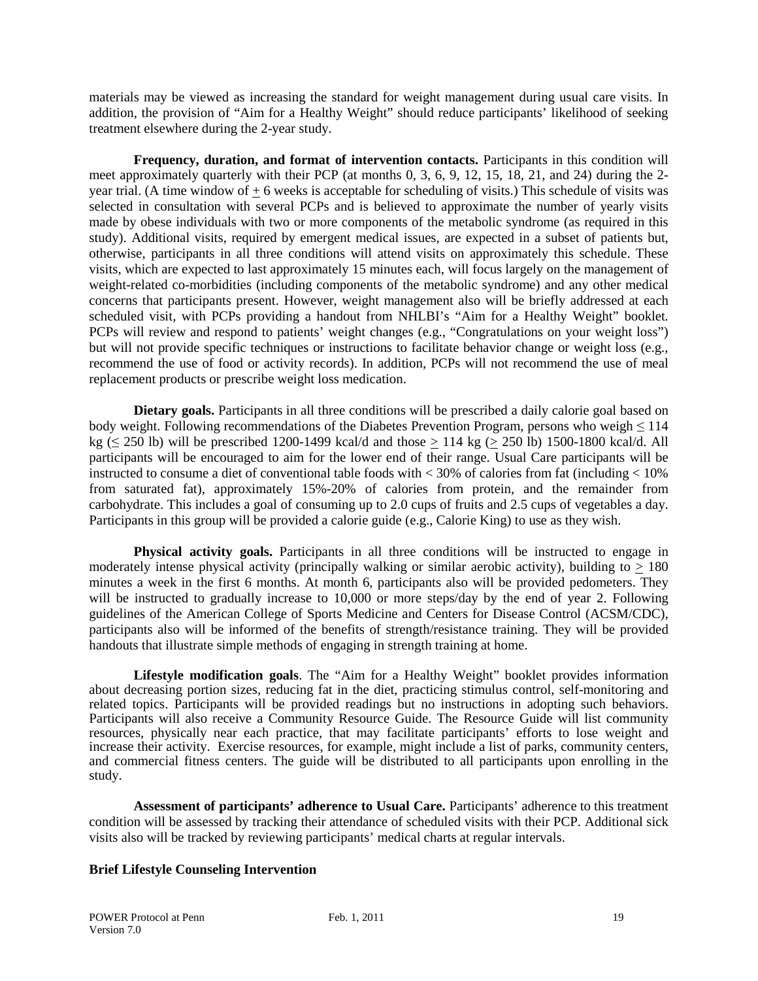materials may be viewed as increasing the standard for weight management during usual care visits. In addition, the provision of "Aim for a Healthy Weight" should reduce participants' likelihood of seeking treatment elsewhere during the 2-year study.

**Frequency, duration, and format of intervention contacts.** Participants in this condition will meet approximately quarterly with their PCP (at months 0, 3, 6, 9, 12, 15, 18, 21, and 24) during the 2 year trial. (A time window of + 6 weeks is acceptable for scheduling of visits.) This schedule of visits was selected in consultation with several PCPs and is believed to approximate the number of yearly visits made by obese individuals with two or more components of the metabolic syndrome (as required in this study). Additional visits, required by emergent medical issues, are expected in a subset of patients but, otherwise, participants in all three conditions will attend visits on approximately this schedule. These visits, which are expected to last approximately 15 minutes each, will focus largely on the management of weight-related co-morbidities (including components of the metabolic syndrome) and any other medical concerns that participants present. However, weight management also will be briefly addressed at each scheduled visit, with PCPs providing a handout from NHLBI's "Aim for a Healthy Weight" booklet. PCPs will review and respond to patients' weight changes (e.g., "Congratulations on your weight loss") but will not provide specific techniques or instructions to facilitate behavior change or weight loss (e.g., recommend the use of food or activity records). In addition, PCPs will not recommend the use of meal replacement products or prescribe weight loss medication.

**Dietary goals.** Participants in all three conditions will be prescribed a daily calorie goal based on body weight. Following recommendations of the Diabetes Prevention Program, persons who weigh  $\leq 114$ kg ( $\leq$  250 lb) will be prescribed 1200-1499 kcal/d and those  $\geq$  114 kg ( $\geq$  250 lb) 1500-1800 kcal/d. All participants will be encouraged to aim for the lower end of their range. Usual Care participants will be instructed to consume a diet of conventional table foods with  $\langle 30\%$  of calories from fat (including  $\langle 10\%$ ) from saturated fat), approximately 15%-20% of calories from protein, and the remainder from carbohydrate. This includes a goal of consuming up to 2.0 cups of fruits and 2.5 cups of vegetables a day. Participants in this group will be provided a calorie guide (e.g., Calorie King) to use as they wish.

**Physical activity goals.** Participants in all three conditions will be instructed to engage in moderately intense physical activity (principally walking or similar aerobic activity), building to  $> 180$ minutes a week in the first 6 months. At month 6, participants also will be provided pedometers. They will be instructed to gradually increase to 10,000 or more steps/day by the end of year 2. Following guidelines of the American College of Sports Medicine and Centers for Disease Control (ACSM/CDC), participants also will be informed of the benefits of strength/resistance training. They will be provided handouts that illustrate simple methods of engaging in strength training at home.

**Lifestyle modification goals**. The "Aim for a Healthy Weight" booklet provides information about decreasing portion sizes, reducing fat in the diet, practicing stimulus control, self-monitoring and related topics. Participants will be provided readings but no instructions in adopting such behaviors. Participants will also receive a Community Resource Guide. The Resource Guide will list community resources, physically near each practice, that may facilitate participants' efforts to lose weight and increase their activity. Exercise resources, for example, might include a list of parks, community centers, and commercial fitness centers. The guide will be distributed to all participants upon enrolling in the study.

**Assessment of participants' adherence to Usual Care.** Participants' adherence to this treatment condition will be assessed by tracking their attendance of scheduled visits with their PCP. Additional sick visits also will be tracked by reviewing participants' medical charts at regular intervals.

## **Brief Lifestyle Counseling Intervention**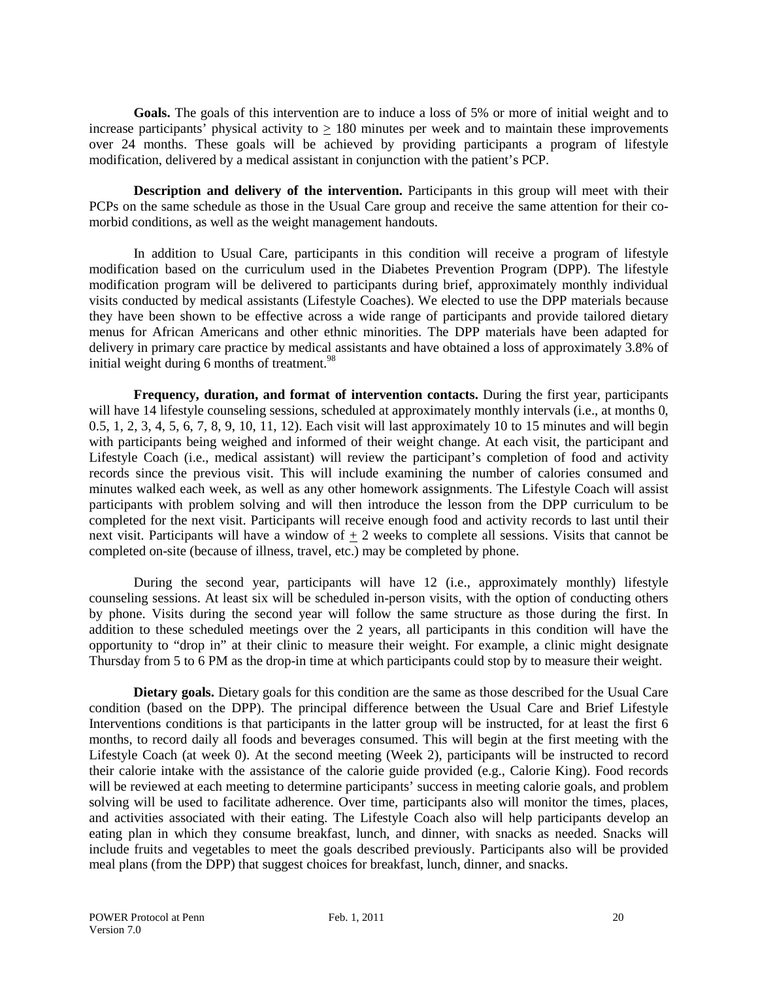**Goals.** The goals of this intervention are to induce a loss of 5% or more of initial weight and to increase participants' physical activity to  $\geq 180$  minutes per week and to maintain these improvements over 24 months. These goals will be achieved by providing participants a program of lifestyle modification, delivered by a medical assistant in conjunction with the patient's PCP.

**Description and delivery of the intervention.** Participants in this group will meet with their PCPs on the same schedule as those in the Usual Care group and receive the same attention for their comorbid conditions, as well as the weight management handouts.

In addition to Usual Care, participants in this condition will receive a program of lifestyle modification based on the curriculum used in the Diabetes Prevention Program (DPP). The lifestyle modification program will be delivered to participants during brief, approximately monthly individual visits conducted by medical assistants (Lifestyle Coaches). We elected to use the DPP materials because they have been shown to be effective across a wide range of participants and provide tailored dietary menus for African Americans and other ethnic minorities. The DPP materials have been adapted for delivery in primary care practice by medical assistants and have obtained a loss of approximately 3.8% of initial weight during  $6$  months of treatment.<sup>98</sup>

**Frequency, duration, and format of intervention contacts.** During the first year, participants will have 14 lifestyle counseling sessions, scheduled at approximately monthly intervals (i.e., at months 0, 0.5, 1, 2, 3, 4, 5, 6, 7, 8, 9, 10, 11, 12). Each visit will last approximately 10 to 15 minutes and will begin with participants being weighed and informed of their weight change. At each visit, the participant and Lifestyle Coach (i.e., medical assistant) will review the participant's completion of food and activity records since the previous visit. This will include examining the number of calories consumed and minutes walked each week, as well as any other homework assignments. The Lifestyle Coach will assist participants with problem solving and will then introduce the lesson from the DPP curriculum to be completed for the next visit. Participants will receive enough food and activity records to last until their next visit. Participants will have a window of  $+2$  weeks to complete all sessions. Visits that cannot be completed on-site (because of illness, travel, etc.) may be completed by phone.

During the second year, participants will have 12 (i.e., approximately monthly) lifestyle counseling sessions. At least six will be scheduled in-person visits, with the option of conducting others by phone. Visits during the second year will follow the same structure as those during the first. In addition to these scheduled meetings over the 2 years, all participants in this condition will have the opportunity to "drop in" at their clinic to measure their weight. For example, a clinic might designate Thursday from 5 to 6 PM as the drop-in time at which participants could stop by to measure their weight.

**Dietary goals.** Dietary goals for this condition are the same as those described for the Usual Care condition (based on the DPP). The principal difference between the Usual Care and Brief Lifestyle Interventions conditions is that participants in the latter group will be instructed, for at least the first 6 months, to record daily all foods and beverages consumed. This will begin at the first meeting with the Lifestyle Coach (at week 0). At the second meeting (Week 2), participants will be instructed to record their calorie intake with the assistance of the calorie guide provided (e.g., Calorie King). Food records will be reviewed at each meeting to determine participants' success in meeting calorie goals, and problem solving will be used to facilitate adherence. Over time, participants also will monitor the times, places, and activities associated with their eating. The Lifestyle Coach also will help participants develop an eating plan in which they consume breakfast, lunch, and dinner, with snacks as needed. Snacks will include fruits and vegetables to meet the goals described previously. Participants also will be provided meal plans (from the DPP) that suggest choices for breakfast, lunch, dinner, and snacks.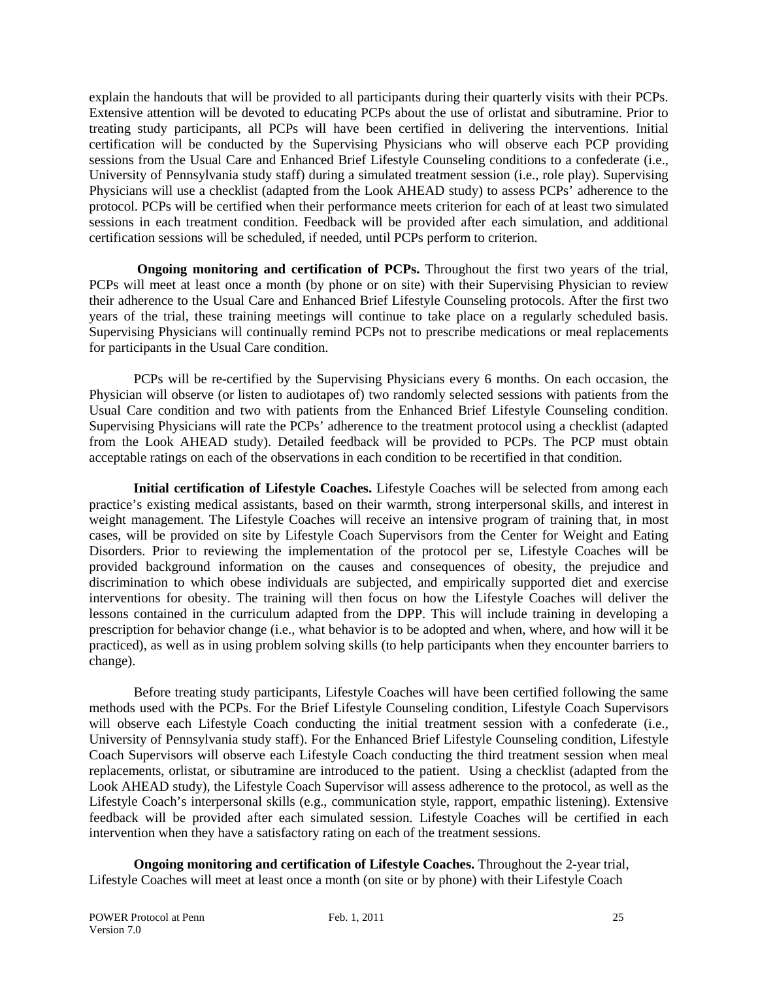explain the handouts that will be provided to all participants during their quarterly visits with their PCPs. Extensive attention will be devoted to educating PCPs about the use of orlistat and sibutramine. Prior to treating study participants, all PCPs will have been certified in delivering the interventions. Initial certification will be conducted by the Supervising Physicians who will observe each PCP providing sessions from the Usual Care and Enhanced Brief Lifestyle Counseling conditions to a confederate (i.e., University of Pennsylvania study staff) during a simulated treatment session (i.e., role play). Supervising Physicians will use a checklist (adapted from the Look AHEAD study) to assess PCPs' adherence to the protocol. PCPs will be certified when their performance meets criterion for each of at least two simulated sessions in each treatment condition. Feedback will be provided after each simulation, and additional certification sessions will be scheduled, if needed, until PCPs perform to criterion.

**Ongoing monitoring and certification of PCPs.** Throughout the first two years of the trial, PCPs will meet at least once a month (by phone or on site) with their Supervising Physician to review their adherence to the Usual Care and Enhanced Brief Lifestyle Counseling protocols. After the first two years of the trial, these training meetings will continue to take place on a regularly scheduled basis. Supervising Physicians will continually remind PCPs not to prescribe medications or meal replacements for participants in the Usual Care condition.

PCPs will be re-certified by the Supervising Physicians every 6 months. On each occasion, the Physician will observe (or listen to audiotapes of) two randomly selected sessions with patients from the Usual Care condition and two with patients from the Enhanced Brief Lifestyle Counseling condition. Supervising Physicians will rate the PCPs' adherence to the treatment protocol using a checklist (adapted from the Look AHEAD study). Detailed feedback will be provided to PCPs. The PCP must obtain acceptable ratings on each of the observations in each condition to be recertified in that condition.

**Initial certification of Lifestyle Coaches.** Lifestyle Coaches will be selected from among each practice's existing medical assistants, based on their warmth, strong interpersonal skills, and interest in weight management. The Lifestyle Coaches will receive an intensive program of training that, in most cases, will be provided on site by Lifestyle Coach Supervisors from the Center for Weight and Eating Disorders. Prior to reviewing the implementation of the protocol per se, Lifestyle Coaches will be provided background information on the causes and consequences of obesity, the prejudice and discrimination to which obese individuals are subjected, and empirically supported diet and exercise interventions for obesity. The training will then focus on how the Lifestyle Coaches will deliver the lessons contained in the curriculum adapted from the DPP. This will include training in developing a prescription for behavior change (i.e., what behavior is to be adopted and when, where, and how will it be practiced), as well as in using problem solving skills (to help participants when they encounter barriers to change).

Before treating study participants, Lifestyle Coaches will have been certified following the same methods used with the PCPs. For the Brief Lifestyle Counseling condition, Lifestyle Coach Supervisors will observe each Lifestyle Coach conducting the initial treatment session with a confederate (i.e., University of Pennsylvania study staff). For the Enhanced Brief Lifestyle Counseling condition, Lifestyle Coach Supervisors will observe each Lifestyle Coach conducting the third treatment session when meal replacements, orlistat, or sibutramine are introduced to the patient. Using a checklist (adapted from the Look AHEAD study), the Lifestyle Coach Supervisor will assess adherence to the protocol, as well as the Lifestyle Coach's interpersonal skills (e.g., communication style, rapport, empathic listening). Extensive feedback will be provided after each simulated session. Lifestyle Coaches will be certified in each intervention when they have a satisfactory rating on each of the treatment sessions.

**Ongoing monitoring and certification of Lifestyle Coaches.** Throughout the 2-year trial, Lifestyle Coaches will meet at least once a month (on site or by phone) with their Lifestyle Coach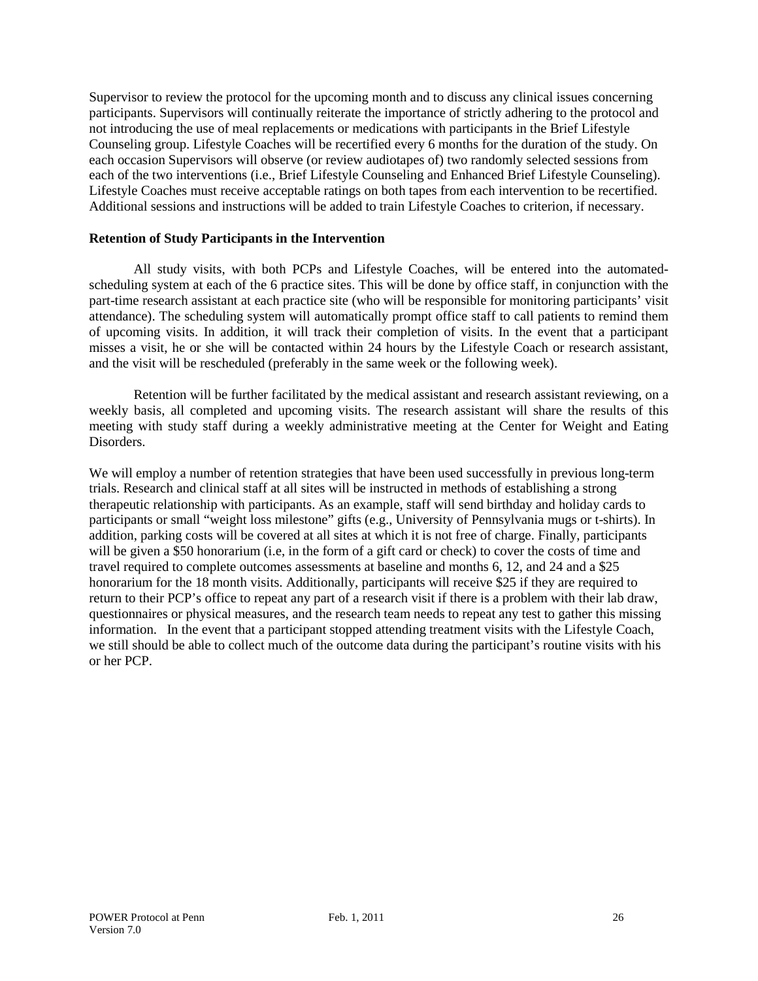Supervisor to review the protocol for the upcoming month and to discuss any clinical issues concerning participants. Supervisors will continually reiterate the importance of strictly adhering to the protocol and not introducing the use of meal replacements or medications with participants in the Brief Lifestyle Counseling group. Lifestyle Coaches will be recertified every 6 months for the duration of the study. On each occasion Supervisors will observe (or review audiotapes of) two randomly selected sessions from each of the two interventions (i.e., Brief Lifestyle Counseling and Enhanced Brief Lifestyle Counseling). Lifestyle Coaches must receive acceptable ratings on both tapes from each intervention to be recertified. Additional sessions and instructions will be added to train Lifestyle Coaches to criterion, if necessary.

#### **Retention of Study Participants in the Intervention**

All study visits, with both PCPs and Lifestyle Coaches, will be entered into the automatedscheduling system at each of the 6 practice sites. This will be done by office staff, in conjunction with the part-time research assistant at each practice site (who will be responsible for monitoring participants' visit attendance). The scheduling system will automatically prompt office staff to call patients to remind them of upcoming visits. In addition, it will track their completion of visits. In the event that a participant misses a visit, he or she will be contacted within 24 hours by the Lifestyle Coach or research assistant, and the visit will be rescheduled (preferably in the same week or the following week).

Retention will be further facilitated by the medical assistant and research assistant reviewing, on a weekly basis, all completed and upcoming visits. The research assistant will share the results of this meeting with study staff during a weekly administrative meeting at the Center for Weight and Eating Disorders.

We will employ a number of retention strategies that have been used successfully in previous long-term trials. Research and clinical staff at all sites will be instructed in methods of establishing a strong therapeutic relationship with participants. As an example, staff will send birthday and holiday cards to participants or small "weight loss milestone" gifts (e.g., University of Pennsylvania mugs or t-shirts). In addition, parking costs will be covered at all sites at which it is not free of charge. Finally, participants will be given a \$50 honorarium (i.e, in the form of a gift card or check) to cover the costs of time and travel required to complete outcomes assessments at baseline and months 6, 12, and 24 and a \$25 honorarium for the 18 month visits. Additionally, participants will receive \$25 if they are required to return to their PCP's office to repeat any part of a research visit if there is a problem with their lab draw, questionnaires or physical measures, and the research team needs to repeat any test to gather this missing information. In the event that a participant stopped attending treatment visits with the Lifestyle Coach, we still should be able to collect much of the outcome data during the participant's routine visits with his or her PCP.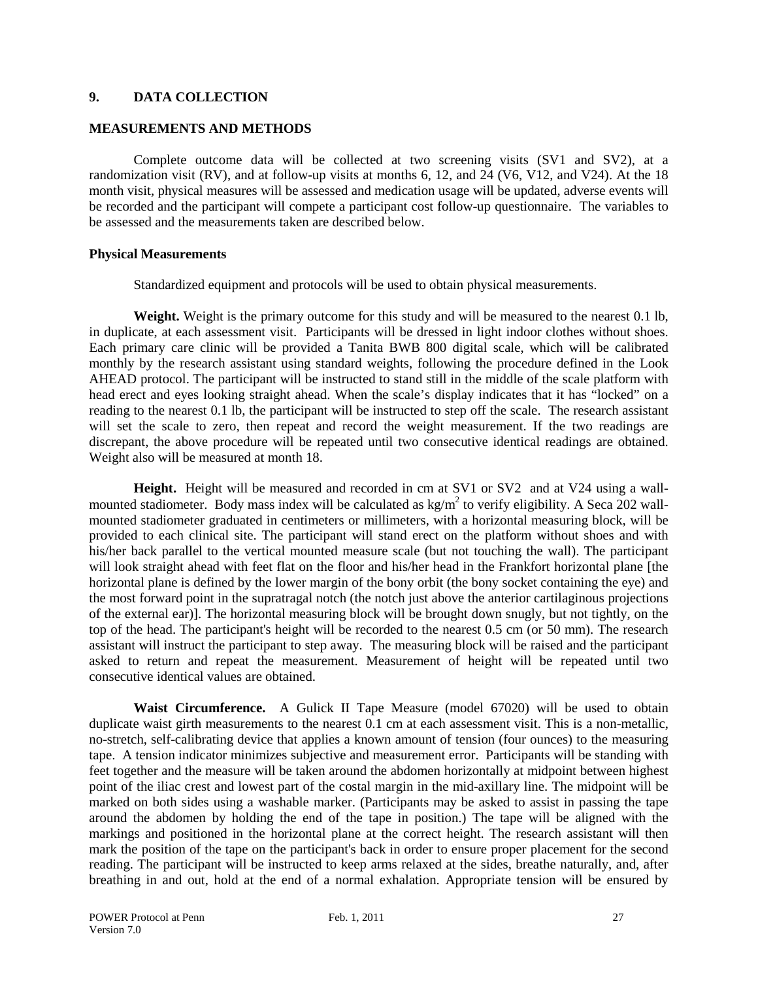## **9. DATA COLLECTION**

#### **MEASUREMENTS AND METHODS**

Complete outcome data will be collected at two screening visits (SV1 and SV2), at a randomization visit (RV), and at follow-up visits at months 6, 12, and 24 (V6, V12, and V24). At the 18 month visit, physical measures will be assessed and medication usage will be updated, adverse events will be recorded and the participant will compete a participant cost follow-up questionnaire. The variables to be assessed and the measurements taken are described below.

#### **Physical Measurements**

Standardized equipment and protocols will be used to obtain physical measurements.

 **Weight.** Weight is the primary outcome for this study and will be measured to the nearest 0.1 lb, in duplicate, at each assessment visit. Participants will be dressed in light indoor clothes without shoes. Each primary care clinic will be provided a Tanita BWB 800 digital scale, which will be calibrated monthly by the research assistant using standard weights, following the procedure defined in the Look AHEAD protocol. The participant will be instructed to stand still in the middle of the scale platform with head erect and eyes looking straight ahead. When the scale's display indicates that it has "locked" on a reading to the nearest 0.1 lb, the participant will be instructed to step off the scale. The research assistant will set the scale to zero, then repeat and record the weight measurement. If the two readings are discrepant, the above procedure will be repeated until two consecutive identical readings are obtained. Weight also will be measured at month 18.

**Height.** Height will be measured and recorded in cm at SV1 or SV2 and at V24 using a wallmounted stadiometer. Body mass index will be calculated as  $\text{kg/m}^2$  to verify eligibility. A Seca 202 wallmounted stadiometer graduated in centimeters or millimeters, with a horizontal measuring block, will be provided to each clinical site. The participant will stand erect on the platform without shoes and with his/her back parallel to the vertical mounted measure scale (but not touching the wall). The participant will look straight ahead with feet flat on the floor and his/her head in the Frankfort horizontal plane [the horizontal plane is defined by the lower margin of the bony orbit (the bony socket containing the eye) and the most forward point in the supratragal notch (the notch just above the anterior cartilaginous projections of the external ear)]. The horizontal measuring block will be brought down snugly, but not tightly, on the top of the head. The participant's height will be recorded to the nearest 0.5 cm (or 50 mm). The research assistant will instruct the participant to step away. The measuring block will be raised and the participant asked to return and repeat the measurement. Measurement of height will be repeated until two consecutive identical values are obtained.

**Waist Circumference.** A Gulick II Tape Measure (model 67020) will be used to obtain duplicate waist girth measurements to the nearest 0.1 cm at each assessment visit. This is a non-metallic, no-stretch, self-calibrating device that applies a known amount of tension (four ounces) to the measuring tape. A tension indicator minimizes subjective and measurement error. Participants will be standing with feet together and the measure will be taken around the abdomen horizontally at midpoint between highest point of the iliac crest and lowest part of the costal margin in the mid-axillary line. The midpoint will be marked on both sides using a washable marker. (Participants may be asked to assist in passing the tape around the abdomen by holding the end of the tape in position.) The tape will be aligned with the markings and positioned in the horizontal plane at the correct height. The research assistant will then mark the position of the tape on the participant's back in order to ensure proper placement for the second reading. The participant will be instructed to keep arms relaxed at the sides, breathe naturally, and, after breathing in and out, hold at the end of a normal exhalation. Appropriate tension will be ensured by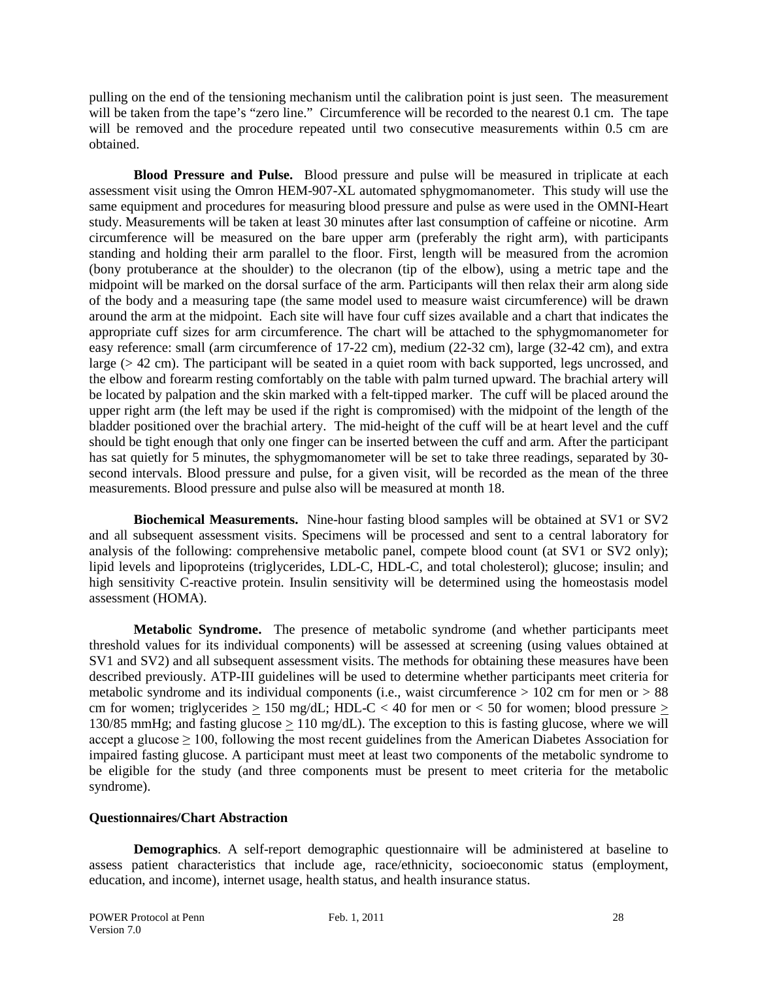pulling on the end of the tensioning mechanism until the calibration point is just seen. The measurement will be taken from the tape's "zero line." Circumference will be recorded to the nearest 0.1 cm. The tape will be removed and the procedure repeated until two consecutive measurements within 0.5 cm are obtained.

**Blood Pressure and Pulse.** Blood pressure and pulse will be measured in triplicate at each assessment visit using the Omron HEM-907-XL automated sphygmomanometer. This study will use the same equipment and procedures for measuring blood pressure and pulse as were used in the OMNI-Heart study. Measurements will be taken at least 30 minutes after last consumption of caffeine or nicotine. Arm circumference will be measured on the bare upper arm (preferably the right arm), with participants standing and holding their arm parallel to the floor. First, length will be measured from the acromion (bony protuberance at the shoulder) to the olecranon (tip of the elbow), using a metric tape and the midpoint will be marked on the dorsal surface of the arm. Participants will then relax their arm along side of the body and a measuring tape (the same model used to measure waist circumference) will be drawn around the arm at the midpoint. Each site will have four cuff sizes available and a chart that indicates the appropriate cuff sizes for arm circumference. The chart will be attached to the sphygmomanometer for easy reference: small (arm circumference of 17-22 cm), medium (22-32 cm), large (32-42 cm), and extra large  $(> 42 \text{ cm})$ . The participant will be seated in a quiet room with back supported, legs uncrossed, and the elbow and forearm resting comfortably on the table with palm turned upward. The brachial artery will be located by palpation and the skin marked with a felt-tipped marker. The cuff will be placed around the upper right arm (the left may be used if the right is compromised) with the midpoint of the length of the bladder positioned over the brachial artery. The mid-height of the cuff will be at heart level and the cuff should be tight enough that only one finger can be inserted between the cuff and arm. After the participant has sat quietly for 5 minutes, the sphygmomanometer will be set to take three readings, separated by 30 second intervals. Blood pressure and pulse, for a given visit, will be recorded as the mean of the three measurements. Blood pressure and pulse also will be measured at month 18.

**Biochemical Measurements.** Nine-hour fasting blood samples will be obtained at SV1 or SV2 and all subsequent assessment visits. Specimens will be processed and sent to a central laboratory for analysis of the following: comprehensive metabolic panel, compete blood count (at SV1 or SV2 only); lipid levels and lipoproteins (triglycerides, LDL-C, HDL-C, and total cholesterol); glucose; insulin; and high sensitivity C-reactive protein. Insulin sensitivity will be determined using the homeostasis model assessment (HOMA).

**Metabolic Syndrome.** The presence of metabolic syndrome (and whether participants meet threshold values for its individual components) will be assessed at screening (using values obtained at SV1 and SV2) and all subsequent assessment visits. The methods for obtaining these measures have been described previously. ATP-III guidelines will be used to determine whether participants meet criteria for metabolic syndrome and its individual components (i.e., waist circumference  $> 102$  cm for men or  $> 88$ ) cm for women; triglycerides  $\geq 150$  mg/dL; HDL-C < 40 for men or < 50 for women; blood pressure  $\geq$ 130/85 mmHg; and fasting glucose > 110 mg/dL). The exception to this is fasting glucose, where we will accept a glucose  $\geq 100$ , following the most recent guidelines from the American Diabetes Association for impaired fasting glucose. A participant must meet at least two components of the metabolic syndrome to be eligible for the study (and three components must be present to meet criteria for the metabolic syndrome).

## **Questionnaires/Chart Abstraction**

**Demographics**. A self-report demographic questionnaire will be administered at baseline to assess patient characteristics that include age, race/ethnicity, socioeconomic status (employment, education, and income), internet usage, health status, and health insurance status.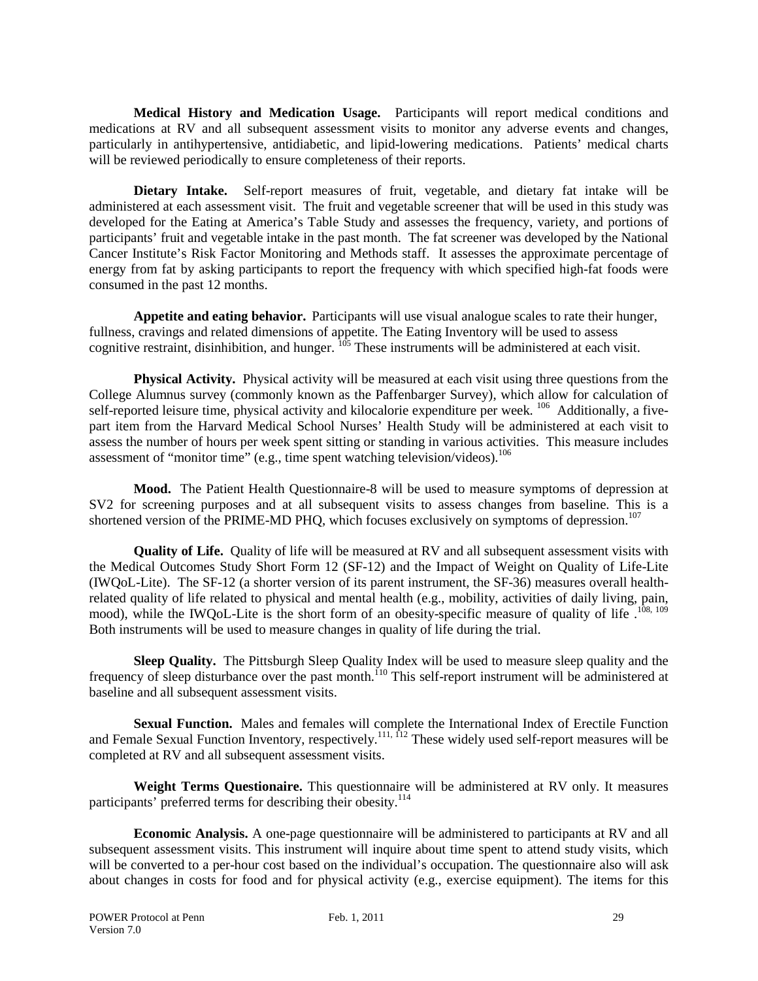**Medical History and Medication Usage.** Participants will report medical conditions and medications at RV and all subsequent assessment visits to monitor any adverse events and changes, particularly in antihypertensive, antidiabetic, and lipid-lowering medications. Patients' medical charts will be reviewed periodically to ensure completeness of their reports.

**Dietary Intake.** Self-report measures of fruit, vegetable, and dietary fat intake will be administered at each assessment visit. The fruit and vegetable screener that will be used in this study was developed for the Eating at America's Table Study and assesses the frequency, variety, and portions of participants' fruit and vegetable intake in the past month. The fat screener was developed by the National Cancer Institute's Risk Factor Monitoring and Methods staff. It assesses the approximate percentage of energy from fat by asking participants to report the frequency with which specified high-fat foods were consumed in the past 12 months.

**Appetite and eating behavior.** Participants will use visual analogue scales to rate their hunger, fullness, cravings and related dimensions of appetite. The Eating Inventory will be used to assess cognitive restraint, disinhibition, and hunger. <sup>105</sup> These instruments will be administered at each visit.

**Physical Activity.** Physical activity will be measured at each visit using three questions from the College Alumnus survey (commonly known as the Paffenbarger Survey), which allow for calculation of self-reported leisure time, physical activity and kilocalorie expenditure per week. <sup>106</sup> Additionally, a fivepart item from the Harvard Medical School Nurses' Health Study will be administered at each visit to assess the number of hours per week spent sitting or standing in various activities. This measure includes assessment of "monitor time" (e.g., time spent watching television/videos).<sup>106</sup>

**Mood.** The Patient Health Questionnaire-8 will be used to measure symptoms of depression at SV2 for screening purposes and at all subsequent visits to assess changes from baseline. This is a shortened version of the PRIME-MD PHQ, which focuses exclusively on symptoms of depression.<sup>107</sup>

**Quality of Life.** Quality of life will be measured at RV and all subsequent assessment visits with the Medical Outcomes Study Short Form 12 (SF-12) and the Impact of Weight on Quality of Life-Lite (IWQoL-Lite). The SF-12 (a shorter version of its parent instrument, the SF-36) measures overall healthrelated quality of life related to physical and mental health (e.g., mobility, activities of daily living, pain, mood), while the IWQoL-Lite is the short form of an obesity-specific measure of quality of life .<sup>108, 109</sup> Both instruments will be used to measure changes in quality of life during the trial.

**Sleep Quality.** The Pittsburgh Sleep Quality Index will be used to measure sleep quality and the frequency of sleep disturbance over the past month.<sup>110</sup> This self-report instrument will be administered at baseline and all subsequent assessment visits.

**Sexual Function.** Males and females will complete the International Index of Erectile Function and Female Sexual Function Inventory, respectively.<sup>111, f12</sup> These widely used self-report measures will be completed at RV and all subsequent assessment visits.

**Weight Terms Questionaire.** This questionnaire will be administered at RV only. It measures participants' preferred terms for describing their obesity.<sup>114</sup>

**Economic Analysis.** A one-page questionnaire will be administered to participants at RV and all subsequent assessment visits. This instrument will inquire about time spent to attend study visits, which will be converted to a per-hour cost based on the individual's occupation. The questionnaire also will ask about changes in costs for food and for physical activity (e.g., exercise equipment). The items for this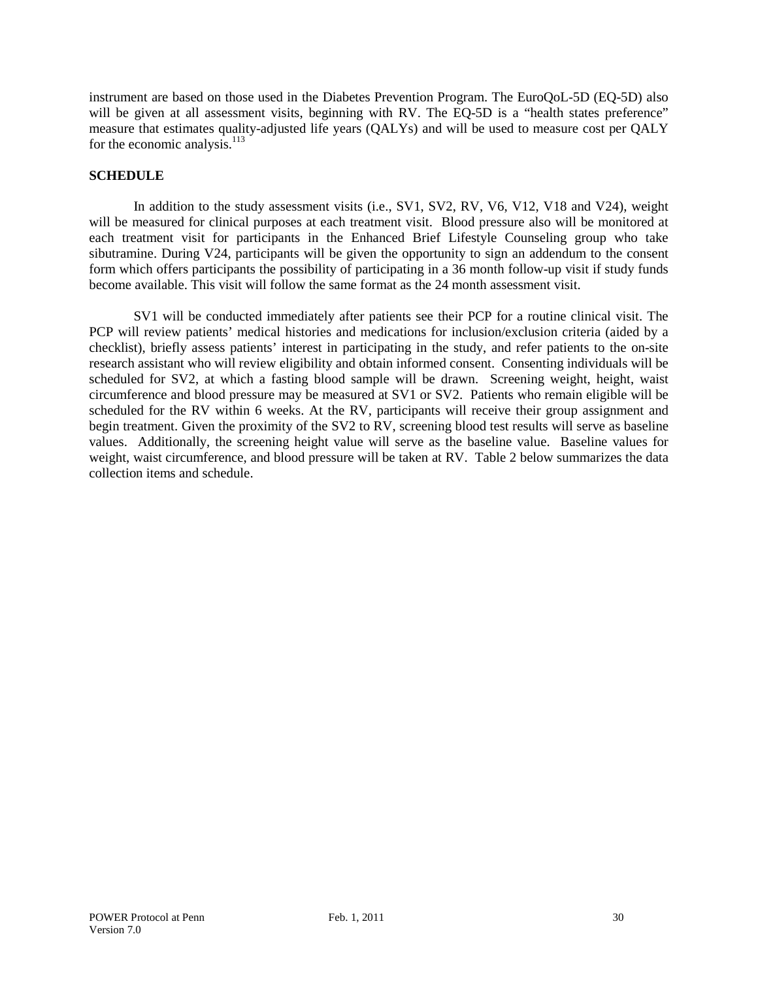instrument are based on those used in the Diabetes Prevention Program. The EuroQoL-5D (EQ-5D) also will be given at all assessment visits, beginning with RV. The EQ-5D is a "health states preference" measure that estimates quality-adjusted life years (QALYs) and will be used to measure cost per QALY for the economic analysis. $113$ 

## **SCHEDULE**

In addition to the study assessment visits (i.e., SV1, SV2, RV, V6, V12, V18 and V24), weight will be measured for clinical purposes at each treatment visit. Blood pressure also will be monitored at each treatment visit for participants in the Enhanced Brief Lifestyle Counseling group who take sibutramine. During V24, participants will be given the opportunity to sign an addendum to the consent form which offers participants the possibility of participating in a 36 month follow-up visit if study funds become available. This visit will follow the same format as the 24 month assessment visit.

SV1 will be conducted immediately after patients see their PCP for a routine clinical visit. The PCP will review patients' medical histories and medications for inclusion/exclusion criteria (aided by a checklist), briefly assess patients' interest in participating in the study, and refer patients to the on-site research assistant who will review eligibility and obtain informed consent. Consenting individuals will be scheduled for SV2, at which a fasting blood sample will be drawn. Screening weight, height, waist circumference and blood pressure may be measured at SV1 or SV2. Patients who remain eligible will be scheduled for the RV within 6 weeks. At the RV, participants will receive their group assignment and begin treatment. Given the proximity of the SV2 to RV, screening blood test results will serve as baseline values. Additionally, the screening height value will serve as the baseline value. Baseline values for weight, waist circumference, and blood pressure will be taken at RV. Table 2 below summarizes the data collection items and schedule.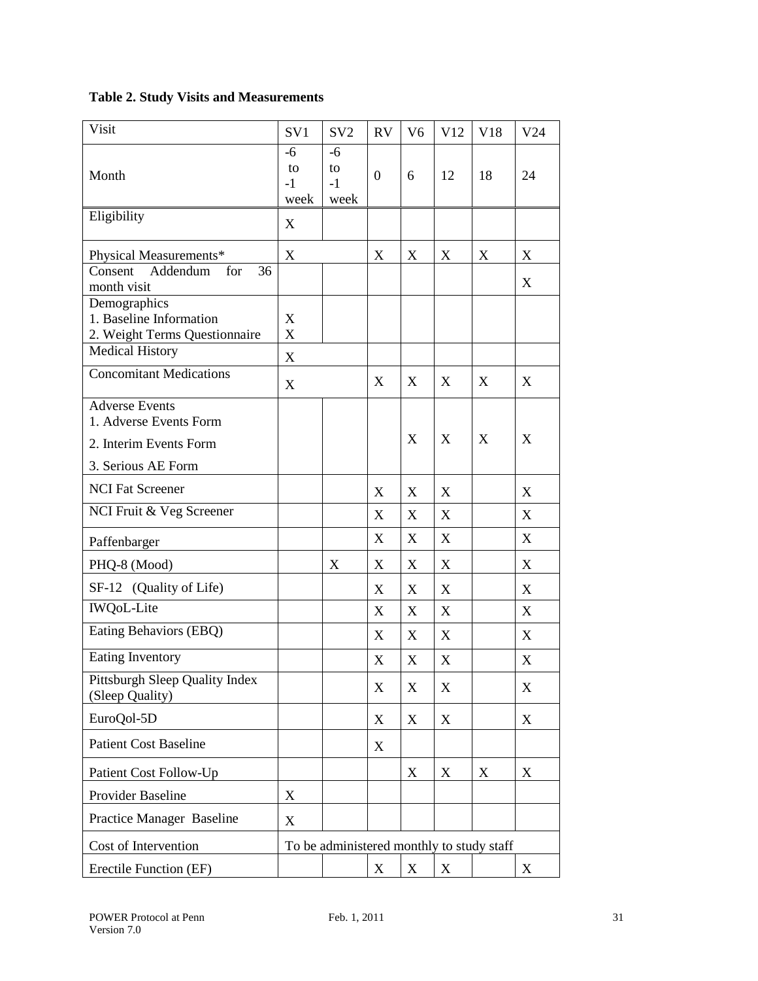# **Table 2. Study Visits and Measurements**

| Visit                                                                                              | SV <sub>1</sub>                           | SV2                        | RV               | V <sub>6</sub>            | V12         | V18 | V24 |
|----------------------------------------------------------------------------------------------------|-------------------------------------------|----------------------------|------------------|---------------------------|-------------|-----|-----|
| Month                                                                                              | -6<br>to<br>$-1$<br>week                  | $-6$<br>to<br>$-1$<br>week | $\boldsymbol{0}$ | 6                         | 12          | 18  | 24  |
| Eligibility                                                                                        | X                                         |                            |                  |                           |             |     |     |
| Physical Measurements*                                                                             | X                                         |                            | X                | X                         | X           | X   | X   |
| Addendum<br>36<br>Consent<br>for<br>month visit                                                    |                                           |                            |                  |                           |             |     | X   |
| Demographics<br>1. Baseline Information<br>2. Weight Terms Questionnaire<br><b>Medical History</b> | X<br>X                                    |                            |                  |                           |             |     |     |
| <b>Concomitant Medications</b>                                                                     | X                                         |                            |                  |                           |             |     |     |
|                                                                                                    | $\boldsymbol{\mathrm{X}}$                 |                            | X                | X                         | X           | X   | X   |
| <b>Adverse Events</b><br>1. Adverse Events Form                                                    |                                           |                            |                  |                           |             |     |     |
| 2. Interim Events Form                                                                             |                                           |                            |                  | X                         | X           | X   | X   |
| 3. Serious AE Form                                                                                 |                                           |                            |                  |                           |             |     |     |
| <b>NCI Fat Screener</b>                                                                            |                                           |                            | X                | X                         | X           |     | X   |
| NCI Fruit & Veg Screener                                                                           |                                           |                            | X                | X                         | X           |     | X   |
| Paffenbarger                                                                                       |                                           |                            | X                | X                         | X           |     | X   |
| PHQ-8 (Mood)                                                                                       |                                           | X                          | X                | X                         | X           |     | X   |
| SF-12 (Quality of Life)                                                                            |                                           |                            | X                | X                         | X           |     | X   |
| <b>IWQoL-Lite</b>                                                                                  |                                           |                            | X                | X                         | X           |     | X   |
| Eating Behaviors (EBQ)                                                                             |                                           |                            | X                | X                         | X           |     | X   |
| Eating Inventory                                                                                   |                                           |                            | X                | X                         | X           |     | X   |
| Pittsburgh Sleep Quality Index<br>(Sleep Quality)                                                  |                                           |                            | $\mathbf X$      | $\mathbf X$               | $\mathbf X$ |     | X   |
| EuroQol-5D                                                                                         |                                           |                            | X                | $\boldsymbol{\mathrm{X}}$ | X           |     | X   |
| <b>Patient Cost Baseline</b>                                                                       |                                           |                            | $\mathbf X$      |                           |             |     |     |
| Patient Cost Follow-Up                                                                             |                                           |                            |                  | X                         | X           | X   | X   |
| Provider Baseline                                                                                  | X                                         |                            |                  |                           |             |     |     |
| Practice Manager Baseline                                                                          | $\mathbf X$                               |                            |                  |                           |             |     |     |
| Cost of Intervention                                                                               | To be administered monthly to study staff |                            |                  |                           |             |     |     |
| Erectile Function (EF)                                                                             |                                           |                            | X                | $\mathbf X$               | X           |     | X   |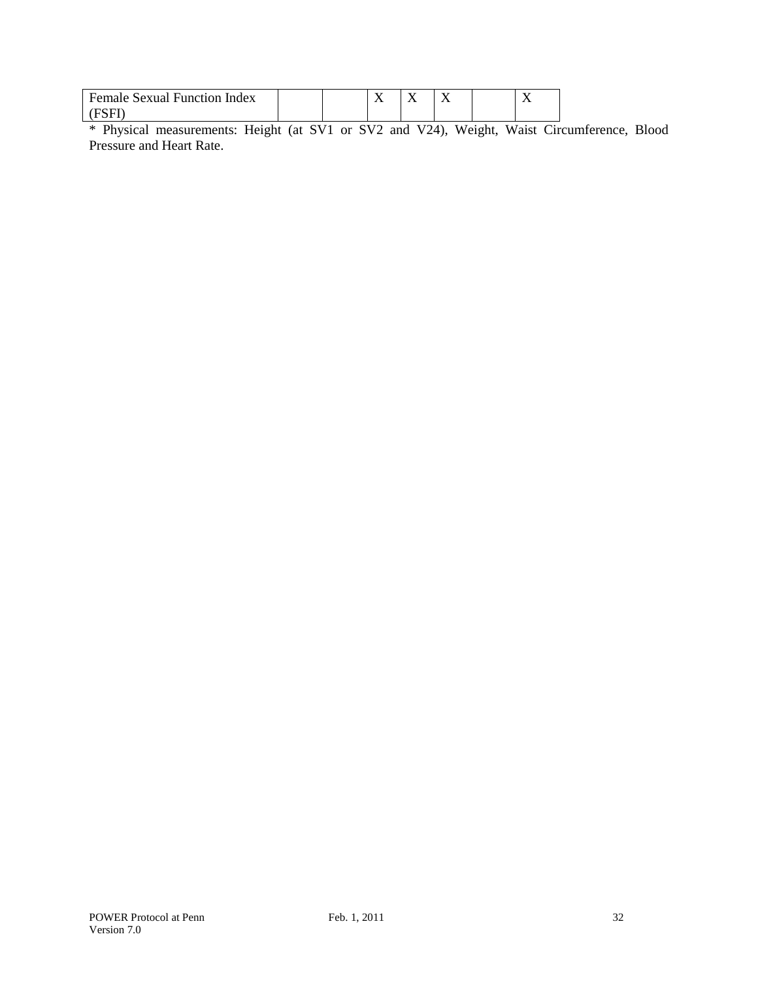| <b>Female Sexual Function Index</b> |  | - -<br>. . | $ -$<br>. . | . . |
|-------------------------------------|--|------------|-------------|-----|
|                                     |  |            |             |     |

\* Physical measurements: Height (at SV1 or SV2 and V24), Weight, Waist Circumference, Blood Pressure and Heart Rate.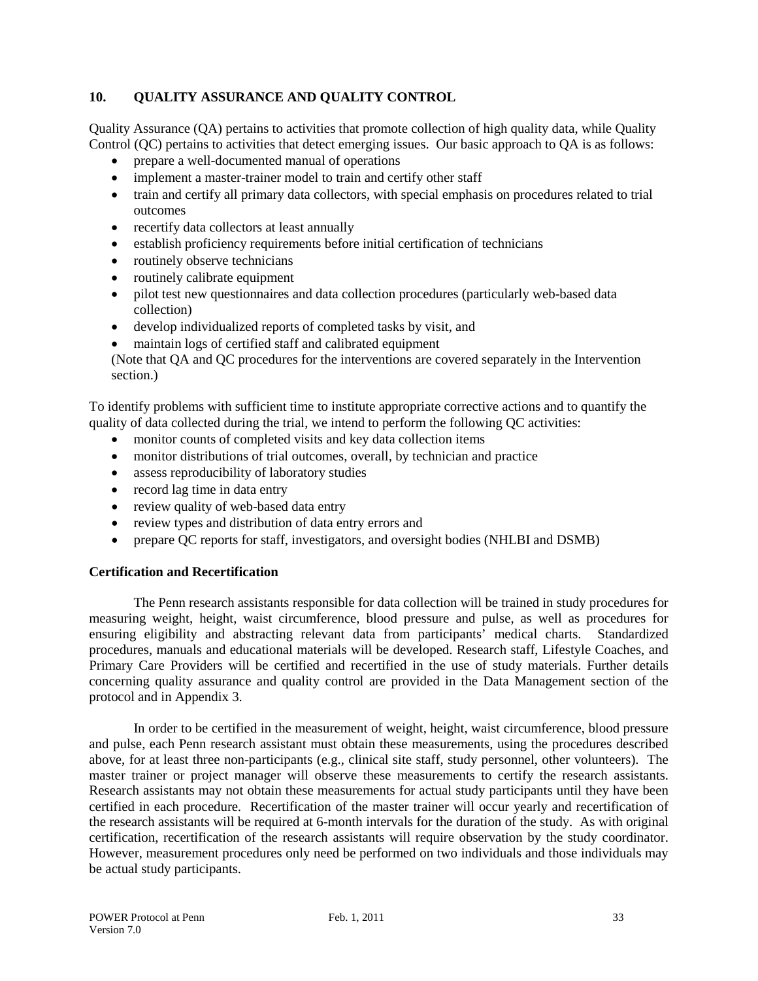# **10. QUALITY ASSURANCE AND QUALITY CONTROL**

Quality Assurance (QA) pertains to activities that promote collection of high quality data, while Quality Control (QC) pertains to activities that detect emerging issues. Our basic approach to QA is as follows:

- prepare a well-documented manual of operations
- implement a master-trainer model to train and certify other staff
- train and certify all primary data collectors, with special emphasis on procedures related to trial outcomes
- recertify data collectors at least annually
- establish proficiency requirements before initial certification of technicians
- routinely observe technicians
- routinely calibrate equipment
- pilot test new questionnaires and data collection procedures (particularly web-based data collection)
- develop individualized reports of completed tasks by visit, and
- maintain logs of certified staff and calibrated equipment

(Note that QA and QC procedures for the interventions are covered separately in the Intervention section.)

To identify problems with sufficient time to institute appropriate corrective actions and to quantify the quality of data collected during the trial, we intend to perform the following QC activities:

- monitor counts of completed visits and key data collection items
- monitor distributions of trial outcomes, overall, by technician and practice
- assess reproducibility of laboratory studies
- record lag time in data entry
- review quality of web-based data entry
- review types and distribution of data entry errors and
- prepare QC reports for staff, investigators, and oversight bodies (NHLBI and DSMB)

## **Certification and Recertification**

The Penn research assistants responsible for data collection will be trained in study procedures for measuring weight, height, waist circumference, blood pressure and pulse, as well as procedures for ensuring eligibility and abstracting relevant data from participants' medical charts. Standardized procedures, manuals and educational materials will be developed. Research staff, Lifestyle Coaches, and Primary Care Providers will be certified and recertified in the use of study materials. Further details concerning quality assurance and quality control are provided in the Data Management section of the protocol and in Appendix 3.

In order to be certified in the measurement of weight, height, waist circumference, blood pressure and pulse, each Penn research assistant must obtain these measurements, using the procedures described above, for at least three non-participants (e.g., clinical site staff, study personnel, other volunteers). The master trainer or project manager will observe these measurements to certify the research assistants. Research assistants may not obtain these measurements for actual study participants until they have been certified in each procedure. Recertification of the master trainer will occur yearly and recertification of the research assistants will be required at 6-month intervals for the duration of the study. As with original certification, recertification of the research assistants will require observation by the study coordinator. However, measurement procedures only need be performed on two individuals and those individuals may be actual study participants.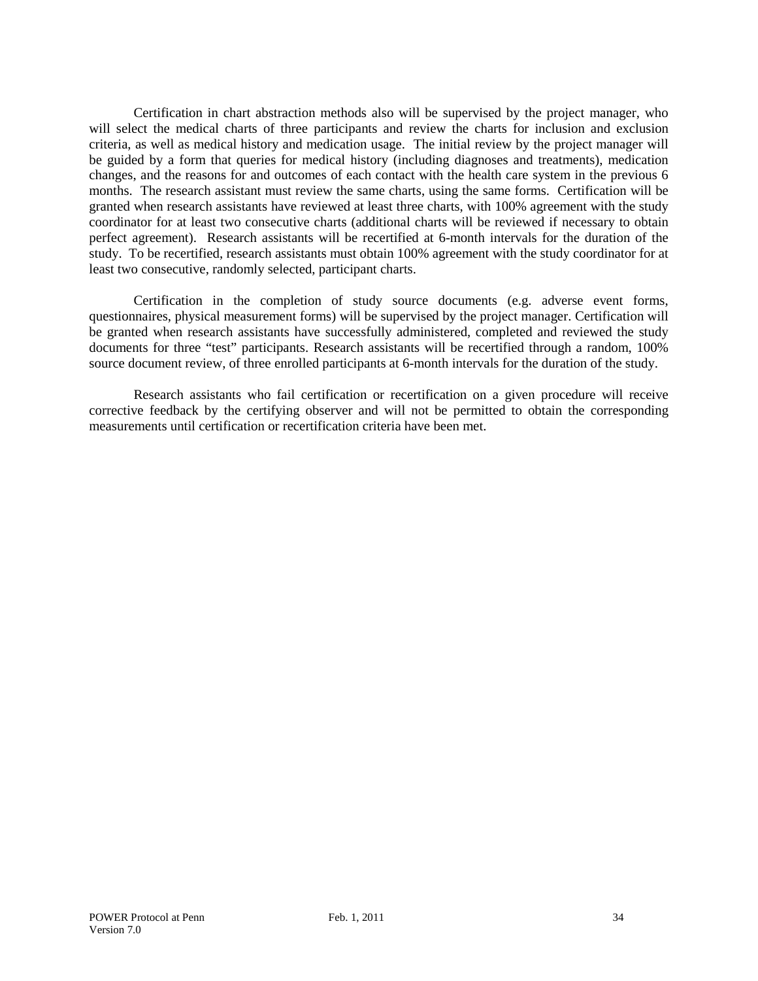Certification in chart abstraction methods also will be supervised by the project manager, who will select the medical charts of three participants and review the charts for inclusion and exclusion criteria, as well as medical history and medication usage. The initial review by the project manager will be guided by a form that queries for medical history (including diagnoses and treatments), medication changes, and the reasons for and outcomes of each contact with the health care system in the previous 6 months. The research assistant must review the same charts, using the same forms. Certification will be granted when research assistants have reviewed at least three charts, with 100% agreement with the study coordinator for at least two consecutive charts (additional charts will be reviewed if necessary to obtain perfect agreement). Research assistants will be recertified at 6-month intervals for the duration of the study. To be recertified, research assistants must obtain 100% agreement with the study coordinator for at least two consecutive, randomly selected, participant charts.

Certification in the completion of study source documents (e.g. adverse event forms, questionnaires, physical measurement forms) will be supervised by the project manager. Certification will be granted when research assistants have successfully administered, completed and reviewed the study documents for three "test" participants. Research assistants will be recertified through a random, 100% source document review, of three enrolled participants at 6-month intervals for the duration of the study.

Research assistants who fail certification or recertification on a given procedure will receive corrective feedback by the certifying observer and will not be permitted to obtain the corresponding measurements until certification or recertification criteria have been met.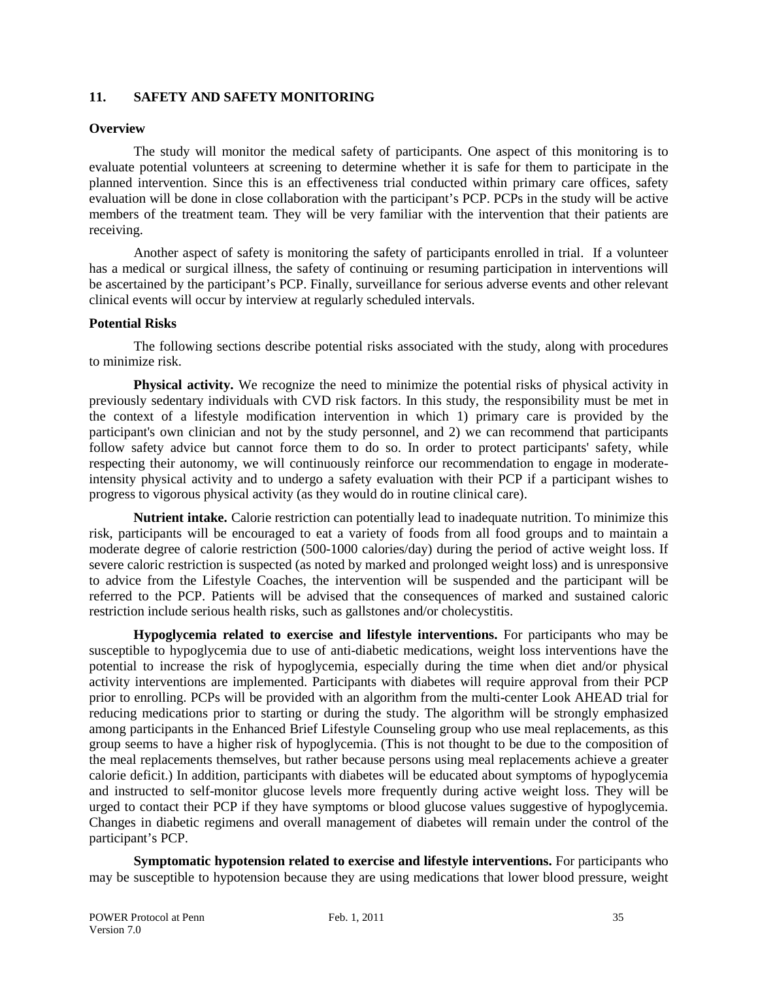## **11. SAFETY AND SAFETY MONITORING**

#### **Overview**

The study will monitor the medical safety of participants. One aspect of this monitoring is to evaluate potential volunteers at screening to determine whether it is safe for them to participate in the planned intervention. Since this is an effectiveness trial conducted within primary care offices, safety evaluation will be done in close collaboration with the participant's PCP. PCPs in the study will be active members of the treatment team. They will be very familiar with the intervention that their patients are receiving.

Another aspect of safety is monitoring the safety of participants enrolled in trial. If a volunteer has a medical or surgical illness, the safety of continuing or resuming participation in interventions will be ascertained by the participant's PCP. Finally, surveillance for serious adverse events and other relevant clinical events will occur by interview at regularly scheduled intervals.

## **Potential Risks**

The following sections describe potential risks associated with the study, along with procedures to minimize risk.

**Physical activity.** We recognize the need to minimize the potential risks of physical activity in previously sedentary individuals with CVD risk factors. In this study, the responsibility must be met in the context of a lifestyle modification intervention in which 1) primary care is provided by the participant's own clinician and not by the study personnel, and 2) we can recommend that participants follow safety advice but cannot force them to do so. In order to protect participants' safety, while respecting their autonomy, we will continuously reinforce our recommendation to engage in moderateintensity physical activity and to undergo a safety evaluation with their PCP if a participant wishes to progress to vigorous physical activity (as they would do in routine clinical care).

**Nutrient intake.** Calorie restriction can potentially lead to inadequate nutrition. To minimize this risk, participants will be encouraged to eat a variety of foods from all food groups and to maintain a moderate degree of calorie restriction (500-1000 calories/day) during the period of active weight loss. If severe caloric restriction is suspected (as noted by marked and prolonged weight loss) and is unresponsive to advice from the Lifestyle Coaches, the intervention will be suspended and the participant will be referred to the PCP. Patients will be advised that the consequences of marked and sustained caloric restriction include serious health risks, such as gallstones and/or cholecystitis.

**Hypoglycemia related to exercise and lifestyle interventions.** For participants who may be susceptible to hypoglycemia due to use of anti-diabetic medications, weight loss interventions have the potential to increase the risk of hypoglycemia, especially during the time when diet and/or physical activity interventions are implemented. Participants with diabetes will require approval from their PCP prior to enrolling. PCPs will be provided with an algorithm from the multi-center Look AHEAD trial for reducing medications prior to starting or during the study. The algorithm will be strongly emphasized among participants in the Enhanced Brief Lifestyle Counseling group who use meal replacements, as this group seems to have a higher risk of hypoglycemia. (This is not thought to be due to the composition of the meal replacements themselves, but rather because persons using meal replacements achieve a greater calorie deficit.) In addition, participants with diabetes will be educated about symptoms of hypoglycemia and instructed to self-monitor glucose levels more frequently during active weight loss. They will be urged to contact their PCP if they have symptoms or blood glucose values suggestive of hypoglycemia. Changes in diabetic regimens and overall management of diabetes will remain under the control of the participant's PCP.

**Symptomatic hypotension related to exercise and lifestyle interventions.** For participants who may be susceptible to hypotension because they are using medications that lower blood pressure, weight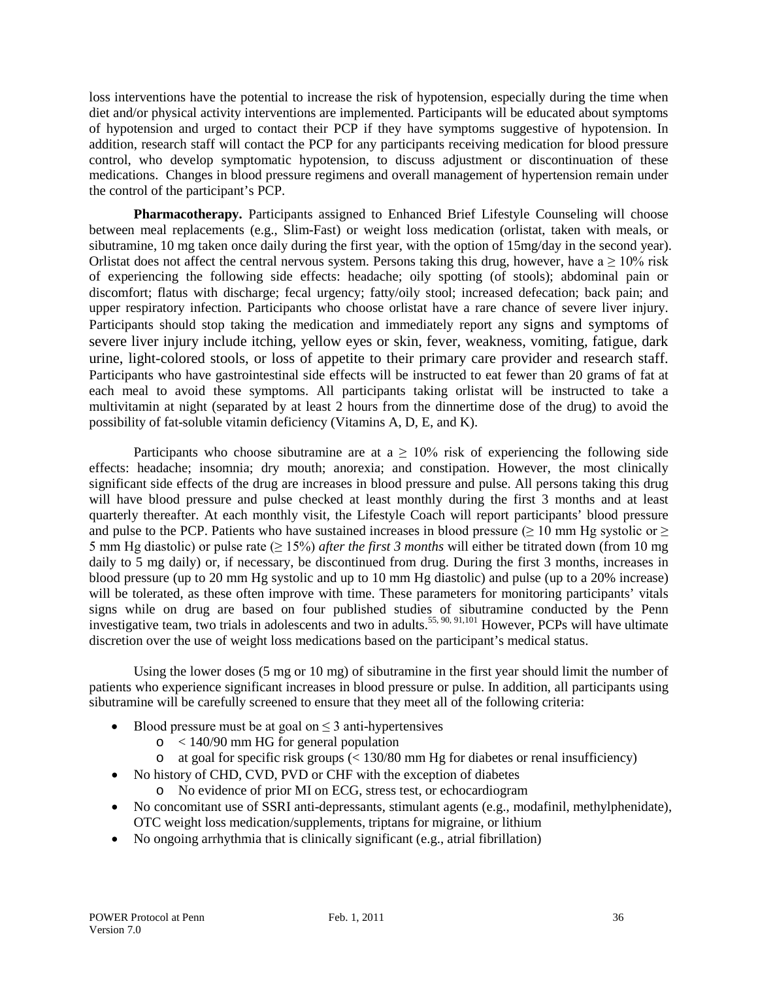loss interventions have the potential to increase the risk of hypotension, especially during the time when diet and/or physical activity interventions are implemented. Participants will be educated about symptoms of hypotension and urged to contact their PCP if they have symptoms suggestive of hypotension. In addition, research staff will contact the PCP for any participants receiving medication for blood pressure control, who develop symptomatic hypotension, to discuss adjustment or discontinuation of these medications. Changes in blood pressure regimens and overall management of hypertension remain under the control of the participant's PCP.

**Pharmacotherapy.** Participants assigned to Enhanced Brief Lifestyle Counseling will choose between meal replacements (e.g., Slim-Fast) or weight loss medication (orlistat, taken with meals, or sibutramine, 10 mg taken once daily during the first year, with the option of 15mg/day in the second year). Orlistat does not affect the central nervous system. Persons taking this drug, however, have a  $> 10\%$  risk of experiencing the following side effects: headache; oily spotting (of stools); abdominal pain or discomfort; flatus with discharge; fecal urgency; fatty/oily stool; increased defecation; back pain; and upper respiratory infection. Participants who choose orlistat have a rare chance of severe liver injury. Participants should stop taking the medication and immediately report any signs and symptoms of severe liver injury include itching, yellow eyes or skin, fever, weakness, vomiting, fatigue, dark urine, light-colored stools, or loss of appetite to their primary care provider and research staff. Participants who have gastrointestinal side effects will be instructed to eat fewer than 20 grams of fat at each meal to avoid these symptoms. All participants taking orlistat will be instructed to take a multivitamin at night (separated by at least 2 hours from the dinnertime dose of the drug) to avoid the possibility of fat-soluble vitamin deficiency (Vitamins A, D, E, and K).

Participants who choose sibutramine are at  $a \geq 10\%$  risk of experiencing the following side effects: headache; insomnia; dry mouth; anorexia; and constipation. However, the most clinically significant side effects of the drug are increases in blood pressure and pulse. All persons taking this drug will have blood pressure and pulse checked at least monthly during the first 3 months and at least quarterly thereafter. At each monthly visit, the Lifestyle Coach will report participants' blood pressure and pulse to the PCP. Patients who have sustained increases in blood pressure ( $\geq 10$  mm Hg systolic or  $\geq$ 5 mm Hg diastolic) or pulse rate (≥ 15%) *after the first 3 months* will either be titrated down (from 10 mg daily to 5 mg daily) or, if necessary, be discontinued from drug. During the first 3 months, increases in blood pressure (up to 20 mm Hg systolic and up to 10 mm Hg diastolic) and pulse (up to a 20% increase) will be tolerated, as these often improve with time. These parameters for monitoring participants' vitals signs while on drug are based on four published studies of sibutramine conducted by the Penn investigative team, two trials in adolescents and two in adults.<sup>55, 90, 91,101</sup> However, PCPs will have ultimate discretion over the use of weight loss medications based on the participant's medical status.

Using the lower doses (5 mg or 10 mg) of sibutramine in the first year should limit the number of patients who experience significant increases in blood pressure or pulse. In addition, all participants using sibutramine will be carefully screened to ensure that they meet all of the following criteria:

- Blood pressure must be at goal on  $\leq$  3 anti-hypertensives
	- o < 140/90 mm HG for general population
	- $\circ$  at goal for specific risk groups (< 130/80 mm Hg for diabetes or renal insufficiency)
- No history of CHD, CVD, PVD or CHF with the exception of diabetes o No evidence of prior MI on ECG, stress test, or echocardiogram
- No concomitant use of SSRI anti-depressants, stimulant agents (e.g., modafinil, methylphenidate), OTC weight loss medication/supplements, triptans for migraine, or lithium
- No ongoing arrhythmia that is clinically significant (e.g., atrial fibrillation)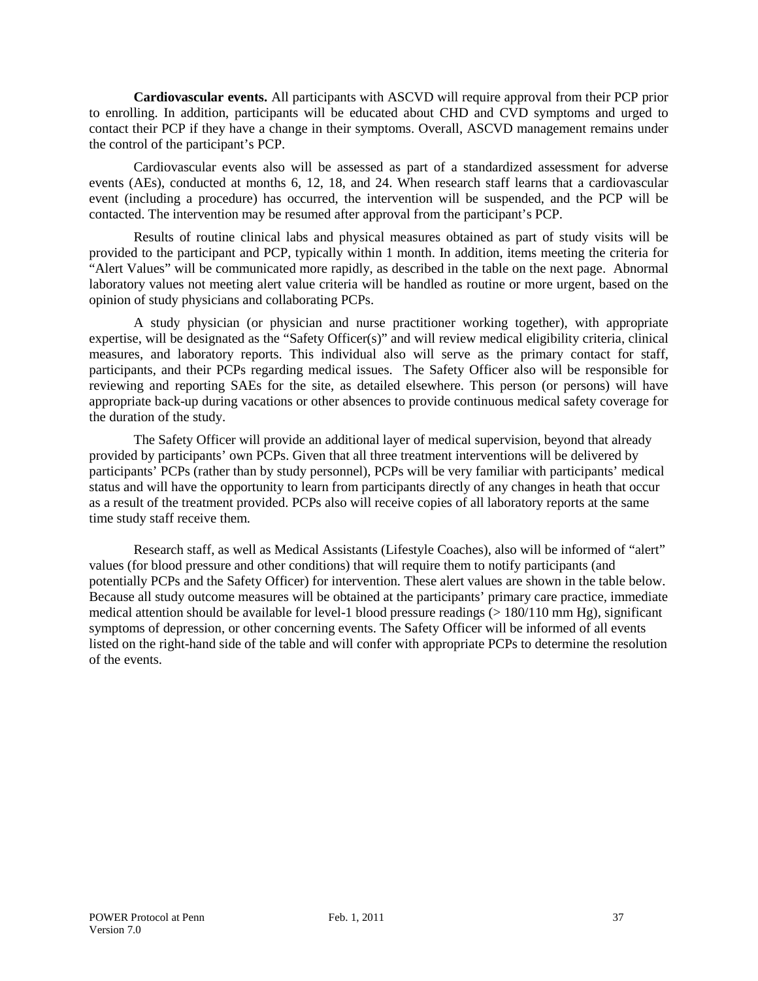**Cardiovascular events.** All participants with ASCVD will require approval from their PCP prior to enrolling. In addition, participants will be educated about CHD and CVD symptoms and urged to contact their PCP if they have a change in their symptoms. Overall, ASCVD management remains under the control of the participant's PCP.

Cardiovascular events also will be assessed as part of a standardized assessment for adverse events (AEs), conducted at months 6, 12, 18, and 24. When research staff learns that a cardiovascular event (including a procedure) has occurred, the intervention will be suspended, and the PCP will be contacted. The intervention may be resumed after approval from the participant's PCP.

Results of routine clinical labs and physical measures obtained as part of study visits will be provided to the participant and PCP, typically within 1 month. In addition, items meeting the criteria for "Alert Values" will be communicated more rapidly, as described in the table on the next page. Abnormal laboratory values not meeting alert value criteria will be handled as routine or more urgent, based on the opinion of study physicians and collaborating PCPs.

A study physician (or physician and nurse practitioner working together), with appropriate expertise, will be designated as the "Safety Officer(s)" and will review medical eligibility criteria, clinical measures, and laboratory reports. This individual also will serve as the primary contact for staff, participants, and their PCPs regarding medical issues. The Safety Officer also will be responsible for reviewing and reporting SAEs for the site, as detailed elsewhere. This person (or persons) will have appropriate back-up during vacations or other absences to provide continuous medical safety coverage for the duration of the study.

The Safety Officer will provide an additional layer of medical supervision, beyond that already provided by participants' own PCPs. Given that all three treatment interventions will be delivered by participants' PCPs (rather than by study personnel), PCPs will be very familiar with participants' medical status and will have the opportunity to learn from participants directly of any changes in heath that occur as a result of the treatment provided. PCPs also will receive copies of all laboratory reports at the same time study staff receive them.

Research staff, as well as Medical Assistants (Lifestyle Coaches), also will be informed of "alert" values (for blood pressure and other conditions) that will require them to notify participants (and potentially PCPs and the Safety Officer) for intervention. These alert values are shown in the table below. Because all study outcome measures will be obtained at the participants' primary care practice, immediate medical attention should be available for level-1 blood pressure readings (> 180/110 mm Hg), significant symptoms of depression, or other concerning events. The Safety Officer will be informed of all events listed on the right-hand side of the table and will confer with appropriate PCPs to determine the resolution of the events.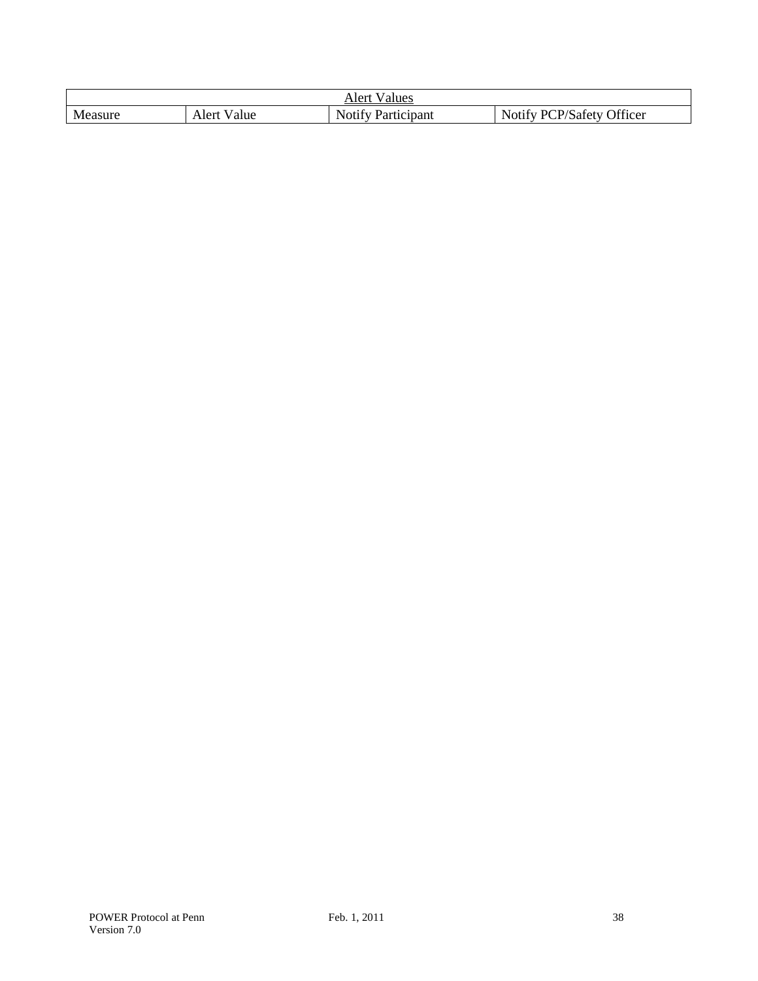| /alues<br>Alert |                 |                                         |                              |  |
|-----------------|-----------------|-----------------------------------------|------------------------------|--|
| Measure         | V alue<br>Alert | $\mathbf{v}$<br>- Notify<br>Participant | Officer<br>Notify PCP/Safety |  |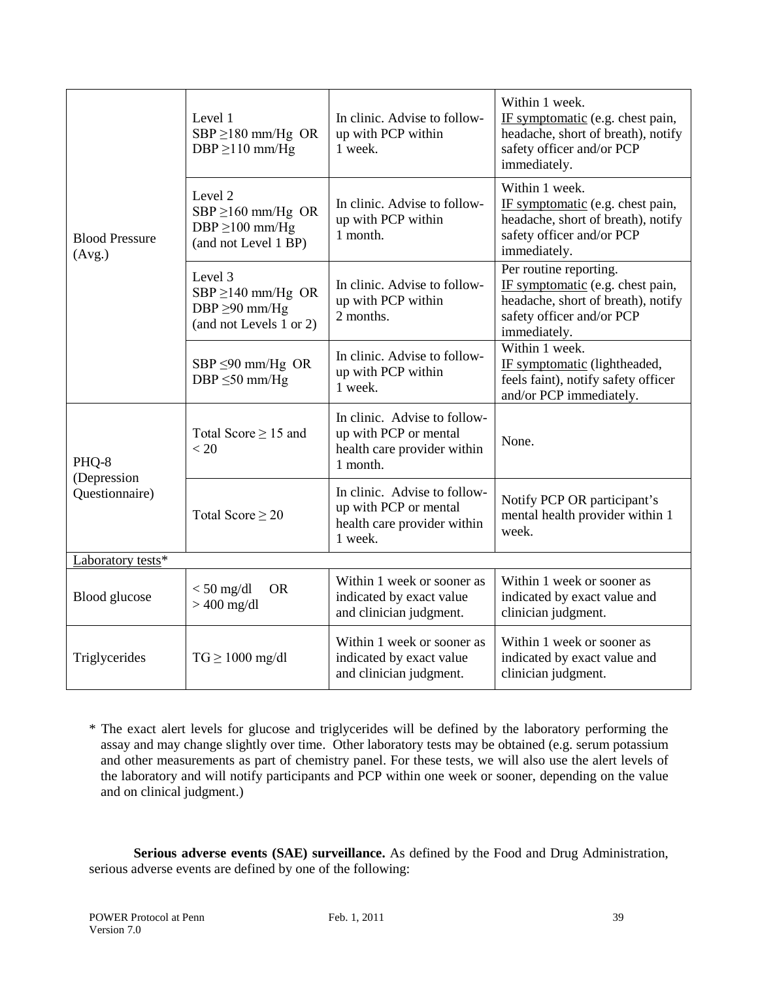|                                 | Level 1<br>$SBP \ge 180$ mm/Hg OR<br>DBP $\geq$ 110 mm/Hg                           | In clinic. Advise to follow-<br>up with PCP within<br>1 week.                                    | Within 1 week.<br>IF symptomatic (e.g. chest pain,<br>headache, short of breath), notify<br>safety officer and/or PCP<br>immediately.         |
|---------------------------------|-------------------------------------------------------------------------------------|--------------------------------------------------------------------------------------------------|-----------------------------------------------------------------------------------------------------------------------------------------------|
| <b>Blood Pressure</b><br>(Avg.) | Level 2<br>$SBP \ge 160$ mm/Hg OR<br>$DBP \ge 100$ mm/Hg<br>(and not Level 1 BP)    | In clinic. Advise to follow-<br>up with PCP within<br>1 month.                                   | Within 1 week.<br>IF symptomatic (e.g. chest pain,<br>headache, short of breath), notify<br>safety officer and/or PCP<br>immediately.         |
|                                 | Level 3<br>$SBP \ge 140$ mm/Hg OR<br>DBP $\geq$ 90 mm/Hg<br>(and not Levels 1 or 2) | In clinic. Advise to follow-<br>up with PCP within<br>2 months.                                  | Per routine reporting.<br>IF symptomatic (e.g. chest pain,<br>headache, short of breath), notify<br>safety officer and/or PCP<br>immediately. |
|                                 | SBP $\leq 90$ mm/Hg OR<br>DBP $\leq 50$ mm/Hg                                       | In clinic. Advise to follow-<br>up with PCP within<br>1 week.                                    | Within 1 week.<br>IF symptomatic (lightheaded,<br>feels faint), notify safety officer<br>and/or PCP immediately.                              |
| PHQ-8<br>(Depression            | Total Score $\geq$ 15 and<br>< 20                                                   | In clinic. Advise to follow-<br>up with PCP or mental<br>health care provider within<br>1 month. | None.                                                                                                                                         |
| Questionnaire)                  | Total Score $\geq 20$                                                               | In clinic. Advise to follow-<br>up with PCP or mental<br>health care provider within<br>1 week.  | Notify PCP OR participant's<br>mental health provider within 1<br>week.                                                                       |
| Laboratory tests*               |                                                                                     |                                                                                                  |                                                                                                                                               |
| Blood glucose                   | $<$ 50 mg/dl<br><b>OR</b><br>$>$ 400 mg/dl                                          | Within 1 week or sooner as<br>indicated by exact value<br>and clinician judgment.                | Within 1 week or sooner as<br>indicated by exact value and<br>clinician judgment.                                                             |
| Triglycerides                   | $TG \geq 1000$ mg/dl                                                                | Within 1 week or sooner as<br>indicated by exact value<br>and clinician judgment.                | Within 1 week or sooner as<br>indicated by exact value and<br>clinician judgment.                                                             |

\* The exact alert levels for glucose and triglycerides will be defined by the laboratory performing the assay and may change slightly over time. Other laboratory tests may be obtained (e.g. serum potassium and other measurements as part of chemistry panel. For these tests, we will also use the alert levels of the laboratory and will notify participants and PCP within one week or sooner, depending on the value and on clinical judgment.)

**Serious adverse events (SAE) surveillance.** As defined by the Food and Drug Administration, serious adverse events are defined by one of the following: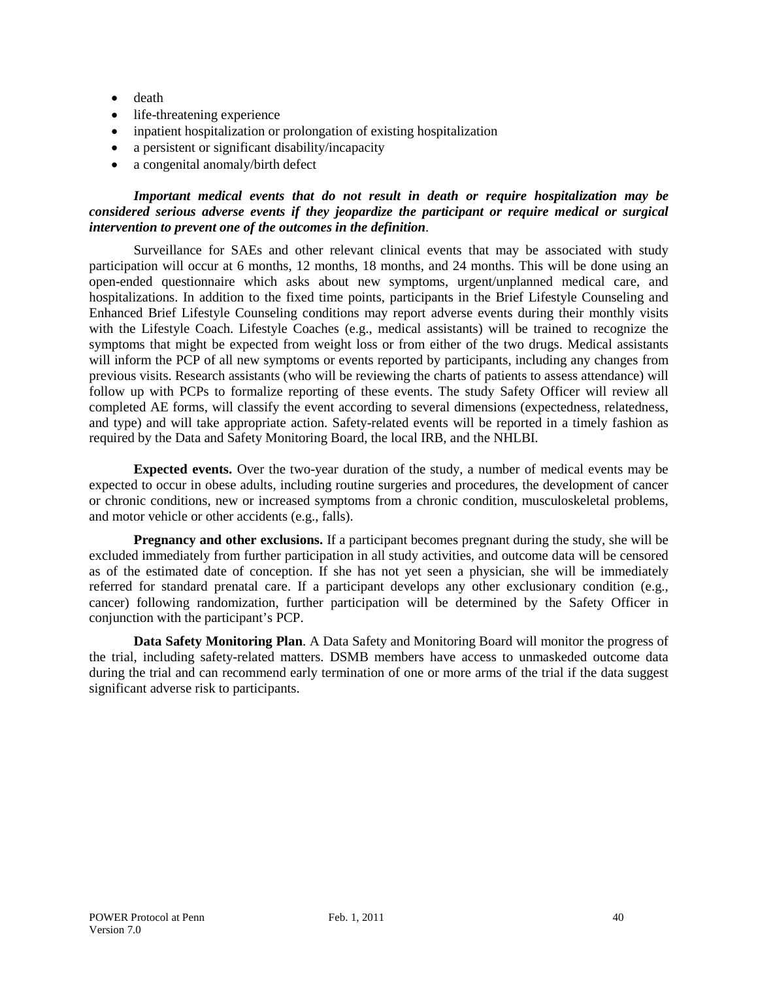- death
- life-threatening experience
- inpatient hospitalization or prolongation of existing hospitalization
- a persistent or significant disability/incapacity
- a congenital anomaly/birth defect

## *Important medical events that do not result in death or require hospitalization may be considered serious adverse events if they jeopardize the participant or require medical or surgical intervention to prevent one of the outcomes in the definition*.

Surveillance for SAEs and other relevant clinical events that may be associated with study participation will occur at 6 months, 12 months, 18 months, and 24 months. This will be done using an open-ended questionnaire which asks about new symptoms, urgent/unplanned medical care, and hospitalizations. In addition to the fixed time points, participants in the Brief Lifestyle Counseling and Enhanced Brief Lifestyle Counseling conditions may report adverse events during their monthly visits with the Lifestyle Coach. Lifestyle Coaches (e.g., medical assistants) will be trained to recognize the symptoms that might be expected from weight loss or from either of the two drugs. Medical assistants will inform the PCP of all new symptoms or events reported by participants, including any changes from previous visits. Research assistants (who will be reviewing the charts of patients to assess attendance) will follow up with PCPs to formalize reporting of these events. The study Safety Officer will review all completed AE forms, will classify the event according to several dimensions (expectedness, relatedness, and type) and will take appropriate action. Safety-related events will be reported in a timely fashion as required by the Data and Safety Monitoring Board, the local IRB, and the NHLBI.

**Expected events.** Over the two-year duration of the study, a number of medical events may be expected to occur in obese adults, including routine surgeries and procedures, the development of cancer or chronic conditions, new or increased symptoms from a chronic condition, musculoskeletal problems, and motor vehicle or other accidents (e.g., falls).

**Pregnancy and other exclusions.** If a participant becomes pregnant during the study, she will be excluded immediately from further participation in all study activities, and outcome data will be censored as of the estimated date of conception. If she has not yet seen a physician, she will be immediately referred for standard prenatal care. If a participant develops any other exclusionary condition (e.g., cancer) following randomization, further participation will be determined by the Safety Officer in conjunction with the participant's PCP.

**Data Safety Monitoring Plan**. A Data Safety and Monitoring Board will monitor the progress of the trial, including safety-related matters. DSMB members have access to unmaskeded outcome data during the trial and can recommend early termination of one or more arms of the trial if the data suggest significant adverse risk to participants.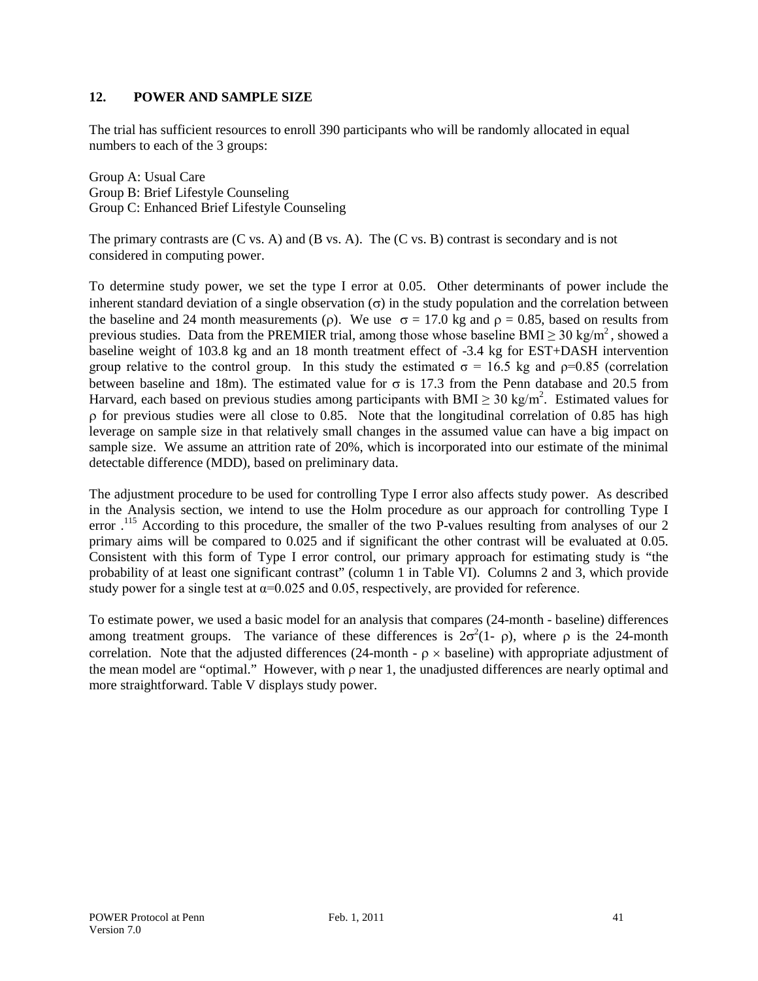## **12. POWER AND SAMPLE SIZE**

The trial has sufficient resources to enroll 390 participants who will be randomly allocated in equal numbers to each of the 3 groups:

Group A: Usual Care Group B: Brief Lifestyle Counseling Group C: Enhanced Brief Lifestyle Counseling

The primary contrasts are (C vs. A) and (B vs. A). The (C vs. B) contrast is secondary and is not considered in computing power.

To determine study power, we set the type I error at 0.05. Other determinants of power include the inherent standard deviation of a single observation  $(\sigma)$  in the study population and the correlation between the baseline and 24 month measurements (ρ). We use  $\sigma = 17.0$  kg and  $\rho = 0.85$ , based on results from previous studies. Data from the PREMIER trial, among those whose baseline BMI  $\geq$  30 kg/m<sup>2</sup>, showed a baseline weight of 103.8 kg and an 18 month treatment effect of -3.4 kg for EST+DASH intervention group relative to the control group. In this study the estimated  $\sigma = 16.5$  kg and  $\rho = 0.85$  (correlation between baseline and 18m). The estimated value for  $\sigma$  is 17.3 from the Penn database and 20.5 from Harvard, each based on previous studies among participants with BMI  $\geq 30$  kg/m<sup>2</sup>. Estimated values for ρ for previous studies were all close to 0.85. Note that the longitudinal correlation of 0.85 has high leverage on sample size in that relatively small changes in the assumed value can have a big impact on sample size. We assume an attrition rate of 20%, which is incorporated into our estimate of the minimal detectable difference (MDD), based on preliminary data.

The adjustment procedure to be used for controlling Type I error also affects study power. As described in the Analysis section, we intend to use the Holm procedure as our approach for controlling Type I error .<sup>115</sup> According to this procedure, the smaller of the two P-values resulting from analyses of our 2 primary aims will be compared to 0.025 and if significant the other contrast will be evaluated at 0.05. Consistent with this form of Type I error control, our primary approach for estimating study is "the probability of at least one significant contrast" (column 1 in Table VI). Columns 2 and 3, which provide study power for a single test at  $\alpha$ =0.025 and 0.05, respectively, are provided for reference.

To estimate power, we used a basic model for an analysis that compares (24-month - baseline) differences among treatment groups. The variance of these differences is  $2\sigma^2(1-\rho)$ , where  $\rho$  is the 24-month correlation. Note that the adjusted differences (24-month -  $\rho \times$  baseline) with appropriate adjustment of the mean model are "optimal." However, with ρ near 1, the unadjusted differences are nearly optimal and more straightforward. Table V displays study power.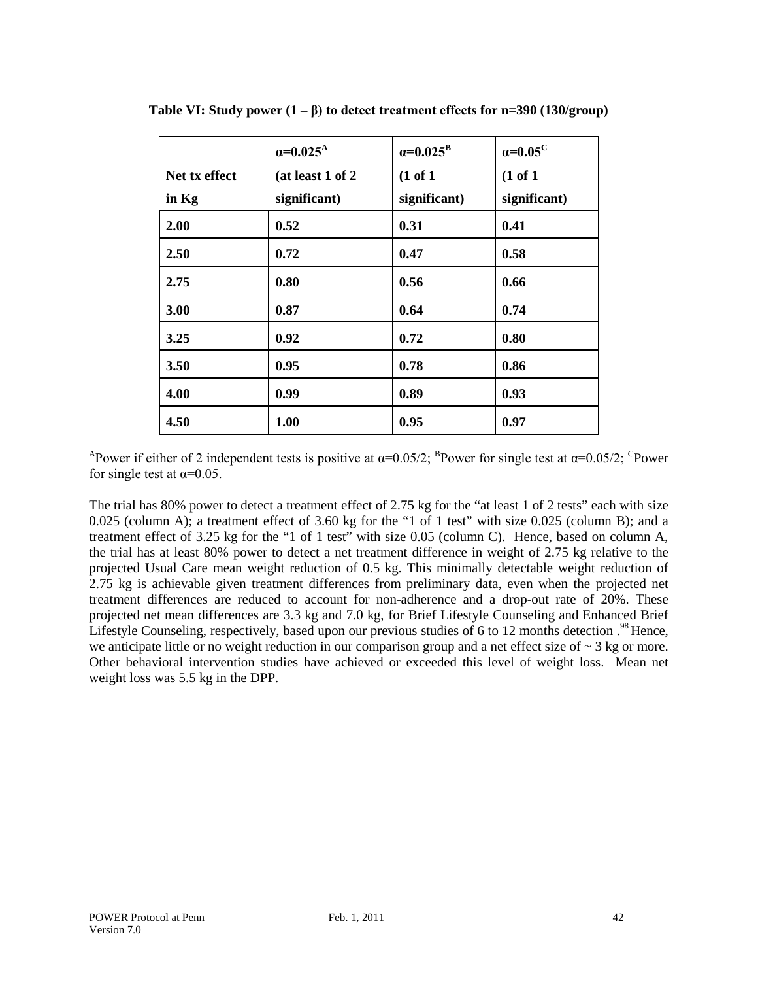|               | $\alpha = 0.025^{\text{A}}$ | $\alpha = 0.025^{\rm B}$ | $\alpha = 0.05^C$ |
|---------------|-----------------------------|--------------------------|-------------------|
| Net tx effect | (at least 1 of 2            | (1 of 1)                 | (1 of 1)          |
| in Kg         | significant)                | significant)             | significant)      |
| 2.00          | 0.52                        | 0.31                     | 0.41              |
| 2.50          | 0.72                        | 0.47                     | 0.58              |
| 2.75          | 0.80                        | 0.56                     | 0.66              |
| 3.00          | 0.87                        | 0.64                     | 0.74              |
| 3.25          | 0.92                        | 0.72                     | 0.80              |
| 3.50          | 0.95                        | 0.78                     | 0.86              |
| 4.00          | 0.99                        | 0.89                     | 0.93              |
| 4.50          | 1.00                        | 0.95                     | 0.97              |

**Table VI: Study power (1 – β) to detect treatment effects for n=390 (130/group)**

A Power if either of 2 independent tests is positive at  $\alpha=0.05/2$ ; <sup>B</sup> Power for single test at  $\alpha=0.05/2$ ; <sup>C</sup> Power for single test at  $\alpha$ =0.05.

The trial has 80% power to detect a treatment effect of 2.75 kg for the "at least 1 of 2 tests" each with size 0.025 (column A); a treatment effect of 3.60 kg for the "1 of 1 test" with size 0.025 (column B); and a treatment effect of 3.25 kg for the "1 of 1 test" with size 0.05 (column C). Hence, based on column A, the trial has at least 80% power to detect a net treatment difference in weight of 2.75 kg relative to the projected Usual Care mean weight reduction of 0.5 kg. This minimally detectable weight reduction of 2.75 kg is achievable given treatment differences from preliminary data, even when the projected net treatment differences are reduced to account for non-adherence and a drop-out rate of 20%. These projected net mean differences are 3.3 kg and 7.0 kg, for Brief Lifestyle Counseling and Enhanced Brief Lifestyle Counseling, respectively, based upon our previous studies of 6 to 12 months detection .<sup>98</sup> Hence, we anticipate little or no weight reduction in our comparison group and a net effect size of  $\sim$  3 kg or more. Other behavioral intervention studies have achieved or exceeded this level of weight loss. Mean net weight loss was 5.5 kg in the DPP.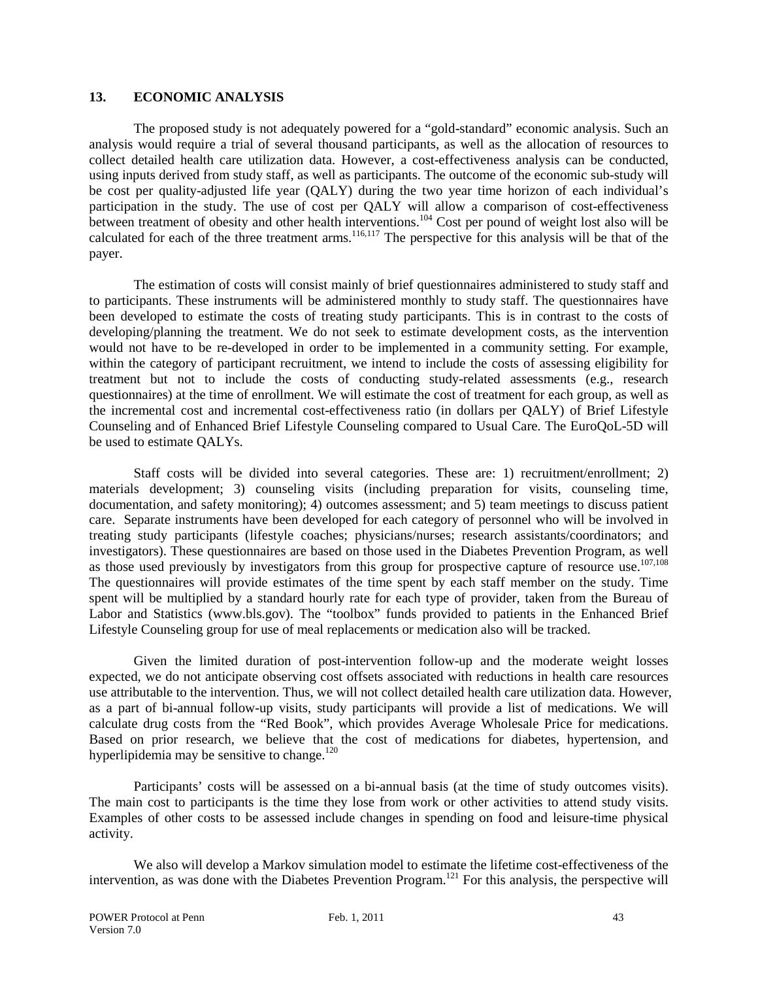### **13. ECONOMIC ANALYSIS**

The proposed study is not adequately powered for a "gold-standard" economic analysis. Such an analysis would require a trial of several thousand participants, as well as the allocation of resources to collect detailed health care utilization data. However, a cost-effectiveness analysis can be conducted, using inputs derived from study staff, as well as participants. The outcome of the economic sub-study will be cost per quality-adjusted life year (QALY) during the two year time horizon of each individual's participation in the study. The use of cost per QALY will allow a comparison of cost-effectiveness between treatment of obesity and other health interventions.<sup>104</sup> Cost per pound of weight lost also will be calculated for each of the three treatment arms.<sup>116,117</sup> The perspective for this analysis will be that of the payer.

The estimation of costs will consist mainly of brief questionnaires administered to study staff and to participants. These instruments will be administered monthly to study staff. The questionnaires have been developed to estimate the costs of treating study participants. This is in contrast to the costs of developing/planning the treatment. We do not seek to estimate development costs, as the intervention would not have to be re-developed in order to be implemented in a community setting. For example, within the category of participant recruitment, we intend to include the costs of assessing eligibility for treatment but not to include the costs of conducting study-related assessments (e.g., research questionnaires) at the time of enrollment. We will estimate the cost of treatment for each group, as well as the incremental cost and incremental cost-effectiveness ratio (in dollars per QALY) of Brief Lifestyle Counseling and of Enhanced Brief Lifestyle Counseling compared to Usual Care. The EuroQoL-5D will be used to estimate QALYs.

Staff costs will be divided into several categories. These are: 1) recruitment/enrollment; 2) materials development; 3) counseling visits (including preparation for visits, counseling time, documentation, and safety monitoring); 4) outcomes assessment; and 5) team meetings to discuss patient care. Separate instruments have been developed for each category of personnel who will be involved in treating study participants (lifestyle coaches; physicians/nurses; research assistants/coordinators; and investigators). These questionnaires are based on those used in the Diabetes Prevention Program, as well as those used previously by investigators from this group for prospective capture of resource use.<sup>107,108</sup> The questionnaires will provide estimates of the time spent by each staff member on the study. Time spent will be multiplied by a standard hourly rate for each type of provider, taken from the Bureau of Labor and Statistics (www.bls.gov). The "toolbox" funds provided to patients in the Enhanced Brief Lifestyle Counseling group for use of meal replacements or medication also will be tracked.

Given the limited duration of post-intervention follow-up and the moderate weight losses expected, we do not anticipate observing cost offsets associated with reductions in health care resources use attributable to the intervention. Thus, we will not collect detailed health care utilization data. However, as a part of bi-annual follow-up visits, study participants will provide a list of medications. We will calculate drug costs from the "Red Book", which provides Average Wholesale Price for medications. Based on prior research, we believe that the cost of medications for diabetes, hypertension, and hyperlipidemia may be sensitive to change.<sup>120</sup>

Participants' costs will be assessed on a bi-annual basis (at the time of study outcomes visits). The main cost to participants is the time they lose from work or other activities to attend study visits. Examples of other costs to be assessed include changes in spending on food and leisure-time physical activity.

We also will develop a Markov simulation model to estimate the lifetime cost-effectiveness of the intervention, as was done with the Diabetes Prevention Program.<sup>121</sup> For this analysis, the perspective will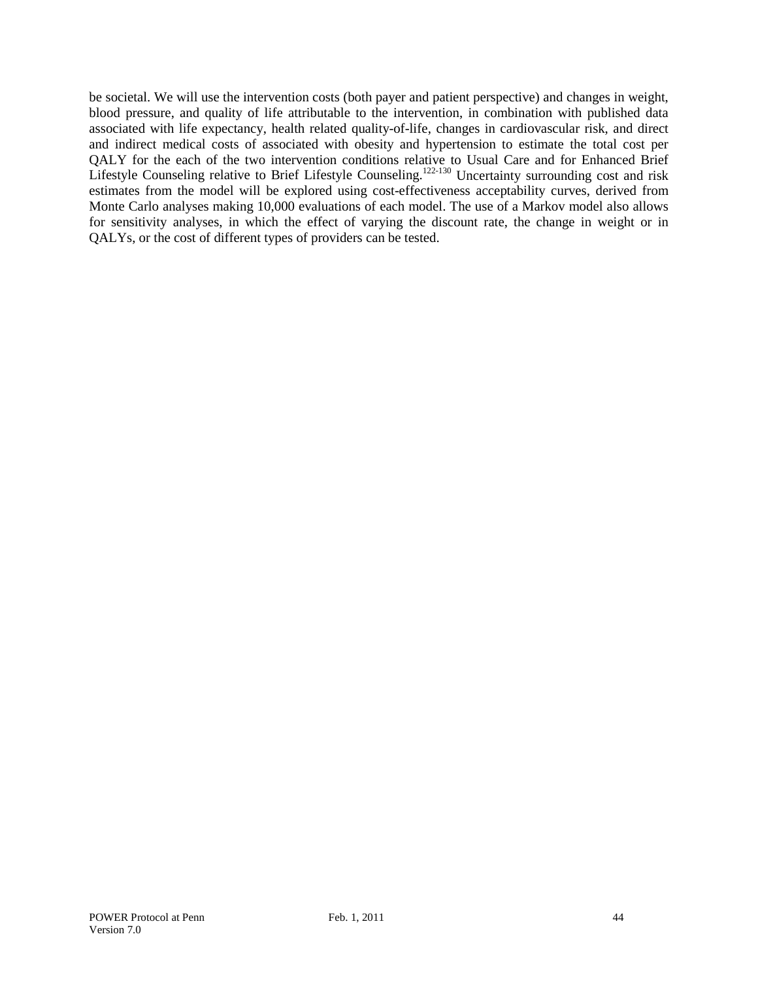be societal. We will use the intervention costs (both payer and patient perspective) and changes in weight, blood pressure, and quality of life attributable to the intervention, in combination with published data associated with life expectancy, health related quality-of-life, changes in cardiovascular risk, and direct and indirect medical costs of associated with obesity and hypertension to estimate the total cost per QALY for the each of the two intervention conditions relative to Usual Care and for Enhanced Brief Lifestyle Counseling relative to Brief Lifestyle Counseling.<sup>122-130</sup> Uncertainty surrounding cost and risk estimates from the model will be explored using cost-effectiveness acceptability curves, derived from Monte Carlo analyses making 10,000 evaluations of each model. The use of a Markov model also allows for sensitivity analyses, in which the effect of varying the discount rate, the change in weight or in QALYs, or the cost of different types of providers can be tested.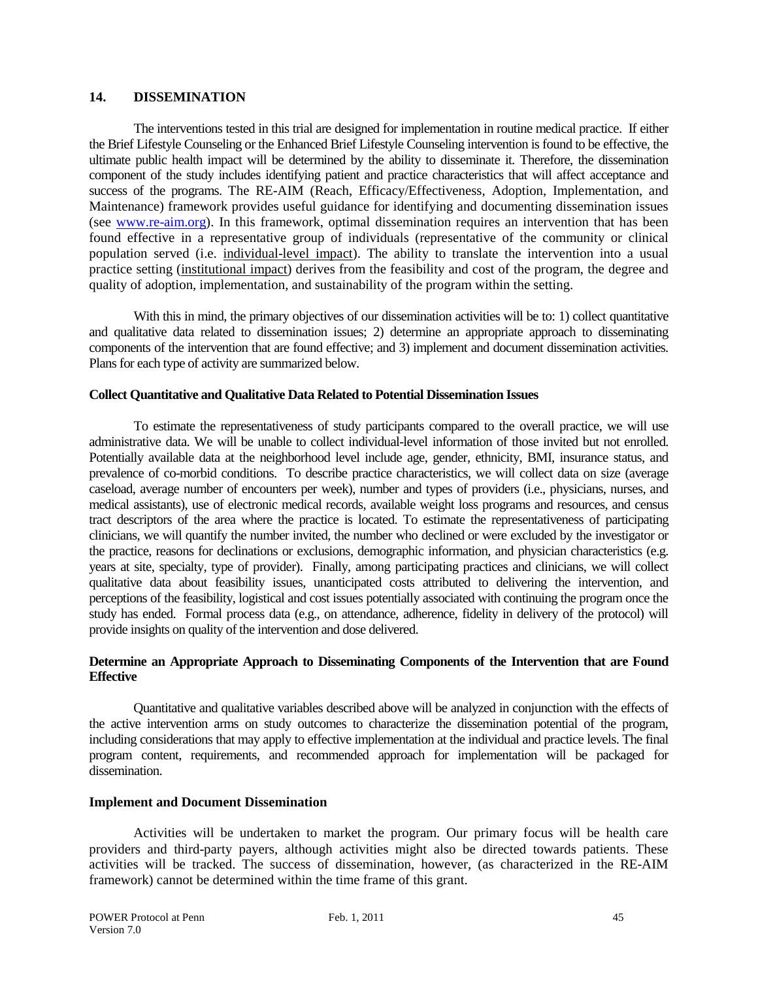### **14. DISSEMINATION**

The interventions tested in this trial are designed for implementation in routine medical practice. If either the Brief Lifestyle Counseling or the Enhanced Brief Lifestyle Counseling intervention is found to be effective, the ultimate public health impact will be determined by the ability to disseminate it. Therefore, the dissemination component of the study includes identifying patient and practice characteristics that will affect acceptance and success of the programs. The RE-AIM (Reach, Efficacy/Effectiveness, Adoption, Implementation, and Maintenance) framework provides useful guidance for identifying and documenting dissemination issues (see [www.re-aim.org\)](http://www.re-aim.org/). In this framework, optimal dissemination requires an intervention that has been found effective in a representative group of individuals (representative of the community or clinical population served (i.e. individual-level impact). The ability to translate the intervention into a usual practice setting (institutional impact) derives from the feasibility and cost of the program, the degree and quality of adoption, implementation, and sustainability of the program within the setting.

With this in mind, the primary objectives of our dissemination activities will be to: 1) collect quantitative and qualitative data related to dissemination issues; 2) determine an appropriate approach to disseminating components of the intervention that are found effective; and 3) implement and document dissemination activities. Plans for each type of activity are summarized below.

## **Collect Quantitative and Qualitative Data Related to Potential Dissemination Issues**

To estimate the representativeness of study participants compared to the overall practice, we will use administrative data. We will be unable to collect individual-level information of those invited but not enrolled. Potentially available data at the neighborhood level include age, gender, ethnicity, BMI, insurance status, and prevalence of co-morbid conditions. To describe practice characteristics, we will collect data on size (average caseload, average number of encounters per week), number and types of providers (i.e., physicians, nurses, and medical assistants), use of electronic medical records, available weight loss programs and resources, and census tract descriptors of the area where the practice is located. To estimate the representativeness of participating clinicians, we will quantify the number invited, the number who declined or were excluded by the investigator or the practice, reasons for declinations or exclusions, demographic information, and physician characteristics (e.g. years at site, specialty, type of provider). Finally, among participating practices and clinicians, we will collect qualitative data about feasibility issues, unanticipated costs attributed to delivering the intervention, and perceptions of the feasibility, logistical and cost issues potentially associated with continuing the program once the study has ended. Formal process data (e.g., on attendance, adherence, fidelity in delivery of the protocol) will provide insights on quality of the intervention and dose delivered.

### **Determine an Appropriate Approach to Disseminating Components of the Intervention that are Found Effective**

Quantitative and qualitative variables described above will be analyzed in conjunction with the effects of the active intervention arms on study outcomes to characterize the dissemination potential of the program, including considerations that may apply to effective implementation at the individual and practice levels. The final program content, requirements, and recommended approach for implementation will be packaged for dissemination.

### **Implement and Document Dissemination**

Activities will be undertaken to market the program. Our primary focus will be health care providers and third-party payers, although activities might also be directed towards patients. These activities will be tracked. The success of dissemination, however, (as characterized in the RE-AIM framework) cannot be determined within the time frame of this grant.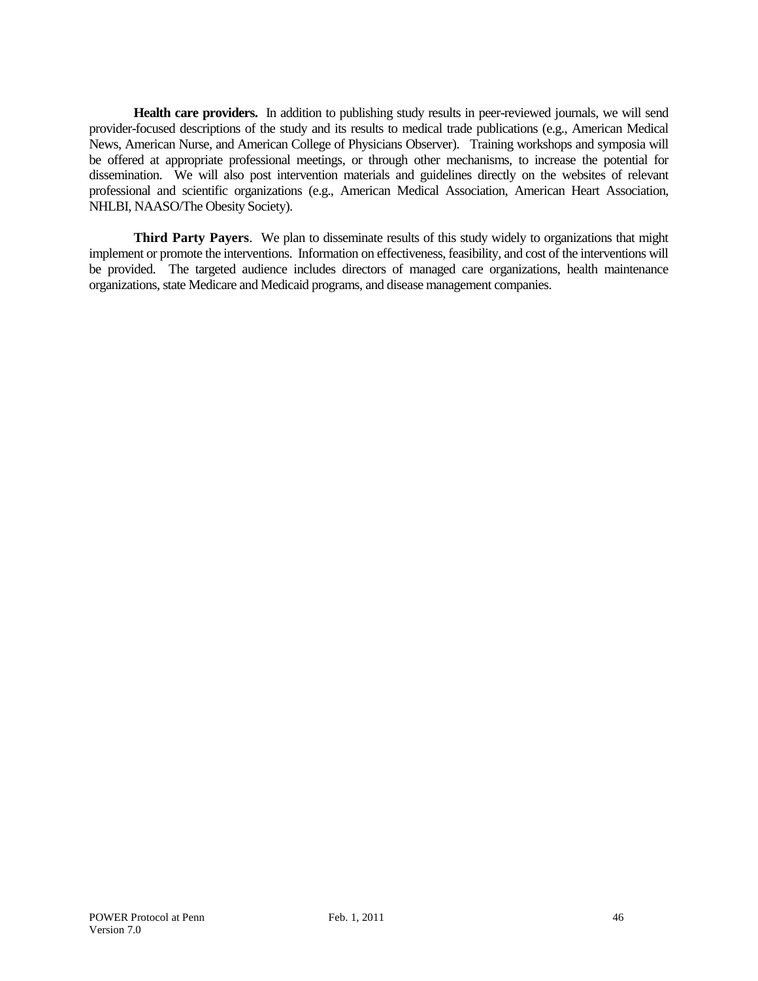**Health care providers.** In addition to publishing study results in peer-reviewed journals, we will send provider-focused descriptions of the study and its results to medical trade publications (e.g., American Medical News, American Nurse, and American College of Physicians Observer). Training workshops and symposia will be offered at appropriate professional meetings, or through other mechanisms, to increase the potential for dissemination. We will also post intervention materials and guidelines directly on the websites of relevant professional and scientific organizations (e.g., American Medical Association, American Heart Association, NHLBI, NAASO/The Obesity Society).

**Third Party Payers**. We plan to disseminate results of this study widely to organizations that might implement or promote the interventions. Information on effectiveness, feasibility, and cost of the interventions will be provided. The targeted audience includes directors of managed care organizations, health maintenance organizations, state Medicare and Medicaid programs, and disease management companies.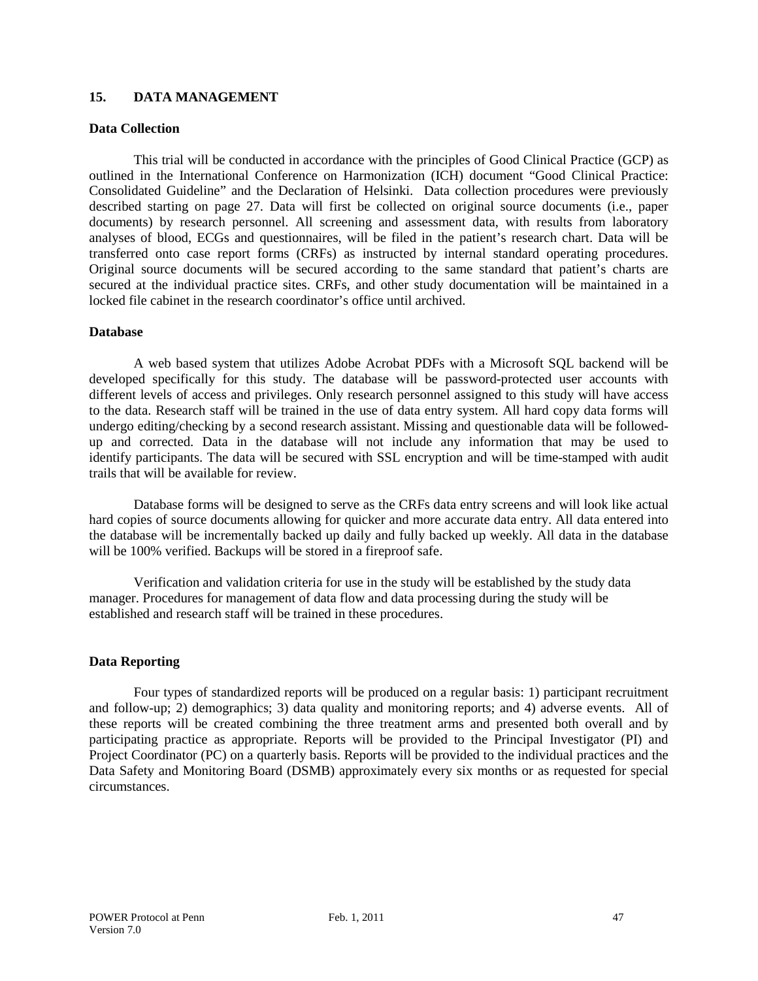## **15. DATA MANAGEMENT**

### **Data Collection**

This trial will be conducted in accordance with the principles of Good Clinical Practice (GCP) as outlined in the International Conference on Harmonization (ICH) document "Good Clinical Practice: Consolidated Guideline" and the Declaration of Helsinki. Data collection procedures were previously described starting on page 27. Data will first be collected on original source documents (i.e., paper documents) by research personnel. All screening and assessment data, with results from laboratory analyses of blood, ECGs and questionnaires, will be filed in the patient's research chart. Data will be transferred onto case report forms (CRFs) as instructed by internal standard operating procedures. Original source documents will be secured according to the same standard that patient's charts are secured at the individual practice sites. CRFs, and other study documentation will be maintained in a locked file cabinet in the research coordinator's office until archived.

### **Database**

A web based system that utilizes Adobe Acrobat PDFs with a Microsoft SQL backend will be developed specifically for this study. The database will be password-protected user accounts with different levels of access and privileges. Only research personnel assigned to this study will have access to the data. Research staff will be trained in the use of data entry system. All hard copy data forms will undergo editing/checking by a second research assistant. Missing and questionable data will be followedup and corrected. Data in the database will not include any information that may be used to identify participants. The data will be secured with SSL encryption and will be time-stamped with audit trails that will be available for review.

Database forms will be designed to serve as the CRFs data entry screens and will look like actual hard copies of source documents allowing for quicker and more accurate data entry. All data entered into the database will be incrementally backed up daily and fully backed up weekly. All data in the database will be 100% verified. Backups will be stored in a fireproof safe.

Verification and validation criteria for use in the study will be established by the study data manager. Procedures for management of data flow and data processing during the study will be established and research staff will be trained in these procedures.

## **Data Reporting**

Four types of standardized reports will be produced on a regular basis: 1) participant recruitment and follow-up; 2) demographics; 3) data quality and monitoring reports; and 4) adverse events. All of these reports will be created combining the three treatment arms and presented both overall and by participating practice as appropriate. Reports will be provided to the Principal Investigator (PI) and Project Coordinator (PC) on a quarterly basis. Reports will be provided to the individual practices and the Data Safety and Monitoring Board (DSMB) approximately every six months or as requested for special circumstances.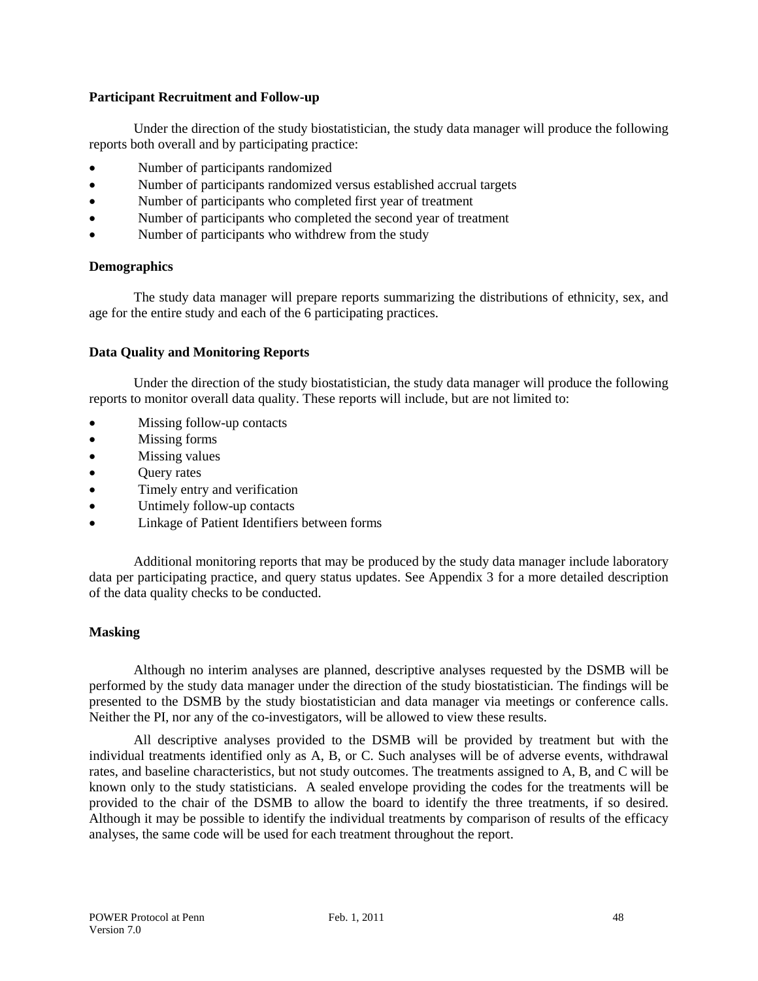### **Participant Recruitment and Follow-up**

Under the direction of the study biostatistician, the study data manager will produce the following reports both overall and by participating practice:

- Number of participants randomized
- Number of participants randomized versus established accrual targets
- Number of participants who completed first year of treatment
- Number of participants who completed the second year of treatment
- Number of participants who withdrew from the study

## **Demographics**

The study data manager will prepare reports summarizing the distributions of ethnicity, sex, and age for the entire study and each of the 6 participating practices.

## **Data Quality and Monitoring Reports**

Under the direction of the study biostatistician, the study data manager will produce the following reports to monitor overall data quality. These reports will include, but are not limited to:

- Missing follow-up contacts
- Missing forms
- Missing values
- Query rates
- Timely entry and verification
- Untimely follow-up contacts
- Linkage of Patient Identifiers between forms

Additional monitoring reports that may be produced by the study data manager include laboratory data per participating practice, and query status updates. See Appendix 3 for a more detailed description of the data quality checks to be conducted.

## **Masking**

Although no interim analyses are planned, descriptive analyses requested by the DSMB will be performed by the study data manager under the direction of the study biostatistician. The findings will be presented to the DSMB by the study biostatistician and data manager via meetings or conference calls. Neither the PI, nor any of the co-investigators, will be allowed to view these results.

All descriptive analyses provided to the DSMB will be provided by treatment but with the individual treatments identified only as A, B, or C. Such analyses will be of adverse events, withdrawal rates, and baseline characteristics, but not study outcomes. The treatments assigned to A, B, and C will be known only to the study statisticians. A sealed envelope providing the codes for the treatments will be provided to the chair of the DSMB to allow the board to identify the three treatments, if so desired. Although it may be possible to identify the individual treatments by comparison of results of the efficacy analyses, the same code will be used for each treatment throughout the report.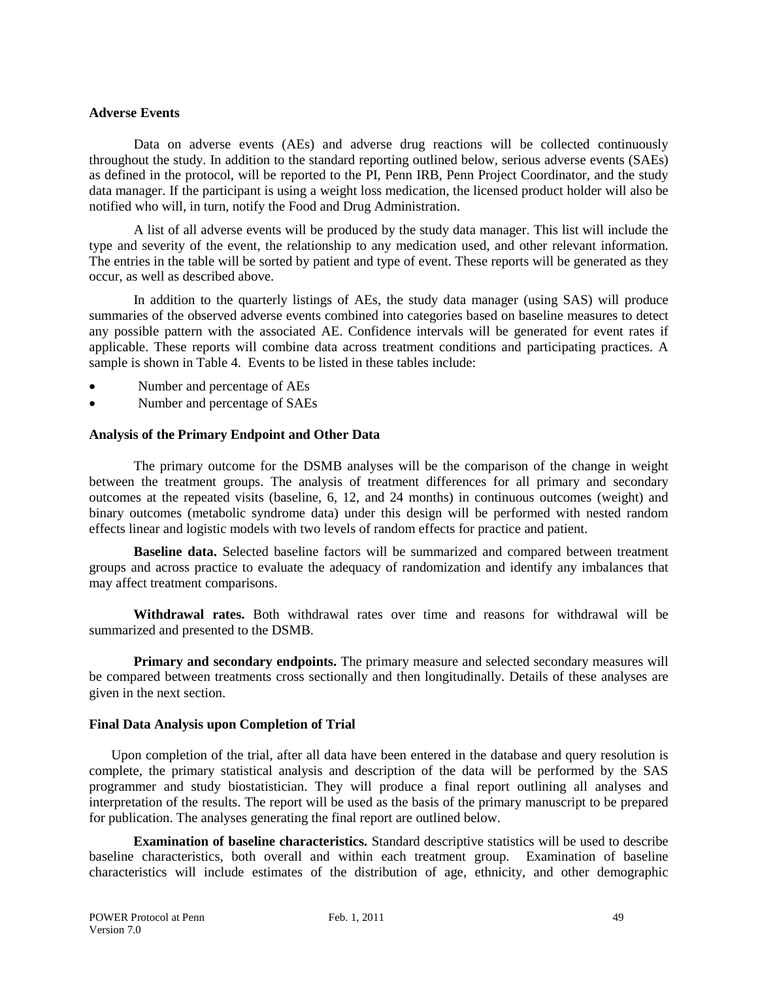### **Adverse Events**

Data on adverse events (AEs) and adverse drug reactions will be collected continuously throughout the study. In addition to the standard reporting outlined below, serious adverse events (SAEs) as defined in the protocol, will be reported to the PI, Penn IRB, Penn Project Coordinator, and the study data manager. If the participant is using a weight loss medication, the licensed product holder will also be notified who will, in turn, notify the Food and Drug Administration.

A list of all adverse events will be produced by the study data manager. This list will include the type and severity of the event, the relationship to any medication used, and other relevant information. The entries in the table will be sorted by patient and type of event. These reports will be generated as they occur, as well as described above.

In addition to the quarterly listings of AEs, the study data manager (using SAS) will produce summaries of the observed adverse events combined into categories based on baseline measures to detect any possible pattern with the associated AE. Confidence intervals will be generated for event rates if applicable. These reports will combine data across treatment conditions and participating practices. A sample is shown in Table 4. Events to be listed in these tables include:

- Number and percentage of AEs
- Number and percentage of SAEs

### **Analysis of the Primary Endpoint and Other Data**

The primary outcome for the DSMB analyses will be the comparison of the change in weight between the treatment groups. The analysis of treatment differences for all primary and secondary outcomes at the repeated visits (baseline, 6, 12, and 24 months) in continuous outcomes (weight) and binary outcomes (metabolic syndrome data) under this design will be performed with nested random effects linear and logistic models with two levels of random effects for practice and patient.

**Baseline data.** Selected baseline factors will be summarized and compared between treatment groups and across practice to evaluate the adequacy of randomization and identify any imbalances that may affect treatment comparisons.

**Withdrawal rates.** Both withdrawal rates over time and reasons for withdrawal will be summarized and presented to the DSMB.

**Primary and secondary endpoints.** The primary measure and selected secondary measures will be compared between treatments cross sectionally and then longitudinally. Details of these analyses are given in the next section.

### **Final Data Analysis upon Completion of Trial**

Upon completion of the trial, after all data have been entered in the database and query resolution is complete, the primary statistical analysis and description of the data will be performed by the SAS programmer and study biostatistician. They will produce a final report outlining all analyses and interpretation of the results. The report will be used as the basis of the primary manuscript to be prepared for publication. The analyses generating the final report are outlined below.

**Examination of baseline characteristics.** Standard descriptive statistics will be used to describe baseline characteristics, both overall and within each treatment group. Examination of baseline characteristics will include estimates of the distribution of age, ethnicity, and other demographic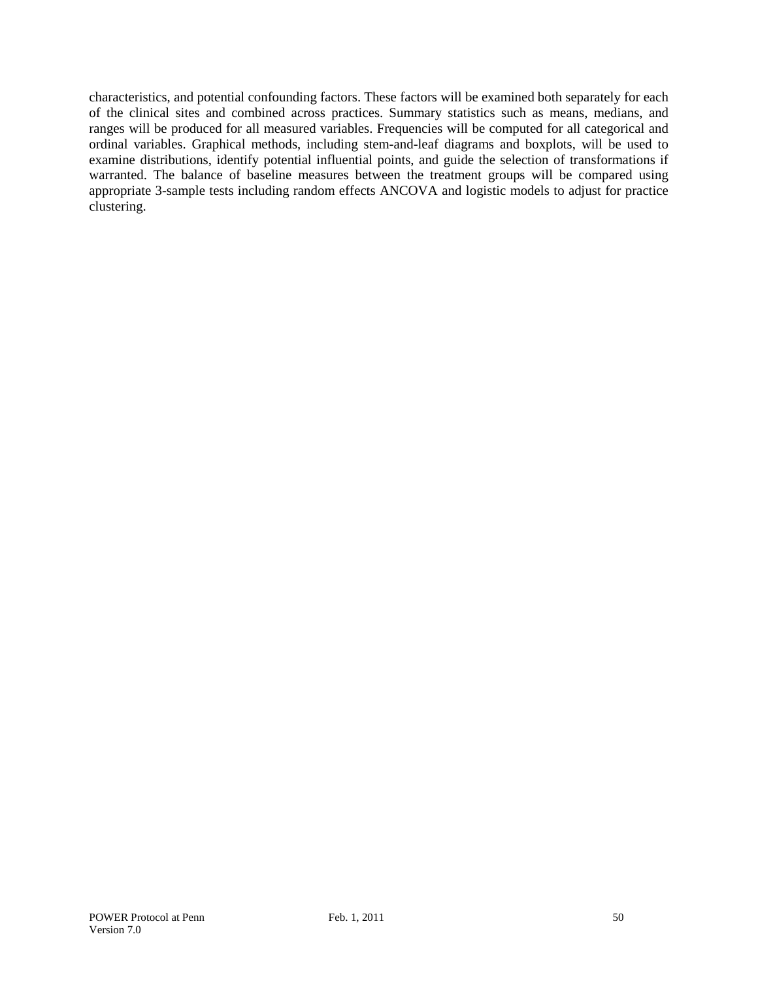characteristics, and potential confounding factors. These factors will be examined both separately for each of the clinical sites and combined across practices. Summary statistics such as means, medians, and ranges will be produced for all measured variables. Frequencies will be computed for all categorical and ordinal variables. Graphical methods, including stem-and-leaf diagrams and boxplots, will be used to examine distributions, identify potential influential points, and guide the selection of transformations if warranted. The balance of baseline measures between the treatment groups will be compared using appropriate 3-sample tests including random effects ANCOVA and logistic models to adjust for practice clustering.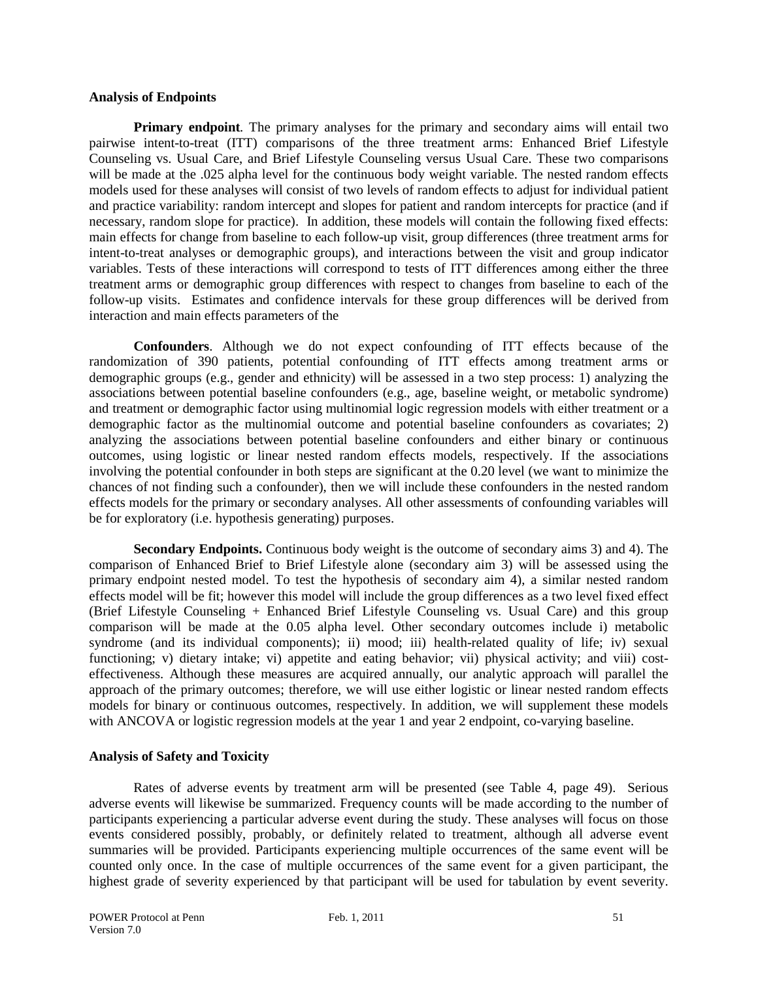#### **Analysis of Endpoints**

**Primary endpoint**. The primary analyses for the primary and secondary aims will entail two pairwise intent-to-treat (ITT) comparisons of the three treatment arms: Enhanced Brief Lifestyle Counseling vs. Usual Care, and Brief Lifestyle Counseling versus Usual Care. These two comparisons will be made at the .025 alpha level for the continuous body weight variable. The nested random effects models used for these analyses will consist of two levels of random effects to adjust for individual patient and practice variability: random intercept and slopes for patient and random intercepts for practice (and if necessary, random slope for practice). In addition, these models will contain the following fixed effects: main effects for change from baseline to each follow-up visit, group differences (three treatment arms for intent-to-treat analyses or demographic groups), and interactions between the visit and group indicator variables. Tests of these interactions will correspond to tests of ITT differences among either the three treatment arms or demographic group differences with respect to changes from baseline to each of the follow-up visits. Estimates and confidence intervals for these group differences will be derived from interaction and main effects parameters of the

**Confounders**. Although we do not expect confounding of ITT effects because of the randomization of 390 patients, potential confounding of ITT effects among treatment arms or demographic groups (e.g., gender and ethnicity) will be assessed in a two step process: 1) analyzing the associations between potential baseline confounders (e.g., age, baseline weight, or metabolic syndrome) and treatment or demographic factor using multinomial logic regression models with either treatment or a demographic factor as the multinomial outcome and potential baseline confounders as covariates; 2) analyzing the associations between potential baseline confounders and either binary or continuous outcomes, using logistic or linear nested random effects models, respectively. If the associations involving the potential confounder in both steps are significant at the 0.20 level (we want to minimize the chances of not finding such a confounder), then we will include these confounders in the nested random effects models for the primary or secondary analyses. All other assessments of confounding variables will be for exploratory (i.e. hypothesis generating) purposes.

**Secondary Endpoints.** Continuous body weight is the outcome of secondary aims 3) and 4). The comparison of Enhanced Brief to Brief Lifestyle alone (secondary aim 3) will be assessed using the primary endpoint nested model. To test the hypothesis of secondary aim 4), a similar nested random effects model will be fit; however this model will include the group differences as a two level fixed effect (Brief Lifestyle Counseling + Enhanced Brief Lifestyle Counseling vs. Usual Care) and this group comparison will be made at the 0.05 alpha level. Other secondary outcomes include i) metabolic syndrome (and its individual components); ii) mood; iii) health-related quality of life; iv) sexual functioning; v) dietary intake; vi) appetite and eating behavior; vii) physical activity; and viii) costeffectiveness. Although these measures are acquired annually, our analytic approach will parallel the approach of the primary outcomes; therefore, we will use either logistic or linear nested random effects models for binary or continuous outcomes, respectively. In addition, we will supplement these models with ANCOVA or logistic regression models at the year 1 and year 2 endpoint, co-varying baseline.

### **Analysis of Safety and Toxicity**

Rates of adverse events by treatment arm will be presented (see Table 4, page 49). Serious adverse events will likewise be summarized. Frequency counts will be made according to the number of participants experiencing a particular adverse event during the study. These analyses will focus on those events considered possibly, probably, or definitely related to treatment, although all adverse event summaries will be provided. Participants experiencing multiple occurrences of the same event will be counted only once. In the case of multiple occurrences of the same event for a given participant, the highest grade of severity experienced by that participant will be used for tabulation by event severity.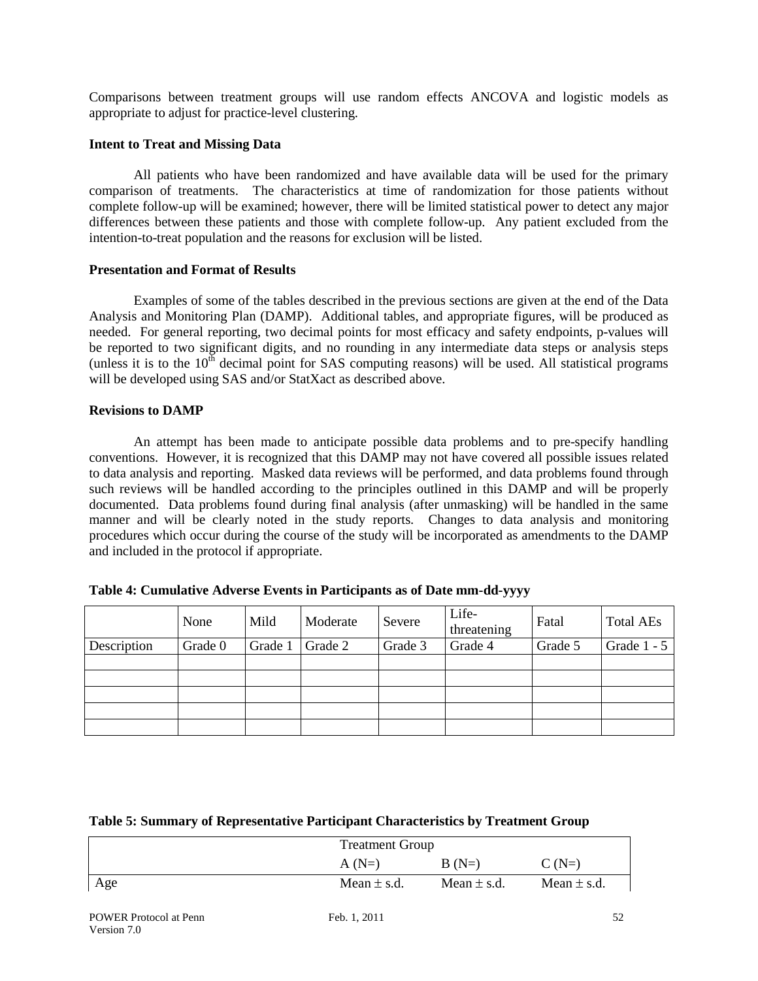Comparisons between treatment groups will use random effects ANCOVA and logistic models as appropriate to adjust for practice-level clustering.

## **Intent to Treat and Missing Data**

All patients who have been randomized and have available data will be used for the primary comparison of treatments. The characteristics at time of randomization for those patients without complete follow-up will be examined; however, there will be limited statistical power to detect any major differences between these patients and those with complete follow-up. Any patient excluded from the intention-to-treat population and the reasons for exclusion will be listed.

### **Presentation and Format of Results**

Examples of some of the tables described in the previous sections are given at the end of the Data Analysis and Monitoring Plan (DAMP). Additional tables, and appropriate figures, will be produced as needed. For general reporting, two decimal points for most efficacy and safety endpoints, p-values will be reported to two significant digits, and no rounding in any intermediate data steps or analysis steps (unless it is to the  $10<sup>th</sup>$  decimal point for SAS computing reasons) will be used. All statistical programs will be developed using SAS and/or StatXact as described above.

### **Revisions to DAMP**

An attempt has been made to anticipate possible data problems and to pre-specify handling conventions. However, it is recognized that this DAMP may not have covered all possible issues related to data analysis and reporting. Masked data reviews will be performed, and data problems found through such reviews will be handled according to the principles outlined in this DAMP and will be properly documented. Data problems found during final analysis (after unmasking) will be handled in the same manner and will be clearly noted in the study reports. Changes to data analysis and monitoring procedures which occur during the course of the study will be incorporated as amendments to the DAMP and included in the protocol if appropriate.

|             | None    | Mild    | Moderate | Severe  | Life-<br>threatening | Fatal   | <b>Total AEs</b> |
|-------------|---------|---------|----------|---------|----------------------|---------|------------------|
| Description | Grade 0 | Grade 1 | Grade 2  | Grade 3 | Grade 4              | Grade 5 | Grade $1 - 5$    |
|             |         |         |          |         |                      |         |                  |
|             |         |         |          |         |                      |         |                  |
|             |         |         |          |         |                      |         |                  |
|             |         |         |          |         |                      |         |                  |
|             |         |         |          |         |                      |         |                  |

| Table 4: Cumulative Adverse Events in Participants as of Date mm-dd-yyyy |  |  |
|--------------------------------------------------------------------------|--|--|
|--------------------------------------------------------------------------|--|--|

### **Table 5: Summary of Representative Participant Characteristics by Treatment Group**

|                                              | <b>Treatment Group</b> |                 |                 |  |
|----------------------------------------------|------------------------|-----------------|-----------------|--|
|                                              | $A(N=)$                | $B(N=)$         | $C(N=)$         |  |
| Age                                          | Mean $\pm$ s.d.        | Mean $\pm$ s.d. | Mean $\pm$ s.d. |  |
| <b>POWER Protocol at Penn</b><br>Version 7.0 | Feb. 1, 2011           |                 | 52              |  |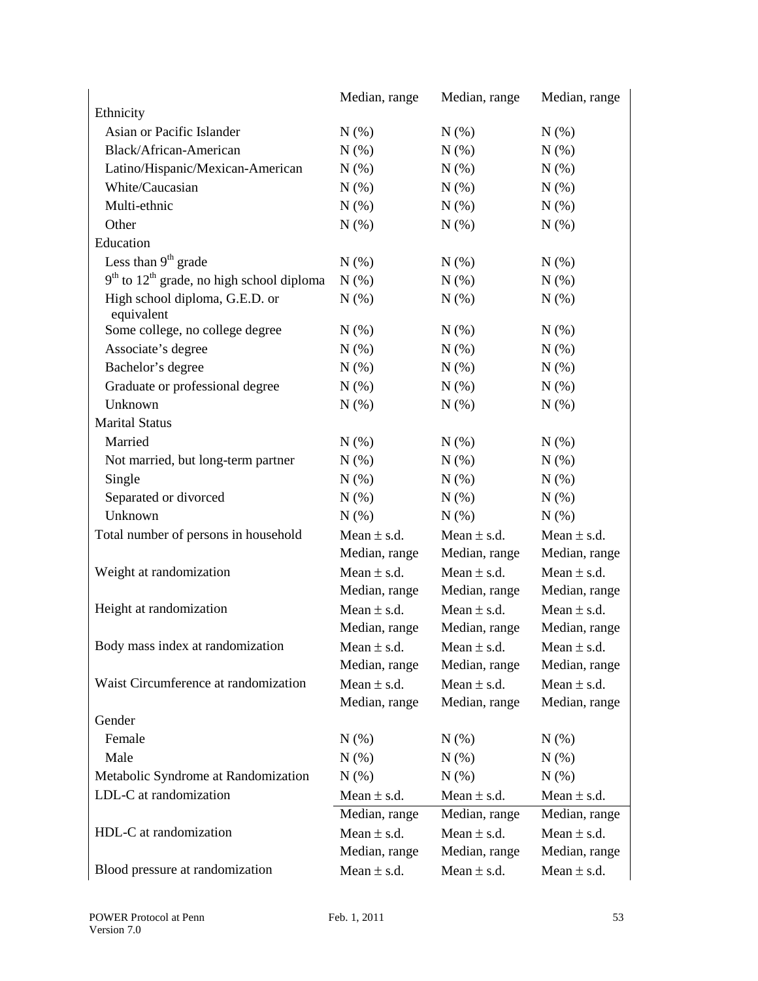|                                               | Median, range   | Median, range   | Median, range   |
|-----------------------------------------------|-----------------|-----------------|-----------------|
| Ethnicity                                     |                 |                 |                 |
| Asian or Pacific Islander                     | N(%)            | N(% )           | N(%)            |
| Black/African-American                        | N(%)            | $N(\%)$         | N(%)            |
| Latino/Hispanic/Mexican-American              | N(%)            | $N(\%)$         | $N(\%)$         |
| White/Caucasian                               | $N(\%)$         | $N(\%)$         | $N(\%)$         |
| Multi-ethnic                                  | N(%)            | $N(\%)$         | N(%)            |
| Other                                         | N(%)            | N(%)            | N(%)            |
| Education                                     |                 |                 |                 |
| Less than $9th$ grade                         | N(%)            | $N(\%)$         | $N(\%)$         |
| $9th$ to $12th$ grade, no high school diploma | N(% )           | $N(\%)$         | $N(\%)$         |
| High school diploma, G.E.D. or<br>equivalent  | $N(\%)$         | $N(\%)$         | N(%)            |
| Some college, no college degree               | $N(\%)$         | $N(\%)$         | $N(\%)$         |
| Associate's degree                            | $N(\%)$         | $N(\%)$         | N(%)            |
| Bachelor's degree                             | $N(\%)$         | $N(\%)$         | N(% )           |
| Graduate or professional degree               | N(% )           | $N(\%)$         | $N(\%)$         |
| Unknown                                       | $N(\%)$         | $N(\%)$         | $N(\%)$         |
| <b>Marital Status</b>                         |                 |                 |                 |
| Married                                       | $N(\%)$         | $N(\%)$         | $N(\%)$         |
| Not married, but long-term partner            | $N(\%)$         | $N(\%)$         | $N(\%)$         |
| Single                                        | $N(\%)$         | $N(\%)$         | $N(\%)$         |
| Separated or divorced                         | $N(\%)$         | $N(\%)$         | $N(\%)$         |
| Unknown                                       | N(% )           | $N(\%)$         | $N(\%)$         |
| Total number of persons in household          | Mean $\pm$ s.d. | Mean $\pm$ s.d. | Mean $\pm$ s.d. |
|                                               | Median, range   | Median, range   | Median, range   |
| Weight at randomization                       | Mean $\pm$ s.d. | Mean $\pm$ s.d. | Mean $\pm$ s.d. |
|                                               | Median, range   | Median, range   | Median, range   |
| Height at randomization                       | Mean $\pm$ s.d. | Mean $\pm$ s.d. | Mean $\pm$ s.d. |
|                                               | Median, range   | Median, range   | Median, range   |
| Body mass index at randomization              | Mean $\pm$ s.d. | Mean $\pm$ s.d. | Mean $\pm$ s.d. |
|                                               | Median, range   | Median, range   | Median, range   |
| Waist Circumference at randomization          | Mean $\pm$ s.d. | Mean $\pm$ s.d. | Mean $\pm$ s.d. |
|                                               | Median, range   | Median, range   | Median, range   |
| Gender                                        |                 |                 |                 |
| Female                                        | $N(\%)$         | $N(\%)$         | $N(\%)$         |
| Male                                          | $N(\%)$         | $N(\%)$         | $N(\%)$         |
| Metabolic Syndrome at Randomization           | $N(\%)$         | $N(\%)$         | $N(\%)$         |
| LDL-C at randomization                        | Mean $\pm$ s.d. | Mean $\pm$ s.d. | Mean $\pm$ s.d. |
|                                               | Median, range   | Median, range   | Median, range   |
| HDL-C at randomization                        | Mean $\pm$ s.d. | Mean $\pm$ s.d. | Mean $\pm$ s.d. |
|                                               | Median, range   | Median, range   | Median, range   |
| Blood pressure at randomization               | Mean $\pm$ s.d. | Mean $\pm$ s.d. | Mean $\pm$ s.d. |
|                                               |                 |                 |                 |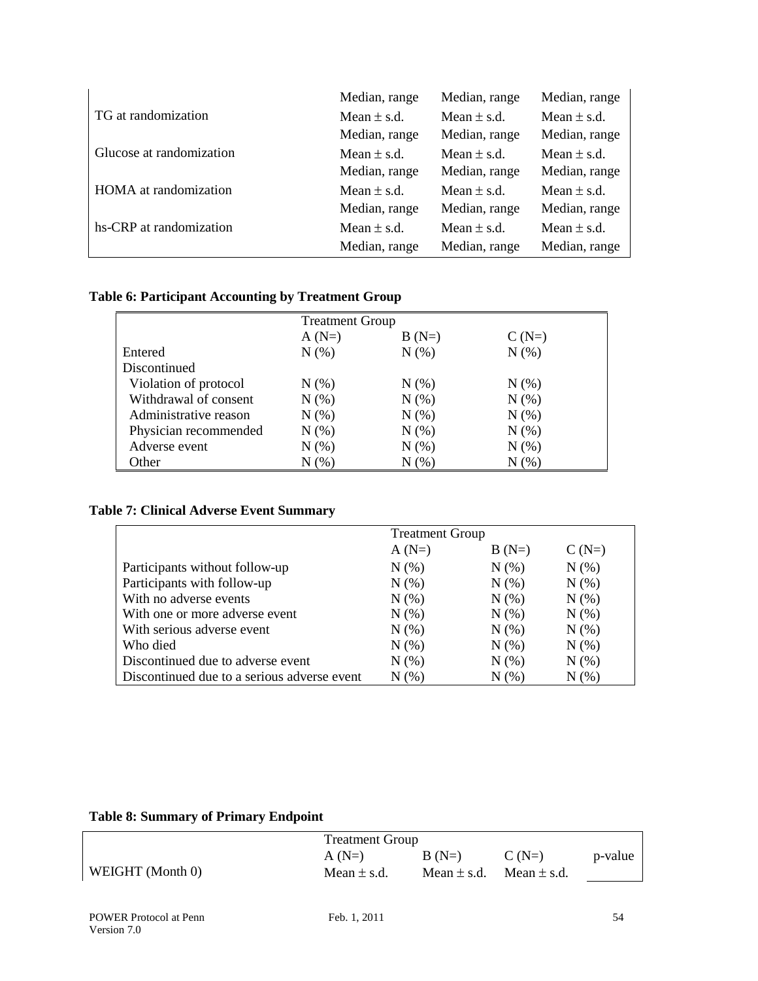|                          | Median, range   | Median, range   | Median, range   |
|--------------------------|-----------------|-----------------|-----------------|
| TG at randomization      | Mean $\pm$ s.d. | Mean $\pm$ s.d. | Mean $\pm$ s.d. |
|                          | Median, range   | Median, range   | Median, range   |
| Glucose at randomization | Mean $\pm$ s.d. | Mean $\pm$ s.d. | Mean $\pm$ s.d. |
|                          | Median, range   | Median, range   | Median, range   |
| HOMA at randomization    | Mean $\pm$ s.d. | Mean $\pm$ s.d. | Mean $\pm$ s.d. |
|                          | Median, range   | Median, range   | Median, range   |
| hs-CRP at randomization  | Mean $\pm$ s.d. | Mean $\pm$ s.d. | Mean $\pm$ s.d. |
|                          | Median, range   | Median, range   | Median, range   |

# **Table 6: Participant Accounting by Treatment Group**

|                       | <b>Treatment Group</b> |         |         |
|-----------------------|------------------------|---------|---------|
|                       | $A(N=)$                | $B(N=)$ | $C(N=)$ |
| Entered               | N(% )                  | N(%)    | N(% )   |
| Discontinued          |                        |         |         |
| Violation of protocol | N(%                    | $N(\%)$ | $N(\%)$ |
| Withdrawal of consent | N(% )                  | N(%)    | $N(\%)$ |
| Administrative reason | N(%)                   | N(%)    | $N(\%)$ |
| Physician recommended | N(%)                   | N(%)    | $N(\%)$ |
| Adverse event         | N(%)                   | N(%)    | N(% )   |
| Other                 | N(%)                   | N(%)    | N(%)    |

# **Table 7: Clinical Adverse Event Summary**

|                                             | <b>Treatment Group</b> |         |         |
|---------------------------------------------|------------------------|---------|---------|
|                                             | $A(N=)$                | $B(N=)$ | $C(N=)$ |
| Participants without follow-up              | N(% )                  | N(% )   | N(% )   |
| Participants with follow-up                 | N(% )                  | N(% )   | N(% )   |
| With no adverse events                      | N(% )                  | N(% )   | N(% )   |
| With one or more adverse event              | N(% )                  | $N(\%)$ | N(% )   |
| With serious adverse event                  | N(% )                  | N(% )   | N(% )   |
| Who died                                    | N(% )                  | N(% )   | $N(\%)$ |
| Discontinued due to adverse event           | N(% )                  | $N(\%)$ | N(% )   |
| Discontinued due to a serious adverse event | N(% )                  | N(%     | N(% )   |

# **Table 8: Summary of Primary Endpoint**

|                  | <b>Treatment Group</b> |                 |                 |         |
|------------------|------------------------|-----------------|-----------------|---------|
|                  | A $(N=)$               | $B(N=)$         | $C(N=)$         | p-value |
| WEIGHT (Month 0) | Mean $\pm$ s.d.        | Mean $\pm$ s.d. | Mean $\pm$ s.d. |         |
|                  |                        |                 |                 |         |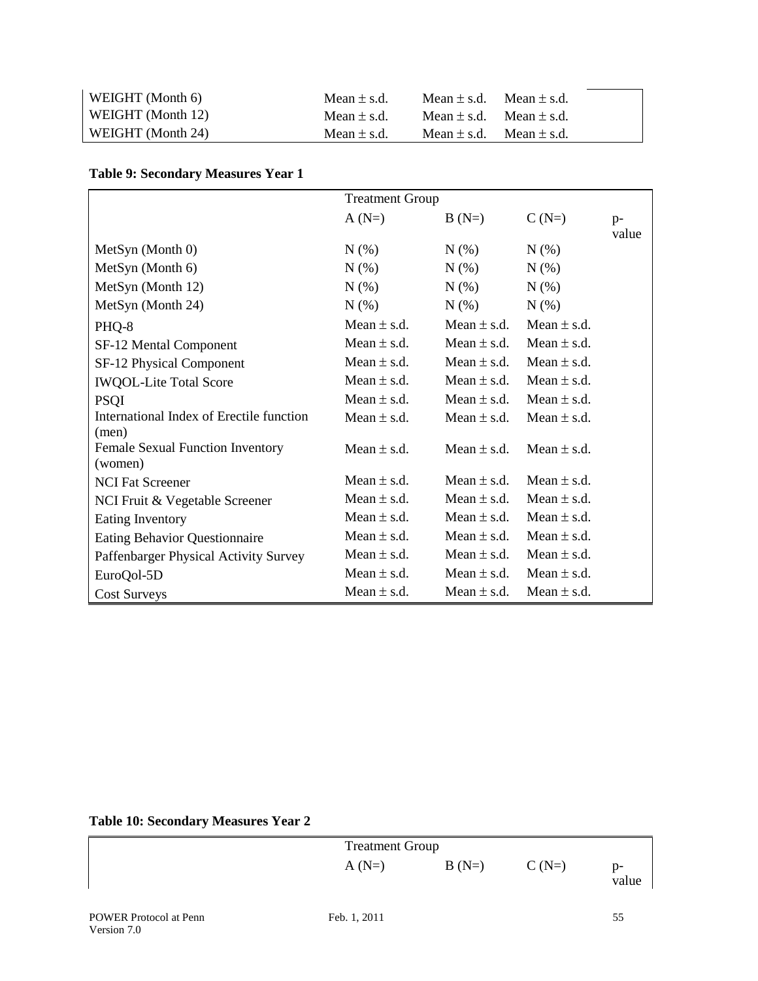| WEIGHT (Month 6)  | Mean $\pm$ s.d. | Mean $\pm$ s.d.                 | Mean + s.d. |
|-------------------|-----------------|---------------------------------|-------------|
| WEIGHT (Month 12) | Mean $\pm$ s.d. | Mean $\pm$ s.d. Mean $\pm$ s.d. |             |
| WEIGHT (Month 24) | Mean $\pm$ s.d. | Mean $\pm$ s.d. Mean $\pm$ s.d. |             |

# **Table 9: Secondary Measures Year 1**

|                                                   | <b>Treatment Group</b> |                 |                 |               |
|---------------------------------------------------|------------------------|-----------------|-----------------|---------------|
|                                                   | $A(N=)$                | $B(N=)$         | $C(N=)$         | $p-$<br>value |
| $MetSyn$ (Month 0)                                | $N(\%)$                | $N(\%)$         | $N(\%)$         |               |
| MetSyn (Month 6)                                  | $N(\%)$                | $N(\%)$         | $N(\%)$         |               |
| MetSyn (Month 12)                                 | $N(\%)$                | $N(\%)$         | $N(\%)$         |               |
| MetSyn (Month 24)                                 | $N(\%)$                | $N(\%)$         | $N(\%)$         |               |
| PHQ-8                                             | Mean $\pm$ s.d.        | Mean $\pm$ s.d. | Mean $\pm$ s.d. |               |
| SF-12 Mental Component                            | Mean $\pm$ s.d.        | Mean $\pm$ s.d. | Mean $\pm$ s.d. |               |
| SF-12 Physical Component                          | Mean $\pm$ s.d.        | Mean $\pm$ s.d. | Mean $\pm$ s.d. |               |
| <b>IWQOL-Lite Total Score</b>                     | Mean $\pm$ s.d.        | Mean $\pm$ s.d. | Mean $\pm$ s.d. |               |
| <b>PSQI</b>                                       | Mean $\pm$ s.d.        | Mean $\pm$ s.d. | Mean $\pm$ s.d. |               |
| International Index of Erectile function<br>(men) | Mean $\pm$ s.d.        | Mean $\pm$ s.d. | Mean $\pm$ s.d. |               |
| Female Sexual Function Inventory<br>(women)       | Mean $\pm$ s.d.        | Mean $\pm$ s.d. | Mean $\pm$ s.d. |               |
| <b>NCI Fat Screener</b>                           | Mean $\pm$ s.d.        | Mean $\pm$ s.d. | Mean $\pm$ s.d. |               |
| NCI Fruit & Vegetable Screener                    | Mean $\pm$ s.d.        | Mean $\pm$ s.d. | Mean $\pm$ s.d. |               |
| Eating Inventory                                  | Mean $\pm$ s.d.        | Mean $\pm$ s.d. | Mean $\pm$ s.d. |               |
| <b>Eating Behavior Questionnaire</b>              | Mean $\pm$ s.d.        | Mean $\pm$ s.d. | Mean $\pm$ s.d. |               |
| Paffenbarger Physical Activity Survey             | Mean $\pm$ s.d.        | Mean $\pm$ s.d. | Mean $\pm$ s.d. |               |
| EuroQol-5D                                        | Mean $\pm$ s.d.        | Mean $\pm$ s.d. | Mean $\pm$ s.d. |               |
| <b>Cost Surveys</b>                               | Mean $\pm$ s.d.        | Mean $\pm$ s.d. | Mean $\pm$ s.d. |               |

# **Table 10: Secondary Measures Year 2**

|                                              | <b>Treatment Group</b> |         |         |               |
|----------------------------------------------|------------------------|---------|---------|---------------|
|                                              | $A(N=)$                | $B(N=)$ | $C(N=)$ | $p-$<br>value |
| <b>POWER Protocol at Penn</b><br>Version 7.0 | Feb. 1, 2011           |         |         | 55            |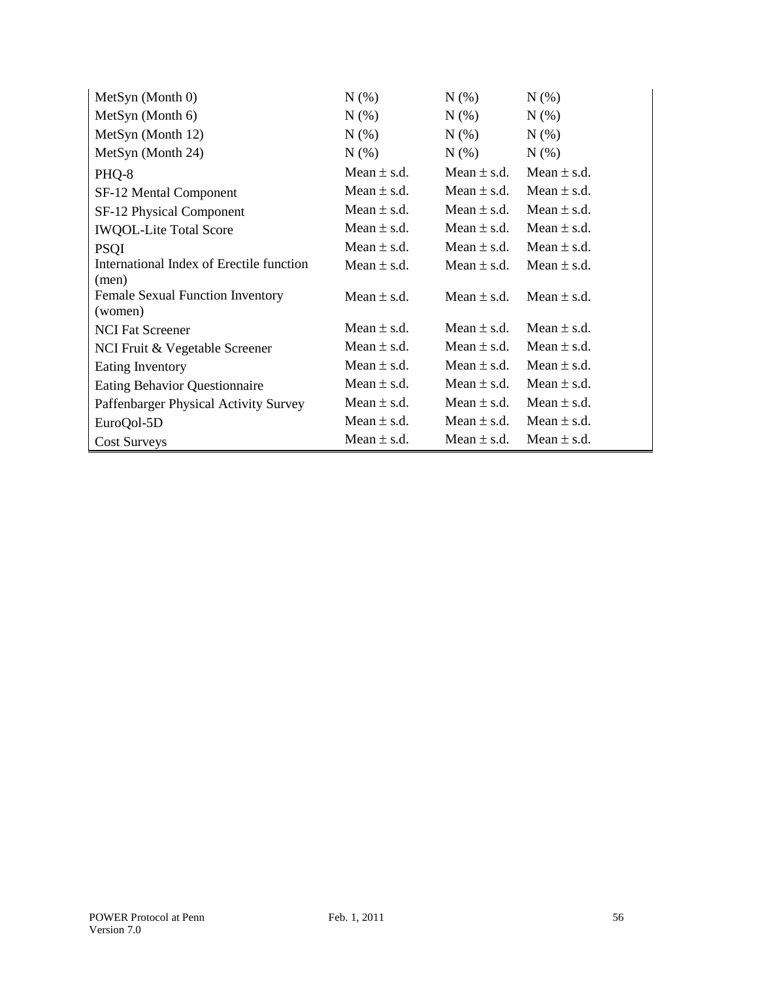| $MetSyn$ (Month 0)                                | $N(\%)$         | $N(\%)$         | $N(\%)$         |
|---------------------------------------------------|-----------------|-----------------|-----------------|
| MetSyn (Month 6)                                  | N(% )           | $N(\%)$         | $N(\%)$         |
| MetSyn (Month 12)                                 | $N(\%)$         | $N(\%)$         | $N(\%)$         |
| MetSyn (Month 24)                                 | $N(\%)$         | $N(\%)$         | $N(\%)$         |
| PHQ-8                                             | Mean $\pm$ s.d. | Mean $\pm$ s.d. | Mean $\pm$ s.d. |
| SF-12 Mental Component                            | Mean $\pm$ s.d. | Mean $\pm$ s.d. | Mean $\pm$ s.d. |
| SF-12 Physical Component                          | Mean $\pm$ s.d. | Mean $\pm$ s.d. | Mean $\pm$ s.d. |
| <b>IWQOL-Lite Total Score</b>                     | Mean $\pm$ s.d. | Mean $\pm$ s.d. | Mean $\pm$ s.d. |
| <b>PSQI</b>                                       | Mean $\pm$ s.d. | Mean $\pm$ s.d. | Mean $\pm$ s.d. |
| International Index of Erectile function<br>(men) | Mean $\pm$ s.d. | Mean $\pm$ s.d. | Mean $\pm$ s.d. |
| Female Sexual Function Inventory<br>(women)       | Mean $\pm$ s.d. | Mean $\pm$ s.d. | Mean $\pm$ s.d. |
| <b>NCI Fat Screener</b>                           | Mean $\pm$ s.d. | Mean $\pm$ s.d. | Mean $\pm$ s.d. |
| NCI Fruit & Vegetable Screener                    | Mean $\pm$ s.d. | Mean $\pm$ s.d. | Mean $\pm$ s.d. |
| Eating Inventory                                  | Mean $\pm$ s.d. | Mean $\pm$ s.d. | Mean $\pm$ s.d. |
| <b>Eating Behavior Questionnaire</b>              | Mean $\pm$ s.d. | Mean $\pm$ s.d. | Mean $\pm$ s.d. |
| Paffenbarger Physical Activity Survey             | Mean $\pm$ s.d. | Mean $\pm$ s.d. | Mean $\pm$ s.d. |
| EuroQol-5D                                        | Mean $\pm$ s.d. | Mean $\pm$ s.d. | Mean $\pm$ s.d. |
| <b>Cost Surveys</b>                               | Mean $\pm$ s.d. | Mean $\pm$ s.d. | Mean $\pm$ s.d. |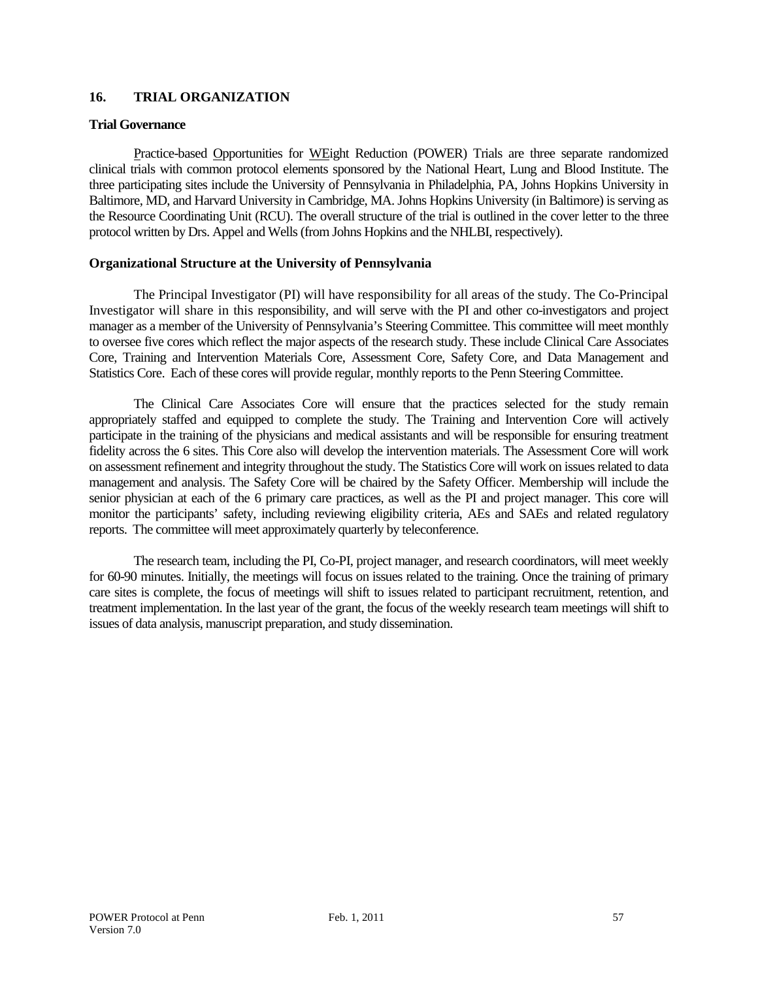## **16. TRIAL ORGANIZATION**

### **Trial Governance**

Practice-based Opportunities for WEight Reduction (POWER) Trials are three separate randomized clinical trials with common protocol elements sponsored by the National Heart, Lung and Blood Institute. The three participating sites include the University of Pennsylvania in Philadelphia, PA, Johns Hopkins University in Baltimore, MD, and Harvard University in Cambridge, MA. Johns Hopkins University (in Baltimore) is serving as the Resource Coordinating Unit (RCU). The overall structure of the trial is outlined in the cover letter to the three protocol written by Drs. Appel and Wells (from Johns Hopkins and the NHLBI, respectively).

## **Organizational Structure at the University of Pennsylvania**

The Principal Investigator (PI) will have responsibility for all areas of the study. The Co-Principal Investigator will share in this responsibility, and will serve with the PI and other co-investigators and project manager as a member of the University of Pennsylvania's Steering Committee. This committee will meet monthly to oversee five cores which reflect the major aspects of the research study. These include Clinical Care Associates Core, Training and Intervention Materials Core, Assessment Core, Safety Core, and Data Management and Statistics Core. Each of these cores will provide regular, monthly reports to the Penn Steering Committee.

The Clinical Care Associates Core will ensure that the practices selected for the study remain appropriately staffed and equipped to complete the study. The Training and Intervention Core will actively participate in the training of the physicians and medical assistants and will be responsible for ensuring treatment fidelity across the 6 sites. This Core also will develop the intervention materials. The Assessment Core will work on assessment refinement and integrity throughout the study. The Statistics Core will work on issues related to data management and analysis. The Safety Core will be chaired by the Safety Officer. Membership will include the senior physician at each of the 6 primary care practices, as well as the PI and project manager. This core will monitor the participants' safety, including reviewing eligibility criteria, AEs and SAEs and related regulatory reports. The committee will meet approximately quarterly by teleconference.

The research team, including the PI, Co-PI, project manager, and research coordinators, will meet weekly for 60-90 minutes. Initially, the meetings will focus on issues related to the training. Once the training of primary care sites is complete, the focus of meetings will shift to issues related to participant recruitment, retention, and treatment implementation. In the last year of the grant, the focus of the weekly research team meetings will shift to issues of data analysis, manuscript preparation, and study dissemination.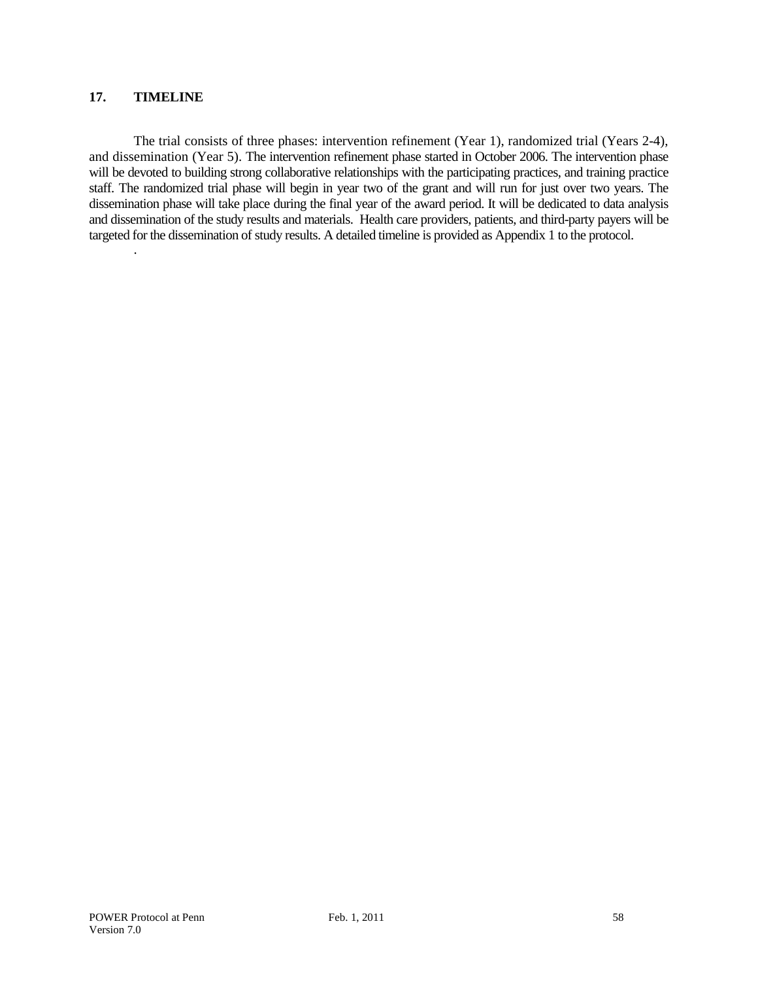# **17. TIMELINE**

.

The trial consists of three phases: intervention refinement (Year 1), randomized trial (Years 2-4), and dissemination (Year 5). The intervention refinement phase started in October 2006. The intervention phase will be devoted to building strong collaborative relationships with the participating practices, and training practice staff. The randomized trial phase will begin in year two of the grant and will run for just over two years. The dissemination phase will take place during the final year of the award period. It will be dedicated to data analysis and dissemination of the study results and materials. Health care providers, patients, and third-party payers will be targeted for the dissemination of study results. A detailed timeline is provided as Appendix 1 to the protocol.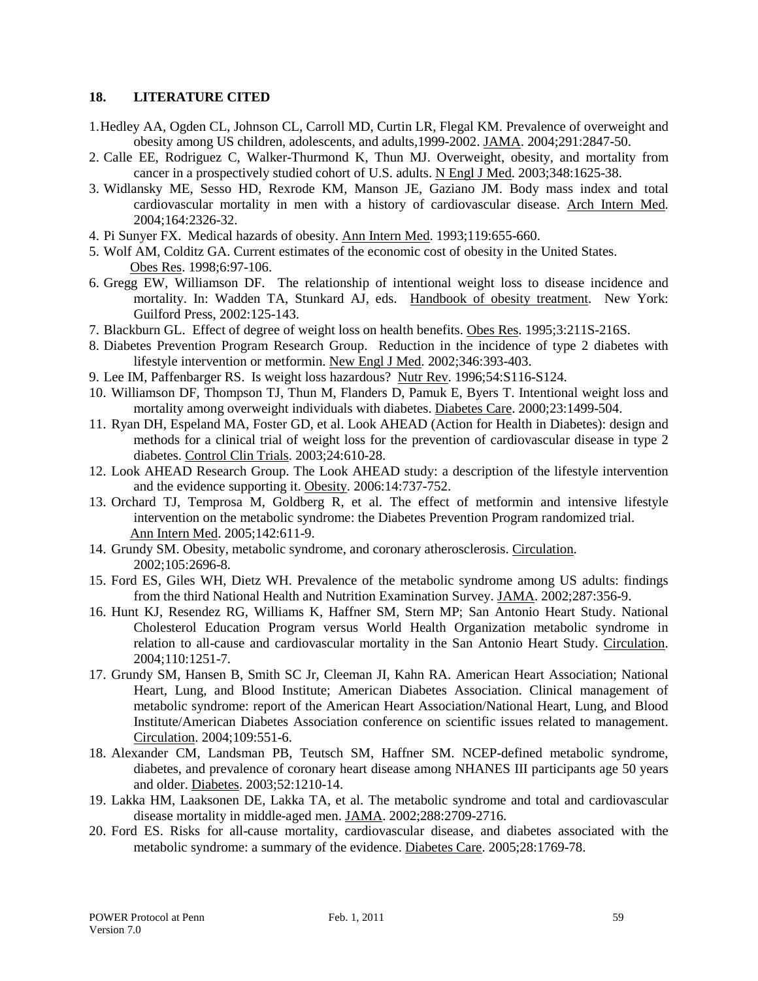## **18. LITERATURE CITED**

- 1.Hedley AA, Ogden CL, Johnson CL, Carroll MD, Curtin LR, Flegal KM. Prevalence of overweight and obesity among US children, adolescents, and adults,1999-2002. JAMA. 2004;291:2847-50.
- 2. Calle EE, Rodriguez C, Walker-Thurmond K, Thun MJ. Overweight, obesity, and mortality from cancer in a prospectively studied cohort of U.S. adults. N Engl J Med. 2003;348:1625-38.
- 3. Widlansky ME, Sesso HD, Rexrode KM, Manson JE, Gaziano JM. Body mass index and total cardiovascular mortality in men with a history of cardiovascular disease. Arch Intern Med. 2004;164:2326-32.
- 4. Pi Sunyer FX. Medical hazards of obesity. Ann Intern Med. 1993;119:655-660.
- 5. Wolf AM, Colditz GA. Current estimates of the economic cost of obesity in the United States. Obes Res. 1998;6:97-106.
- 6. Gregg EW, Williamson DF. The relationship of intentional weight loss to disease incidence and mortality. In: Wadden TA, Stunkard AJ, eds. Handbook of obesity treatment. New York: Guilford Press, 2002:125-143.
- 7. Blackburn GL. Effect of degree of weight loss on health benefits. Obes Res. 1995;3:211S-216S.
- 8. Diabetes Prevention Program Research Group. Reduction in the incidence of type 2 diabetes with lifestyle intervention or metformin. New Engl J Med. 2002;346:393-403.
- 9. Lee IM, Paffenbarger RS. Is weight loss hazardous? Nutr Rev. 1996;54:S116-S124.
- 10. Williamson DF, Thompson TJ, Thun M, Flanders D, Pamuk E, Byers T. Intentional weight loss and mortality among overweight individuals with diabetes. Diabetes Care. 2000;23:1499-504.
- 11. Ryan DH, Espeland MA, Foster GD, et al. Look AHEAD (Action for Health in Diabetes): design and methods for a clinical trial of weight loss for the prevention of cardiovascular disease in type 2 diabetes. Control Clin Trials. 2003;24:610-28.
- 12. Look AHEAD Research Group. The Look AHEAD study: a description of the lifestyle intervention and the evidence supporting it. Obesity. 2006:14:737-752.
- 13. Orchard TJ, Temprosa M, Goldberg R, et al. The effect of metformin and intensive lifestyle intervention on the metabolic syndrome: the Diabetes Prevention Program randomized trial. Ann Intern Med. 2005;142:611-9.
- 14. Grundy SM. Obesity, metabolic syndrome, and coronary atherosclerosis. Circulation. 2002;105:2696-8.
- 15. Ford ES, Giles WH, Dietz WH. Prevalence of the metabolic syndrome among US adults: findings from the third National Health and Nutrition Examination Survey. JAMA. 2002;287:356-9.
- 16. Hunt KJ, Resendez RG, Williams K, Haffner SM, Stern MP; San Antonio Heart Study. National Cholesterol Education Program versus World Health Organization metabolic syndrome in relation to all-cause and cardiovascular mortality in the San Antonio Heart Study. Circulation. 2004;110:1251-7.
- 17. Grundy SM, Hansen B, Smith SC Jr, Cleeman JI, Kahn RA. American Heart Association; National Heart, Lung, and Blood Institute; American Diabetes Association. Clinical management of metabolic syndrome: report of the American Heart Association/National Heart, Lung, and Blood Institute/American Diabetes Association conference on scientific issues related to management. Circulation. 2004;109:551-6.
- 18. Alexander CM, Landsman PB, Teutsch SM, Haffner SM. NCEP-defined metabolic syndrome, diabetes, and prevalence of coronary heart disease among NHANES III participants age 50 years and older. Diabetes. 2003;52:1210-14.
- 19. Lakka HM, Laaksonen DE, Lakka TA, et al. The metabolic syndrome and total and cardiovascular disease mortality in middle-aged men. JAMA. 2002;288:2709-2716.
- 20. Ford ES. Risks for all-cause mortality, cardiovascular disease, and diabetes associated with the metabolic syndrome: a summary of the evidence. Diabetes Care. 2005;28:1769-78.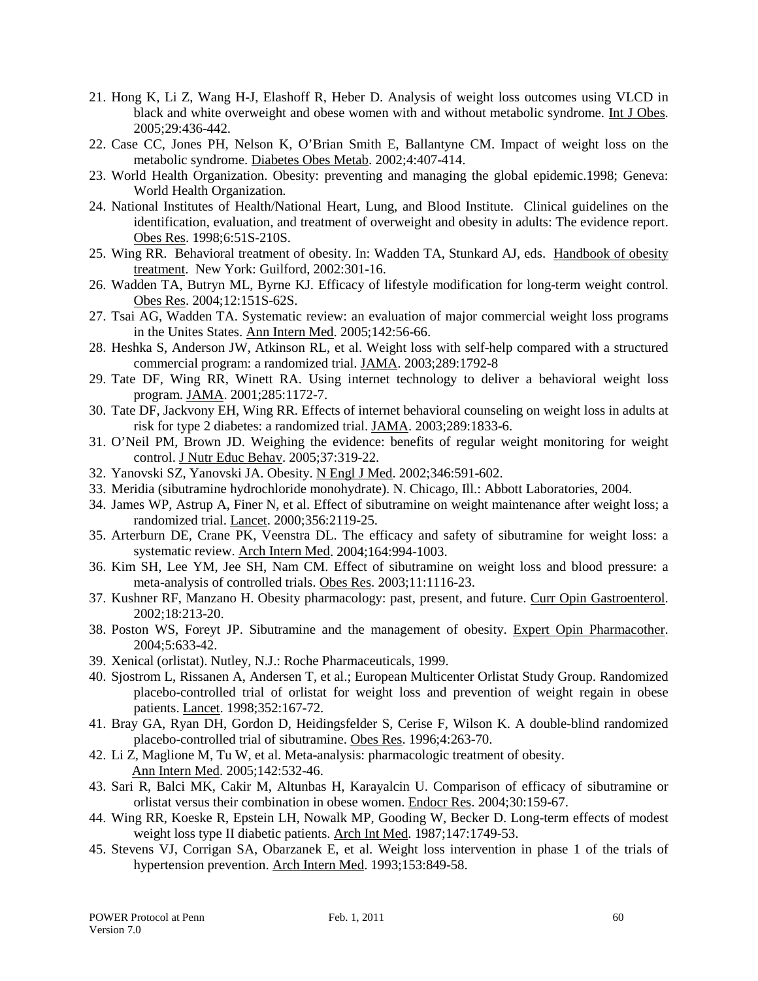- 21. Hong K, Li Z, Wang H-J, Elashoff R, Heber D. Analysis of weight loss outcomes using VLCD in black and white overweight and obese women with and without metabolic syndrome. Int J Obes. 2005;29:436-442.
- 22. Case CC, Jones PH, Nelson K, O'Brian Smith E, Ballantyne CM. Impact of weight loss on the metabolic syndrome. Diabetes Obes Metab. 2002;4:407-414.
- 23. World Health Organization. Obesity: preventing and managing the global epidemic.1998; Geneva: World Health Organization.
- 24. National Institutes of Health/National Heart, Lung, and Blood Institute. Clinical guidelines on the identification, evaluation, and treatment of overweight and obesity in adults: The evidence report. Obes Res. 1998;6:51S-210S.
- 25. Wing RR. Behavioral treatment of obesity. In: Wadden TA, Stunkard AJ, eds. Handbook of obesity treatment. New York: Guilford, 2002:301-16.
- 26. Wadden TA, Butryn ML, Byrne KJ. Efficacy of lifestyle modification for long-term weight control. Obes Res. 2004;12:151S-62S.
- 27. Tsai AG, Wadden TA. Systematic review: an evaluation of major commercial weight loss programs in the Unites States. Ann Intern Med. 2005;142:56-66.
- 28. Heshka S, Anderson JW, Atkinson RL, et al. Weight loss with self-help compared with a structured commercial program: a randomized trial. JAMA. 2003;289:1792-8
- 29. Tate DF, Wing RR, Winett RA. Using internet technology to deliver a behavioral weight loss program. JAMA. 2001;285:1172-7.
- 30. Tate DF, Jackvony EH, Wing RR. Effects of internet behavioral counseling on weight loss in adults at risk for type 2 diabetes: a randomized trial. JAMA. 2003;289:1833-6.
- 31. O'Neil PM, Brown JD. Weighing the evidence: benefits of regular weight monitoring for weight control. J Nutr Educ Behav. 2005;37:319-22.
- 32. Yanovski SZ, Yanovski JA. Obesity. N Engl J Med. 2002;346:591-602.
- 33. Meridia (sibutramine hydrochloride monohydrate). N. Chicago, Ill.: Abbott Laboratories, 2004.
- 34. James WP, Astrup A, Finer N, et al. Effect of sibutramine on weight maintenance after weight loss; a randomized trial. Lancet. 2000;356:2119-25.
- 35. Arterburn DE, Crane PK, Veenstra DL. The efficacy and safety of sibutramine for weight loss: a systematic review. Arch Intern Med. 2004;164:994-1003.
- 36. Kim SH, Lee YM, Jee SH, Nam CM. Effect of sibutramine on weight loss and blood pressure: a meta-analysis of controlled trials. Obes Res. 2003;11:1116-23.
- 37. Kushner RF, Manzano H. Obesity pharmacology: past, present, and future. Curr Opin Gastroenterol. 2002;18:213-20.
- 38. Poston WS, Foreyt JP. Sibutramine and the management of obesity. Expert Opin Pharmacother. 2004;5:633-42.
- 39. Xenical (orlistat). Nutley, N.J.: Roche Pharmaceuticals, 1999.
- 40. Sjostrom L, Rissanen A, Andersen T, et al.; European Multicenter Orlistat Study Group. Randomized placebo-controlled trial of orlistat for weight loss and prevention of weight regain in obese patients. Lancet. 1998;352:167-72.
- 41. Bray GA, Ryan DH, Gordon D, Heidingsfelder S, Cerise F, Wilson K. A double-blind randomized placebo-controlled trial of sibutramine. Obes Res. 1996;4:263-70.
- 42. Li Z, Maglione M, Tu W, et al. Meta-analysis: pharmacologic treatment of obesity. Ann Intern Med. 2005;142:532-46.
- 43. Sari R, Balci MK, Cakir M, Altunbas H, Karayalcin U. Comparison of efficacy of sibutramine or orlistat versus their combination in obese women. Endocr Res. 2004;30:159-67.
- 44. Wing RR, Koeske R, Epstein LH, Nowalk MP, Gooding W, Becker D. Long-term effects of modest weight loss type II diabetic patients. Arch Int Med. 1987;147:1749-53.
- 45. Stevens VJ, Corrigan SA, Obarzanek E, et al. Weight loss intervention in phase 1 of the trials of hypertension prevention. Arch Intern Med. 1993;153:849-58.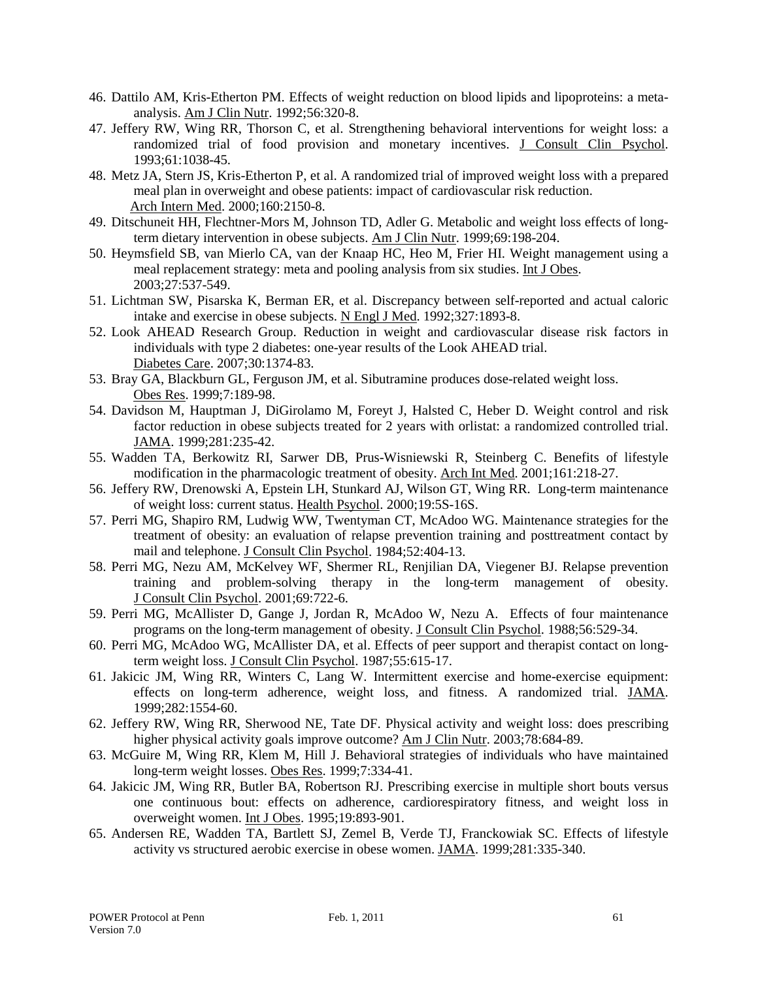- 46. Dattilo AM, Kris-Etherton PM. Effects of weight reduction on blood lipids and lipoproteins: a metaanalysis. Am J Clin Nutr. 1992;56:320-8.
- 47. Jeffery RW, Wing RR, Thorson C, et al. Strengthening behavioral interventions for weight loss: a randomized trial of food provision and monetary incentives. J Consult Clin Psychol. 1993;61:1038-45.
- 48. Metz JA, Stern JS, Kris-Etherton P, et al. A randomized trial of improved weight loss with a prepared meal plan in overweight and obese patients: impact of cardiovascular risk reduction. Arch Intern Med. 2000;160:2150-8.
- 49. Ditschuneit HH, Flechtner-Mors M, Johnson TD, Adler G. Metabolic and weight loss effects of longterm dietary intervention in obese subjects. Am J Clin Nutr. 1999;69:198-204.
- 50. Heymsfield SB, van Mierlo CA, van der Knaap HC, Heo M, Frier HI. Weight management using a meal replacement strategy: meta and pooling analysis from six studies. Int J Obes. 2003;27:537-549.
- 51. Lichtman SW, Pisarska K, Berman ER, et al. Discrepancy between self-reported and actual caloric intake and exercise in obese subjects. N Engl J Med. 1992;327:1893-8.
- 52. Look AHEAD Research Group. Reduction in weight and cardiovascular disease risk factors in individuals with type 2 diabetes: one-year results of the Look AHEAD trial. Diabetes Care. 2007;30:1374-83.
- 53. Bray GA, Blackburn GL, Ferguson JM, et al. Sibutramine produces dose-related weight loss. Obes Res. 1999;7:189-98.
- 54. Davidson M, Hauptman J, DiGirolamo M, Foreyt J, Halsted C, Heber D. Weight control and risk factor reduction in obese subjects treated for 2 years with orlistat: a randomized controlled trial. JAMA. 1999;281:235-42.
- 55. Wadden TA, Berkowitz RI, Sarwer DB, Prus-Wisniewski R, Steinberg C. Benefits of lifestyle modification in the pharmacologic treatment of obesity. Arch Int Med. 2001;161:218-27.
- 56. Jeffery RW, Drenowski A, Epstein LH, Stunkard AJ, Wilson GT, Wing RR. Long-term maintenance of weight loss: current status. Health Psychol. 2000;19:5S-16S.
- 57. Perri MG, Shapiro RM, Ludwig WW, Twentyman CT, McAdoo WG. Maintenance strategies for the treatment of obesity: an evaluation of relapse prevention training and posttreatment contact by mail and telephone. J Consult Clin Psychol. 1984;52:404-13.
- 58. Perri MG, Nezu AM, McKelvey WF, Shermer RL, Renjilian DA, Viegener BJ. Relapse prevention training and problem-solving therapy in the long-term management of obesity. J Consult Clin Psychol. 2001;69:722-6.
- 59. Perri MG, McAllister D, Gange J, Jordan R, McAdoo W, Nezu A. Effects of four maintenance programs on the long-term management of obesity. J Consult Clin Psychol. 1988;56:529-34.
- 60. Perri MG, McAdoo WG, McAllister DA, et al. Effects of peer support and therapist contact on longterm weight loss. J Consult Clin Psychol. 1987;55:615-17.
- 61. Jakicic JM, Wing RR, Winters C, Lang W. Intermittent exercise and home-exercise equipment: effects on long-term adherence, weight loss, and fitness. A randomized trial. JAMA. 1999;282:1554-60.
- 62. Jeffery RW, Wing RR, Sherwood NE, Tate DF. Physical activity and weight loss: does prescribing higher physical activity goals improve outcome? Am J Clin Nutr. 2003;78:684-89.
- 63. McGuire M, Wing RR, Klem M, Hill J. Behavioral strategies of individuals who have maintained long-term weight losses. Obes Res. 1999;7:334-41.
- 64. Jakicic JM, Wing RR, Butler BA, Robertson RJ. Prescribing exercise in multiple short bouts versus one continuous bout: effects on adherence, cardiorespiratory fitness, and weight loss in overweight women. Int J Obes. 1995;19:893-901.
- 65. Andersen RE, Wadden TA, Bartlett SJ, Zemel B, Verde TJ, Franckowiak SC. Effects of lifestyle activity vs structured aerobic exercise in obese women. JAMA. 1999;281:335-340.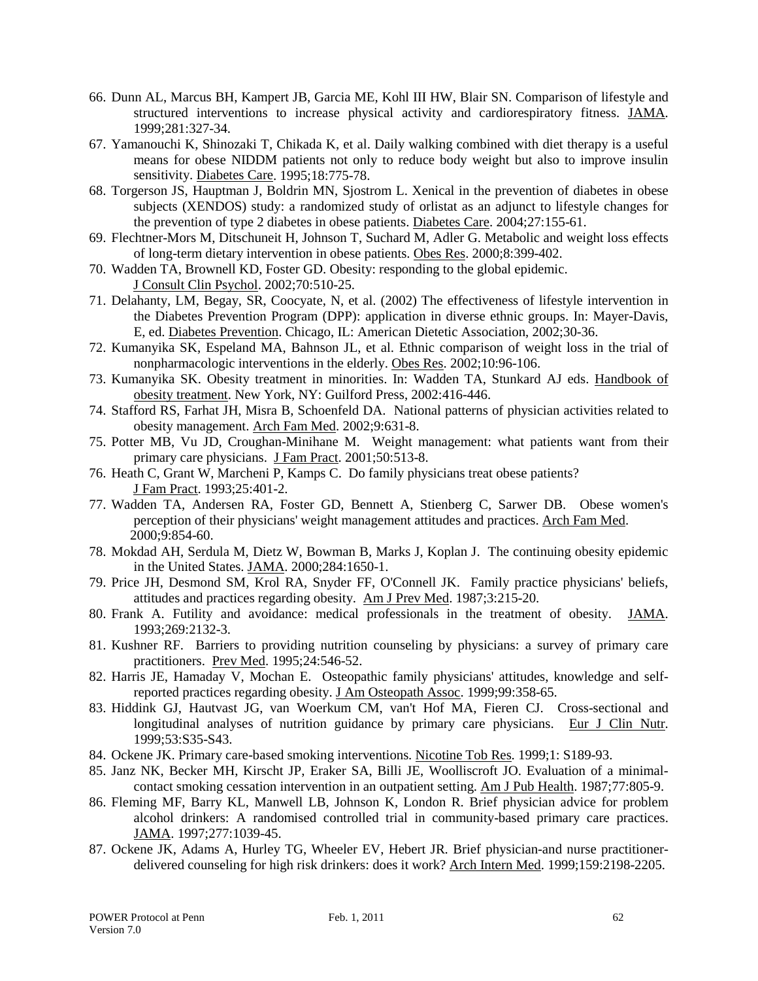- 66. Dunn AL, Marcus BH, Kampert JB, Garcia ME, Kohl III HW, Blair SN. Comparison of lifestyle and structured interventions to increase physical activity and cardiorespiratory fitness. JAMA. 1999;281:327-34.
- 67. Yamanouchi K, Shinozaki T, Chikada K, et al. Daily walking combined with diet therapy is a useful means for obese NIDDM patients not only to reduce body weight but also to improve insulin sensitivity. Diabetes Care. 1995;18:775-78.
- 68. Torgerson JS, Hauptman J, Boldrin MN, Sjostrom L. Xenical in the prevention of diabetes in obese subjects (XENDOS) study: a randomized study of orlistat as an adjunct to lifestyle changes for the prevention of type 2 diabetes in obese patients. Diabetes Care. 2004;27:155-61.
- 69. Flechtner-Mors M, Ditschuneit H, Johnson T, Suchard M, Adler G. Metabolic and weight loss effects of long-term dietary intervention in obese patients. Obes Res. 2000;8:399-402.
- 70. Wadden TA, Brownell KD, Foster GD. Obesity: responding to the global epidemic. J Consult Clin Psychol. 2002;70:510-25.
- 71. Delahanty, LM, Begay, SR, Coocyate, N, et al. (2002) The effectiveness of lifestyle intervention in the Diabetes Prevention Program (DPP): application in diverse ethnic groups. In: Mayer-Davis, E, ed. Diabetes Prevention. Chicago, IL: American Dietetic Association, 2002;30-36.
- 72. Kumanyika SK, Espeland MA, Bahnson JL, et al. Ethnic comparison of weight loss in the trial of nonpharmacologic interventions in the elderly. Obes Res. 2002;10:96-106.
- 73. Kumanyika SK. Obesity treatment in minorities. In: Wadden TA, Stunkard AJ eds. Handbook of obesity treatment. New York, NY: Guilford Press, 2002:416-446.
- 74. Stafford RS, Farhat JH, Misra B, Schoenfeld DA. National patterns of physician activities related to obesity management. Arch Fam Med. 2002;9:631-8.
- 75. Potter MB, Vu JD, Croughan-Minihane M. Weight management: what patients want from their primary care physicians. J Fam Pract. 2001;50:513-8.
- 76. Heath C, Grant W, Marcheni P, Kamps C. Do family physicians treat obese patients? J Fam Pract. 1993;25:401-2.
- 77. Wadden TA, Andersen RA, Foster GD, Bennett A, Stienberg C, Sarwer DB. Obese women's perception of their physicians' weight management attitudes and practices. Arch Fam Med. 2000;9:854-60.
- 78. Mokdad AH, Serdula M, Dietz W, Bowman B, Marks J, Koplan J. The continuing obesity epidemic in the United States. JAMA. 2000;284:1650-1.
- 79. Price JH, Desmond SM, Krol RA, Snyder FF, O'Connell JK. Family practice physicians' beliefs, attitudes and practices regarding obesity. Am J Prev Med. 1987;3:215-20.
- 80. Frank A. Futility and avoidance: medical professionals in the treatment of obesity. JAMA. 1993;269:2132-3.
- 81. Kushner RF. Barriers to providing nutrition counseling by physicians: a survey of primary care practitioners. Prev Med. 1995;24:546-52.
- 82. Harris JE, Hamaday V, Mochan E. Osteopathic family physicians' attitudes, knowledge and selfreported practices regarding obesity. J Am Osteopath Assoc. 1999;99:358-65.
- 83. Hiddink GJ, Hautvast JG, van Woerkum CM, van't Hof MA, Fieren CJ. Cross-sectional and longitudinal analyses of nutrition guidance by primary care physicians. Eur J Clin Nutr. 1999;53:S35-S43.
- 84. Ockene JK. Primary care-based smoking interventions. Nicotine Tob Res. 1999;1: S189-93.
- 85. Janz NK, Becker MH, Kirscht JP, Eraker SA, Billi JE, Woolliscroft JO. Evaluation of a minimalcontact smoking cessation intervention in an outpatient setting. Am J Pub Health. 1987;77:805-9.
- 86. Fleming MF, Barry KL, Manwell LB, Johnson K, London R. Brief physician advice for problem alcohol drinkers: A randomised controlled trial in community-based primary care practices. JAMA. 1997;277:1039-45.
- 87. Ockene JK, Adams A, Hurley TG, Wheeler EV, Hebert JR. Brief physician-and nurse practitionerdelivered counseling for high risk drinkers: does it work? Arch Intern Med. 1999;159:2198-2205.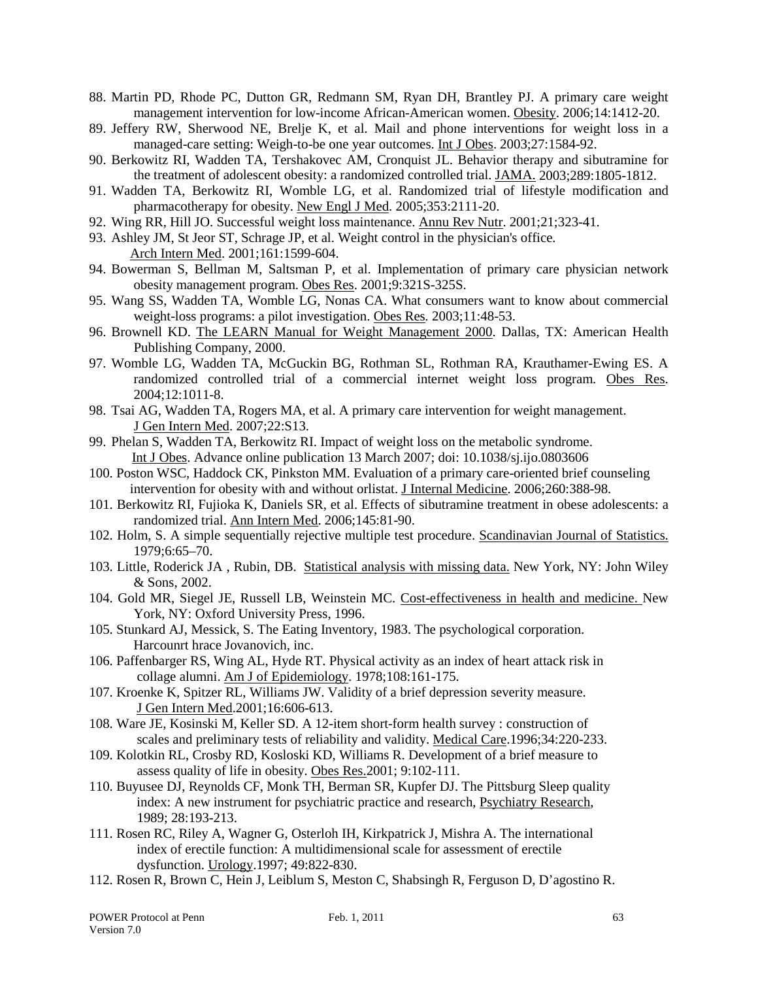- 88. Martin PD, Rhode PC, Dutton GR, Redmann SM, Ryan DH, Brantley PJ. A primary care weight management intervention for low-income African-American women. Obesity. 2006;14:1412-20.
- 89. Jeffery RW, Sherwood NE, Brelje K, et al. Mail and phone interventions for weight loss in a managed-care setting: Weigh-to-be one year outcomes. Int J Obes. 2003;27:1584-92.
- 90. Berkowitz RI, Wadden TA, Tershakovec AM, Cronquist JL. Behavior therapy and sibutramine for the treatment of adolescent obesity: a randomized controlled trial. JAMA. 2003;289:1805-1812.
- 91. Wadden TA, Berkowitz RI, Womble LG, et al. Randomized trial of lifestyle modification and pharmacotherapy for obesity. New Engl J Med. 2005;353:2111-20.
- 92. Wing RR, Hill JO. Successful weight loss maintenance. Annu Rev Nutr. 2001;21;323-41.
- 93. Ashley JM, St Jeor ST, Schrage JP, et al. Weight control in the physician's office. Arch Intern Med. 2001;161:1599-604.
- 94. Bowerman S, Bellman M, Saltsman P, et al. Implementation of primary care physician network obesity management program. Obes Res. 2001;9:321S-325S.
- 95. Wang SS, Wadden TA, Womble LG, Nonas CA. What consumers want to know about commercial weight-loss programs: a pilot investigation. Obes Res*.* 2003;11:48-53.
- 96. Brownell KD. The LEARN Manual for Weight Management 2000. Dallas, TX: American Health Publishing Company, 2000.
- 97. Womble LG, Wadden TA, McGuckin BG, Rothman SL, Rothman RA, Krauthamer-Ewing ES. A randomized controlled trial of a commercial internet weight loss program. Obes Res. 2004;12:1011-8.
- 98. Tsai AG, Wadden TA, Rogers MA, et al. A primary care intervention for weight management. J Gen Intern Med. 2007;22:S13.
- 99. Phelan S, Wadden TA, Berkowitz RI. Impact of weight loss on the metabolic syndrome. Int J Obes. Advance online publication 13 March 2007; doi: 10.1038/sj.ijo.0803606
- 100. Poston WSC, Haddock CK, Pinkston MM. Evaluation of a primary care-oriented brief counseling intervention for obesity with and without orlistat. J Internal Medicine. 2006;260:388-98.
- 101. Berkowitz RI, Fujioka K, Daniels SR, et al. Effects of sibutramine treatment in obese adolescents: a randomized trial. Ann Intern Med. 2006;145:81-90.
- 102. Holm, S. A simple sequentially rejective multiple test procedure. Scandinavian Journal of Statistics. 1979;6:65–70.
- 103. Little, Roderick JA , Rubin, DB. Statistical analysis with missing data. New York, NY: John Wiley & Sons, 2002.
- 104. Gold MR, Siegel JE, Russell LB, Weinstein MC. Cost-effectiveness in health and medicine. New York, NY: Oxford University Press, 1996.
- 105. Stunkard AJ, Messick, S. The Eating Inventory, 1983. The psychological corporation. Harcounrt hrace Jovanovich, inc.
- 106. Paffenbarger RS, Wing AL, Hyde RT. Physical activity as an index of heart attack risk in collage alumni. Am J of Epidemiology. 1978;108:161-175.
- 107. Kroenke K, Spitzer RL, Williams JW. Validity of a brief depression severity measure. J Gen Intern Med.2001;16:606-613.
- 108. Ware JE, Kosinski M, Keller SD. A 12-item short-form health survey : construction of scales and preliminary tests of reliability and validity. Medical Care.1996;34:220-233.
- 109. Kolotkin RL, Crosby RD, Kosloski KD, Williams R. Development of a brief measure to assess quality of life in obesity. Obes Res.2001; 9:102-111.
- 110. Buyusee DJ, Reynolds CF, Monk TH, Berman SR, Kupfer DJ. The Pittsburg Sleep quality index: A new instrument for psychiatric practice and research, Psychiatry Research, 1989; 28:193-213.
- 111. Rosen RC, Riley A, Wagner G, Osterloh IH, Kirkpatrick J, Mishra A. The international index of erectile function: A multidimensional scale for assessment of erectile dysfunction. Urology.1997; 49:822-830.
- 112. Rosen R, Brown C, Hein J, Leiblum S, Meston C, Shabsingh R, Ferguson D, D'agostino R.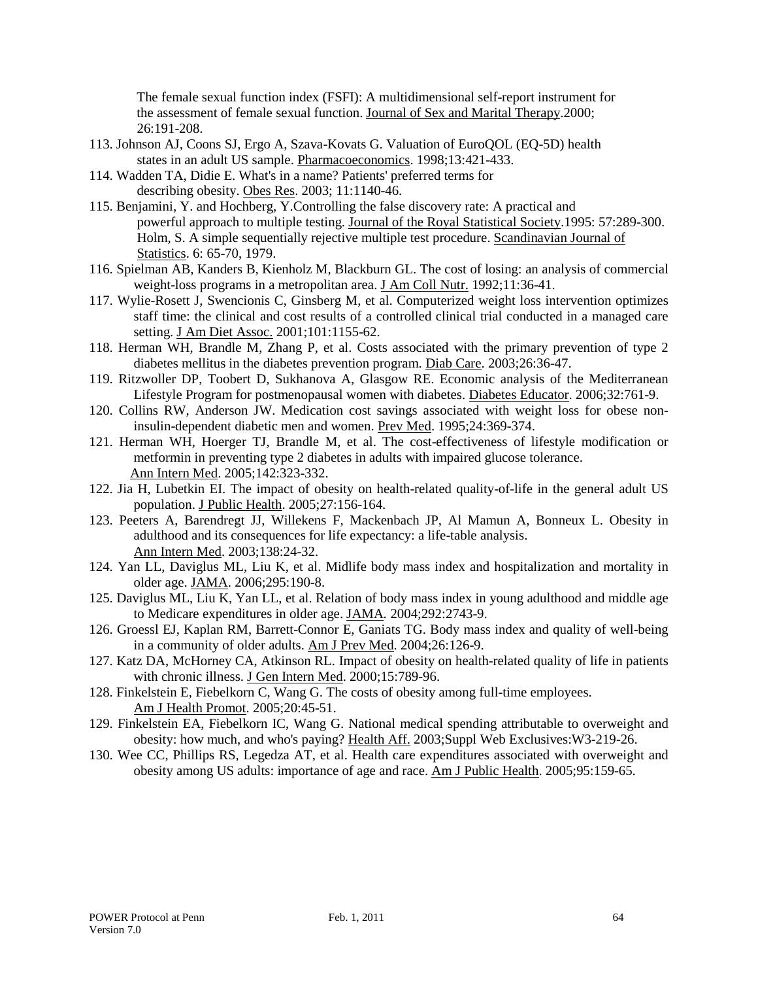The female sexual function index (FSFI): A multidimensional self-report instrument for the assessment of female sexual function. Journal of Sex and Marital Therapy.2000; 26:191-208.

- 113. Johnson AJ, Coons SJ, Ergo A, Szava-Kovats G. Valuation of EuroQOL (EQ-5D) health states in an adult US sample. Pharmacoeconomics. 1998;13:421-433.
- 114. Wadden TA, Didie E. What's in a name? Patients' preferred terms for describing obesity. Obes Res. 2003; 11:1140-46.
- 115. Benjamini, Y. and Hochberg, Y.Controlling the false discovery rate: A practical and powerful approach to multiple testing. Journal of the Royal Statistical Society.1995: 57:289-300. Holm, S. A simple sequentially rejective multiple test procedure. Scandinavian Journal of Statistics. 6: 65-70, 1979.
- 116. Spielman AB, Kanders B, Kienholz M, Blackburn GL. The cost of losing: an analysis of commercial weight-loss programs in a metropolitan area. J Am Coll Nutr. 1992;11:36-41.
- 117. Wylie-Rosett J, Swencionis C, Ginsberg M, et al. Computerized weight loss intervention optimizes staff time: the clinical and cost results of a controlled clinical trial conducted in a managed care setting. J Am Diet Assoc. 2001;101:1155-62.
- 118. Herman WH, Brandle M, Zhang P, et al. Costs associated with the primary prevention of type 2 diabetes mellitus in the diabetes prevention program. Diab Care. 2003;26:36-47.
- 119. Ritzwoller DP, Toobert D, Sukhanova A, Glasgow RE. Economic analysis of the Mediterranean Lifestyle Program for postmenopausal women with diabetes. Diabetes Educator. 2006;32:761-9.
- 120. Collins RW, Anderson JW. Medication cost savings associated with weight loss for obese noninsulin-dependent diabetic men and women. Prev Med. 1995;24:369-374.
- 121. Herman WH, Hoerger TJ, Brandle M, et al. The cost-effectiveness of lifestyle modification or metformin in preventing type 2 diabetes in adults with impaired glucose tolerance. Ann Intern Med. 2005;142:323-332.
- 122. Jia H, Lubetkin EI. The impact of obesity on health-related quality-of-life in the general adult US population. J Public Health. 2005;27:156-164.
- 123. Peeters A, Barendregt JJ, Willekens F, Mackenbach JP, Al Mamun A, Bonneux L. Obesity in adulthood and its consequences for life expectancy: a life-table analysis. Ann Intern Med. 2003;138:24-32.
- 124. Yan LL, Daviglus ML, Liu K, et al. Midlife body mass index and hospitalization and mortality in older age. JAMA. 2006;295:190-8.
- 125. Daviglus ML, Liu K, Yan LL, et al. Relation of body mass index in young adulthood and middle age to Medicare expenditures in older age. JAMA*.* 2004;292:2743-9.
- 126. Groessl EJ, Kaplan RM, Barrett-Connor E, Ganiats TG. Body mass index and quality of well-being in a community of older adults. Am J Prev Med. 2004;26:126-9.
- 127. Katz DA, McHorney CA, Atkinson RL. Impact of obesity on health-related quality of life in patients with chronic illness. J Gen Intern Med. 2000;15:789-96.
- 128. Finkelstein E, Fiebelkorn C, Wang G. The costs of obesity among full-time employees. Am J Health Promot. 2005;20:45-51.
- 129. Finkelstein EA, Fiebelkorn IC, Wang G. National medical spending attributable to overweight and obesity: how much, and who's paying? Health Aff. 2003;Suppl Web Exclusives:W3-219-26.
- 130. Wee CC, Phillips RS, Legedza AT, et al. Health care expenditures associated with overweight and obesity among US adults: importance of age and race. Am J Public Health. 2005;95:159-65.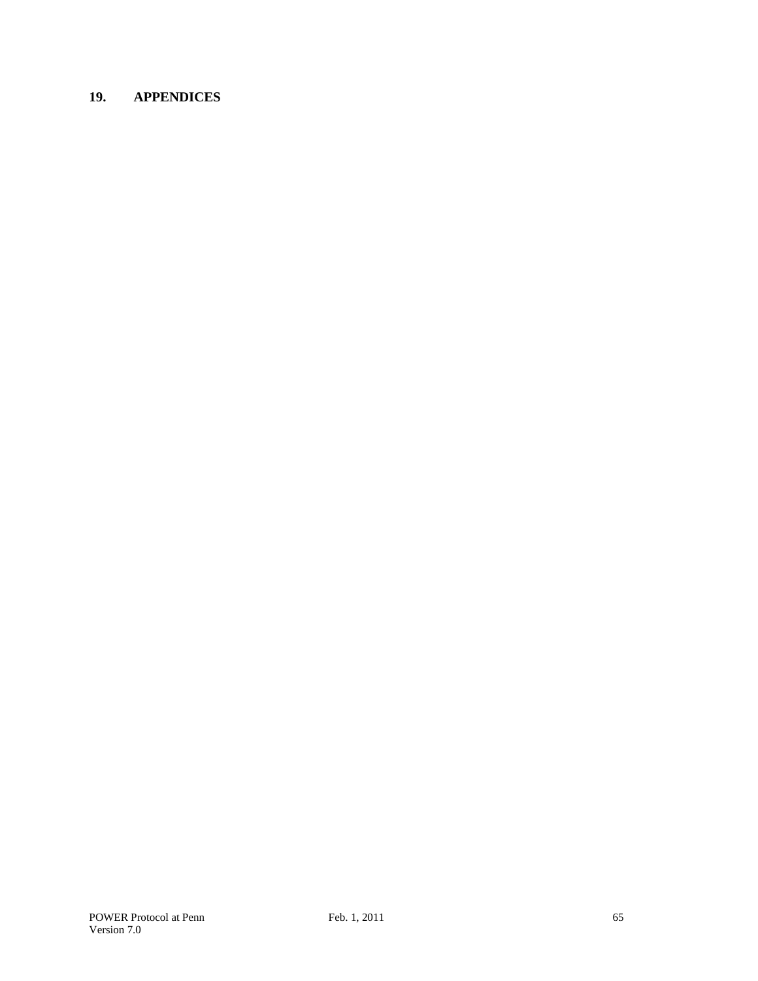# **19. APPENDICES**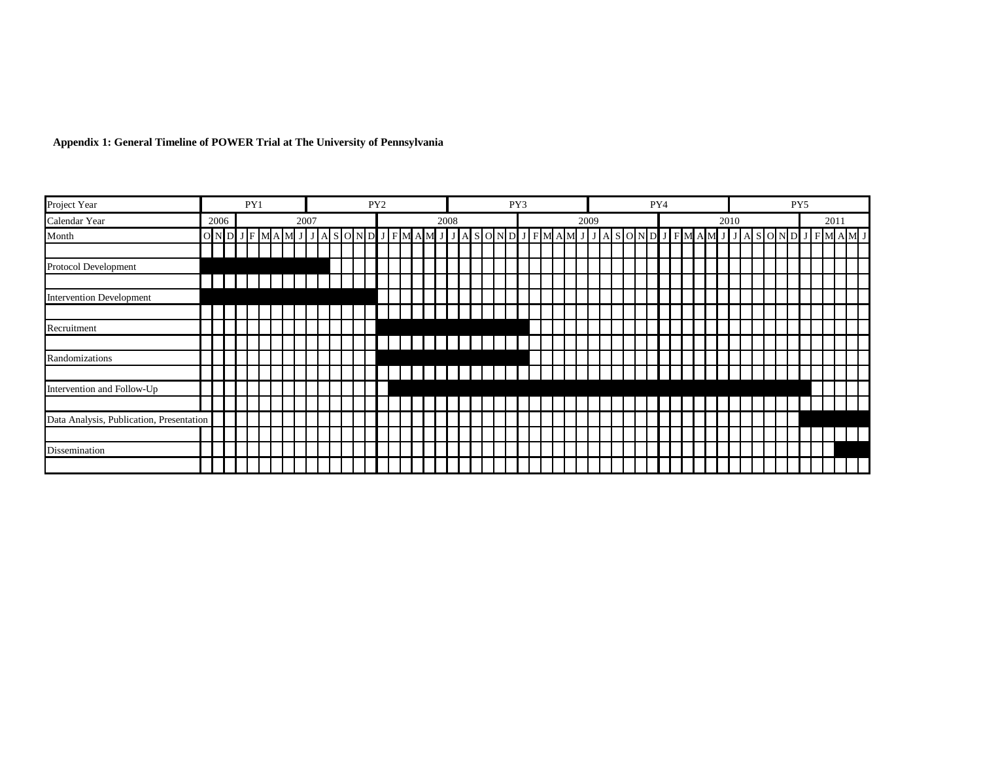# **Appendix 1: General Timeline of POWER Trial at The University of Pennsylvania**

| Project Year                             |      |      | PY1 | PY <sub>2</sub><br>PY3                                                |  |  |    |               |  |  |  |  |  |      |  |  | PY4 |  |                       |      |  |  |          | PY5 |  |  |  |      |  |  |  |  |      |  |                                           |  |
|------------------------------------------|------|------|-----|-----------------------------------------------------------------------|--|--|----|---------------|--|--|--|--|--|------|--|--|-----|--|-----------------------|------|--|--|----------|-----|--|--|--|------|--|--|--|--|------|--|-------------------------------------------|--|
| Calendar Year                            | 2006 | 2007 |     |                                                                       |  |  |    |               |  |  |  |  |  | 2008 |  |  |     |  |                       | 2009 |  |  |          |     |  |  |  | 2010 |  |  |  |  | 2011 |  |                                           |  |
| Month                                    |      |      |     | $\bigcup N \bigcup J \bigg[ F \big[ M \big] A \big] M \big] J \bigg]$ |  |  | AA | $S$ ONDJFMAMJ |  |  |  |  |  | J    |  |  |     |  | A[S[O]N]DJ]F[M]A[M]JJ |      |  |  | $A$ SOND |     |  |  |  |      |  |  |  |  |      |  | $J$ $F$ M A M J J A S O N D J $F$ M A M J |  |
|                                          |      |      |     |                                                                       |  |  |    |               |  |  |  |  |  |      |  |  |     |  |                       |      |  |  |          |     |  |  |  |      |  |  |  |  |      |  |                                           |  |
| Protocol Development                     |      |      |     |                                                                       |  |  |    |               |  |  |  |  |  |      |  |  |     |  |                       |      |  |  |          |     |  |  |  |      |  |  |  |  |      |  |                                           |  |
|                                          |      |      |     |                                                                       |  |  |    |               |  |  |  |  |  |      |  |  |     |  |                       |      |  |  |          |     |  |  |  |      |  |  |  |  |      |  |                                           |  |
| Intervention Development                 |      |      |     |                                                                       |  |  |    |               |  |  |  |  |  |      |  |  |     |  |                       |      |  |  |          |     |  |  |  |      |  |  |  |  |      |  |                                           |  |
|                                          |      |      |     |                                                                       |  |  |    |               |  |  |  |  |  |      |  |  |     |  |                       |      |  |  |          |     |  |  |  |      |  |  |  |  |      |  |                                           |  |
| Recruitment                              |      |      |     |                                                                       |  |  |    |               |  |  |  |  |  |      |  |  |     |  |                       |      |  |  |          |     |  |  |  |      |  |  |  |  |      |  |                                           |  |
|                                          |      |      |     |                                                                       |  |  |    |               |  |  |  |  |  |      |  |  |     |  |                       |      |  |  |          |     |  |  |  |      |  |  |  |  |      |  |                                           |  |
| Randomizations                           |      |      |     |                                                                       |  |  |    |               |  |  |  |  |  |      |  |  |     |  |                       |      |  |  |          |     |  |  |  |      |  |  |  |  |      |  |                                           |  |
|                                          |      |      |     |                                                                       |  |  |    |               |  |  |  |  |  |      |  |  |     |  |                       |      |  |  |          |     |  |  |  |      |  |  |  |  |      |  |                                           |  |
| Intervention and Follow-Up               |      |      |     |                                                                       |  |  |    |               |  |  |  |  |  |      |  |  |     |  |                       |      |  |  |          |     |  |  |  |      |  |  |  |  |      |  |                                           |  |
|                                          |      |      |     |                                                                       |  |  |    |               |  |  |  |  |  |      |  |  |     |  |                       |      |  |  |          |     |  |  |  |      |  |  |  |  |      |  |                                           |  |
| Data Analysis, Publication, Presentation |      |      |     |                                                                       |  |  |    |               |  |  |  |  |  |      |  |  |     |  |                       |      |  |  |          |     |  |  |  |      |  |  |  |  |      |  |                                           |  |
|                                          |      |      |     |                                                                       |  |  |    |               |  |  |  |  |  |      |  |  |     |  |                       |      |  |  |          |     |  |  |  |      |  |  |  |  |      |  |                                           |  |
| Dissemination                            |      |      |     |                                                                       |  |  |    |               |  |  |  |  |  |      |  |  |     |  |                       |      |  |  |          |     |  |  |  |      |  |  |  |  |      |  |                                           |  |
|                                          |      |      |     |                                                                       |  |  |    |               |  |  |  |  |  |      |  |  |     |  |                       |      |  |  |          |     |  |  |  |      |  |  |  |  |      |  |                                           |  |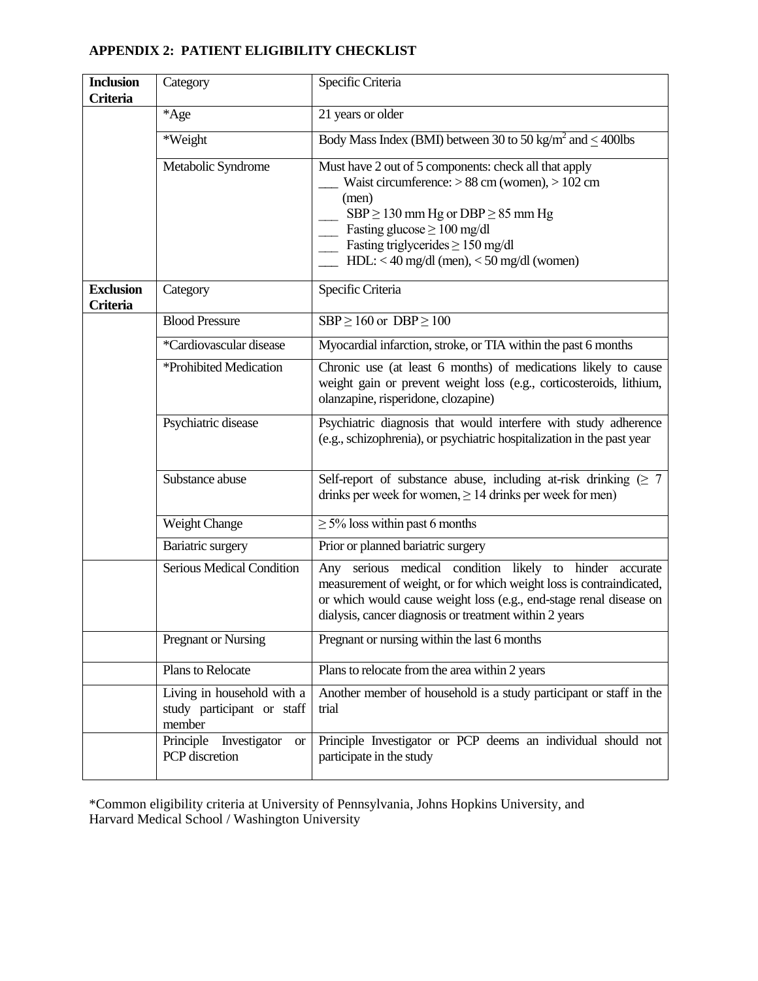# **APPENDIX 2: PATIENT ELIGIBILITY CHECKLIST**

| <b>Inclusion</b><br><b>Criteria</b> | Category                                                           | Specific Criteria                                                                                                                                                                                                                                                                                |
|-------------------------------------|--------------------------------------------------------------------|--------------------------------------------------------------------------------------------------------------------------------------------------------------------------------------------------------------------------------------------------------------------------------------------------|
|                                     | *Age                                                               | 21 years or older                                                                                                                                                                                                                                                                                |
|                                     | *Weight                                                            | Body Mass Index (BMI) between 30 to 50 kg/m <sup>2</sup> and $\leq$ 400lbs                                                                                                                                                                                                                       |
|                                     | Metabolic Syndrome                                                 | Must have 2 out of 5 components: check all that apply<br>Waist circumference: $> 88$ cm (women), $> 102$ cm<br>(men)<br>$SBP \ge 130$ mm Hg or $DBP \ge 85$ mm Hg<br>Fasting glucose $\geq 100$ mg/dl<br>Fasting triglycerides $\geq 150$ mg/dl<br>HDL: $<$ 40 mg/dl (men), $<$ 50 mg/dl (women) |
| <b>Exclusion</b><br><b>Criteria</b> | Category                                                           | Specific Criteria                                                                                                                                                                                                                                                                                |
|                                     | <b>Blood Pressure</b>                                              | $SBP \ge 160$ or $DBP \ge 100$                                                                                                                                                                                                                                                                   |
|                                     | *Cardiovascular disease                                            | Myocardial infarction, stroke, or TIA within the past 6 months                                                                                                                                                                                                                                   |
|                                     | *Prohibited Medication                                             | Chronic use (at least 6 months) of medications likely to cause<br>weight gain or prevent weight loss (e.g., corticosteroids, lithium,<br>olanzapine, risperidone, clozapine)                                                                                                                     |
|                                     | Psychiatric disease                                                | Psychiatric diagnosis that would interfere with study adherence<br>(e.g., schizophrenia), or psychiatric hospitalization in the past year                                                                                                                                                        |
|                                     | Substance abuse                                                    | Self-report of substance abuse, including at-risk drinking $( \geq 7)$<br>drinks per week for women, $\geq 14$ drinks per week for men)                                                                                                                                                          |
|                                     | Weight Change                                                      | $\geq$ 5% loss within past 6 months                                                                                                                                                                                                                                                              |
|                                     | Bariatric surgery                                                  | Prior or planned bariatric surgery                                                                                                                                                                                                                                                               |
|                                     | <b>Serious Medical Condition</b>                                   | Any serious medical condition likely to hinder accurate<br>measurement of weight, or for which weight loss is contraindicated,<br>or which would cause weight loss (e.g., end-stage renal disease on<br>dialysis, cancer diagnosis or treatment within 2 years                                   |
|                                     | <b>Pregnant or Nursing</b>                                         | Pregnant or nursing within the last 6 months                                                                                                                                                                                                                                                     |
|                                     | Plans to Relocate                                                  | Plans to relocate from the area within 2 years                                                                                                                                                                                                                                                   |
|                                     | Living in household with a<br>study participant or staff<br>member | Another member of household is a study participant or staff in the<br>trial                                                                                                                                                                                                                      |
|                                     | Principle Investigator<br><b>or</b><br>PCP discretion              | Principle Investigator or PCP deems an individual should not<br>participate in the study                                                                                                                                                                                                         |

\*Common eligibility criteria at University of Pennsylvania, Johns Hopkins University, and Harvard Medical School / Washington University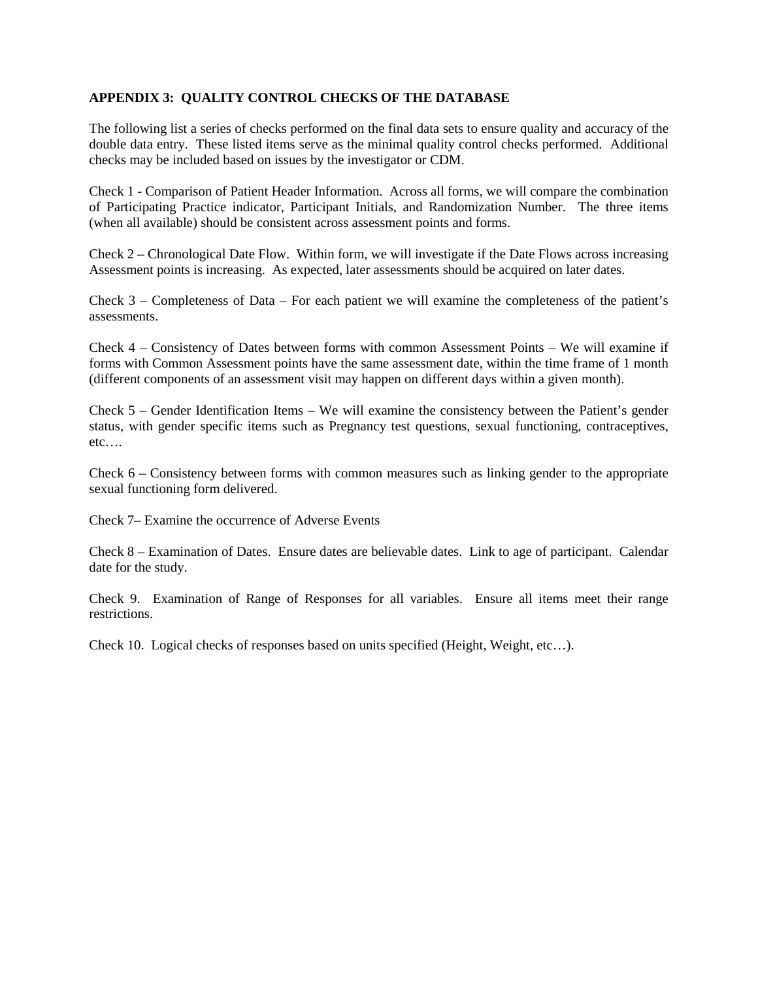## **APPENDIX 3: QUALITY CONTROL CHECKS OF THE DATABASE**

The following list a series of checks performed on the final data sets to ensure quality and accuracy of the double data entry. These listed items serve as the minimal quality control checks performed. Additional checks may be included based on issues by the investigator or CDM.

Check 1 - Comparison of Patient Header Information. Across all forms, we will compare the combination of Participating Practice indicator, Participant Initials, and Randomization Number. The three items (when all available) should be consistent across assessment points and forms.

Check 2 – Chronological Date Flow. Within form, we will investigate if the Date Flows across increasing Assessment points is increasing. As expected, later assessments should be acquired on later dates.

Check 3 – Completeness of Data – For each patient we will examine the completeness of the patient's assessments.

Check 4 – Consistency of Dates between forms with common Assessment Points – We will examine if forms with Common Assessment points have the same assessment date, within the time frame of 1 month (different components of an assessment visit may happen on different days within a given month).

Check 5 – Gender Identification Items – We will examine the consistency between the Patient's gender status, with gender specific items such as Pregnancy test questions, sexual functioning, contraceptives, etc….

Check 6 – Consistency between forms with common measures such as linking gender to the appropriate sexual functioning form delivered.

Check 7– Examine the occurrence of Adverse Events

Check 8 – Examination of Dates. Ensure dates are believable dates. Link to age of participant. Calendar date for the study.

Check 9. Examination of Range of Responses for all variables. Ensure all items meet their range restrictions.

Check 10. Logical checks of responses based on units specified (Height, Weight, etc…).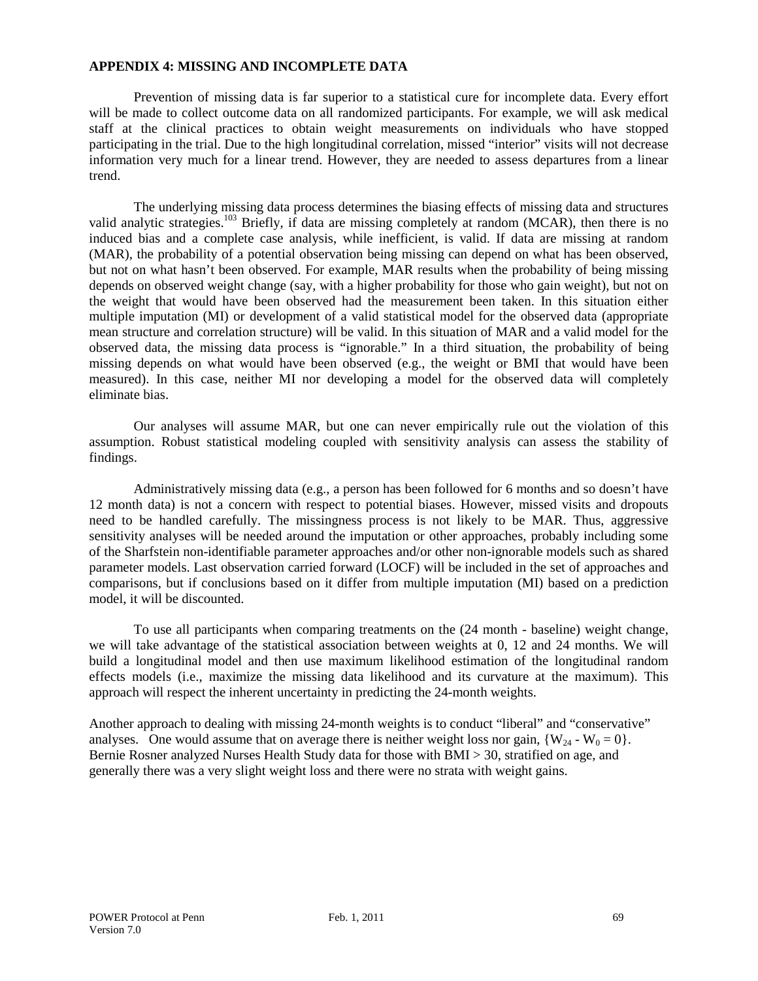### **APPENDIX 4: MISSING AND INCOMPLETE DATA**

Prevention of missing data is far superior to a statistical cure for incomplete data. Every effort will be made to collect outcome data on all randomized participants. For example, we will ask medical staff at the clinical practices to obtain weight measurements on individuals who have stopped participating in the trial. Due to the high longitudinal correlation, missed "interior" visits will not decrease information very much for a linear trend. However, they are needed to assess departures from a linear trend.

The underlying missing data process determines the biasing effects of missing data and structures valid analytic strategies.103 Briefly, if data are missing completely at random (MCAR), then there is no induced bias and a complete case analysis, while inefficient, is valid. If data are missing at random (MAR), the probability of a potential observation being missing can depend on what has been observed, but not on what hasn't been observed. For example, MAR results when the probability of being missing depends on observed weight change (say, with a higher probability for those who gain weight), but not on the weight that would have been observed had the measurement been taken. In this situation either multiple imputation (MI) or development of a valid statistical model for the observed data (appropriate mean structure and correlation structure) will be valid. In this situation of MAR and a valid model for the observed data, the missing data process is "ignorable." In a third situation, the probability of being missing depends on what would have been observed (e.g., the weight or BMI that would have been measured). In this case, neither MI nor developing a model for the observed data will completely eliminate bias.

Our analyses will assume MAR, but one can never empirically rule out the violation of this assumption. Robust statistical modeling coupled with sensitivity analysis can assess the stability of findings.

Administratively missing data (e.g., a person has been followed for 6 months and so doesn't have 12 month data) is not a concern with respect to potential biases. However, missed visits and dropouts need to be handled carefully. The missingness process is not likely to be MAR. Thus, aggressive sensitivity analyses will be needed around the imputation or other approaches, probably including some of the Sharfstein non-identifiable parameter approaches and/or other non-ignorable models such as shared parameter models. Last observation carried forward (LOCF) will be included in the set of approaches and comparisons, but if conclusions based on it differ from multiple imputation (MI) based on a prediction model, it will be discounted.

To use all participants when comparing treatments on the (24 month - baseline) weight change, we will take advantage of the statistical association between weights at 0, 12 and 24 months. We will build a longitudinal model and then use maximum likelihood estimation of the longitudinal random effects models (i.e., maximize the missing data likelihood and its curvature at the maximum). This approach will respect the inherent uncertainty in predicting the 24-month weights.

Another approach to dealing with missing 24-month weights is to conduct "liberal" and "conservative" analyses. One would assume that on average there is neither weight loss nor gain,  ${W_{24}} - W_0 = 0$ . Bernie Rosner analyzed Nurses Health Study data for those with BMI > 30, stratified on age, and generally there was a very slight weight loss and there were no strata with weight gains.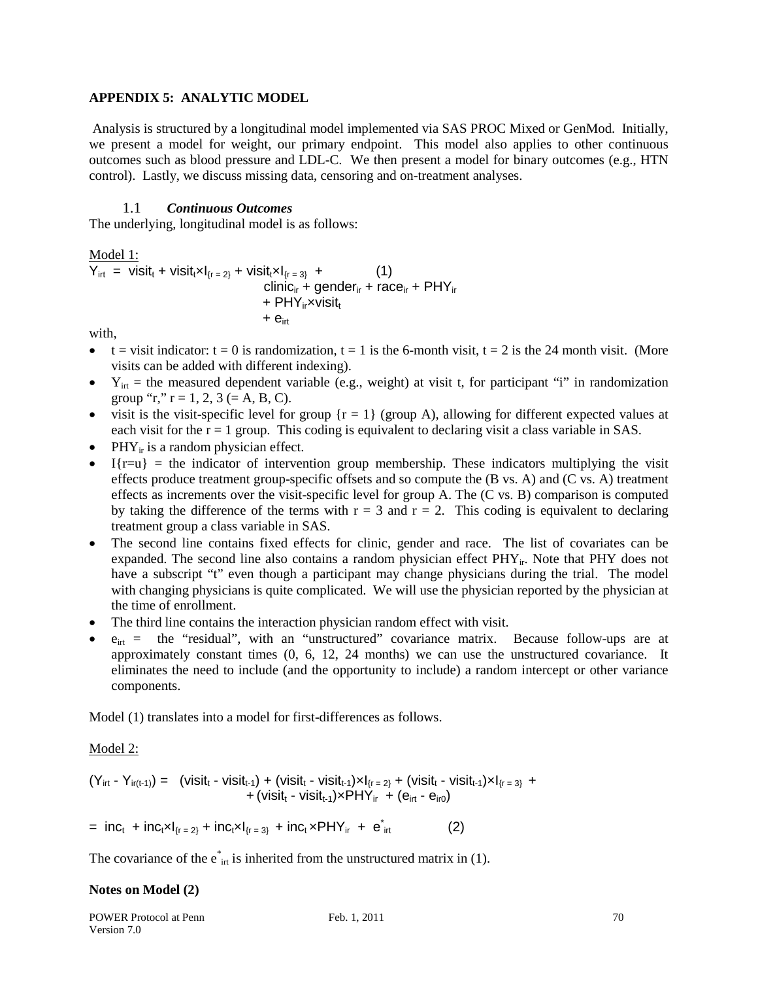### **APPENDIX 5: ANALYTIC MODEL**

Analysis is structured by a longitudinal model implemented via SAS PROC Mixed or GenMod. Initially, we present a model for weight, our primary endpoint. This model also applies to other continuous outcomes such as blood pressure and LDL-C. We then present a model for binary outcomes (e.g., HTN control). Lastly, we discuss missing data, censoring and on-treatment analyses.

## 1.1 *Continuous Outcomes*

The underlying, longitudinal model is as follows:

## Model 1:

 $Y_{\text{int}} = \text{visit}_{t} + \text{visit}_{t} \times I_{\{r = 2\}} + \text{visit}_{t} \times I_{\{r = 3\}} +$  (1) clinic $_{\sf ir}$  + gender $_{\sf ir}$  + race $_{\sf ir}$  + PHY $_{\sf ir}$ + PHY<sub>ir</sub>xvisit.  $+ e_{irt}$ 

with,

- $t = \text{visit indicator: } t = 0$  is randomization,  $t = 1$  is the 6-month visit,  $t = 2$  is the 24 month visit. (More visits can be added with different indexing).
- $Y_{\text{int}}$  = the measured dependent variable (e.g., weight) at visit t, for participant "i" in randomization group "r,"  $r = 1, 2, 3 (= A, B, C)$ .
- visit is the visit-specific level for group  $\{r = 1\}$  (group A), allowing for different expected values at each visit for the  $r = 1$  group. This coding is equivalent to declaring visit a class variable in SAS.
- PHY $_{ir}$  is a random physician effect.
- I $\{r=u\}$  = the indicator of intervention group membership. These indicators multiplying the visit effects produce treatment group-specific offsets and so compute the (B vs. A) and (C vs. A) treatment effects as increments over the visit-specific level for group A. The (C vs. B) comparison is computed by taking the difference of the terms with  $r = 3$  and  $r = 2$ . This coding is equivalent to declaring treatment group a class variable in SAS.
- The second line contains fixed effects for clinic, gender and race. The list of covariates can be expanded. The second line also contains a random physician effect PHY<sub>ir</sub>. Note that PHY does not have a subscript "t" even though a participant may change physicians during the trial. The model with changing physicians is quite complicated. We will use the physician reported by the physician at the time of enrollment.
- The third line contains the interaction physician random effect with visit.
- $e_{\text{int}}$  = the "residual", with an "unstructured" covariance matrix. Because follow-ups are at approximately constant times (0, 6, 12, 24 months) we can use the unstructured covariance. It eliminates the need to include (and the opportunity to include) a random intercept or other variance components.

Model (1) translates into a model for first-differences as follows.

# Model 2:

$$
(Y_{irt} - Y_{irt(t-1)}) = (visit_{t} - visit_{t-1}) + (visit_{t} - visit_{t-1}) \times I_{\{r = 2\}} + (visit_{t} - visit_{t-1}) \times I_{\{r = 3\}} + \newline + (visit_{t} - visit_{t-1}) \times PHY_{ir} + (e_{irt} - e_{ir0})
$$

 $=$  inc<sub>t</sub> + inc<sub>t</sub> $\times$ I<sub>{r = 2}</sub> + inc<sub>t</sub> $\times$ I<sub>{r = 3}</sub> + inc<sub>t</sub> $\times$ PHY<sub>ir</sub> +  $e^*$ <sub>int</sub>  $(2)$ 

The covariance of the  $e^*_{int}$  is inherited from the unstructured matrix in (1).

# **Notes on Model (2)**

POWER Protocol at Penn Feb. 1, 2011 Feb. 1, 2011 70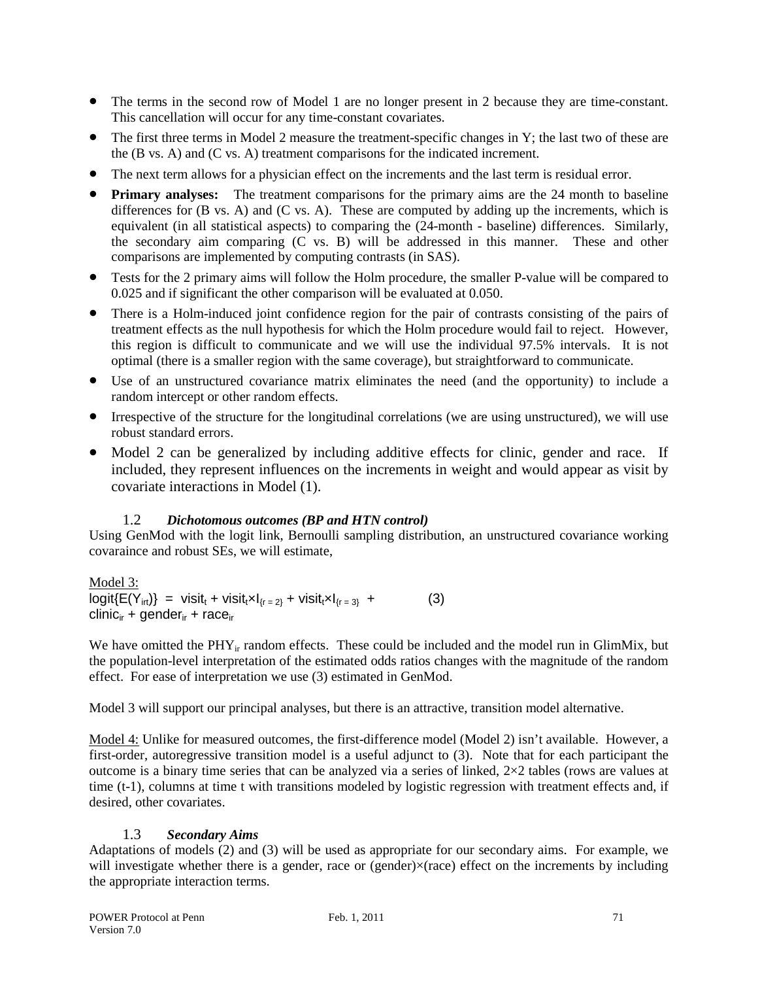- The terms in the second row of Model 1 are no longer present in 2 because they are time-constant. This cancellation will occur for any time-constant covariates.
- $\bullet$  The first three terms in Model 2 measure the treatment-specific changes in Y; the last two of these are the (B vs. A) and (C vs. A) treatment comparisons for the indicated increment.
- The next term allows for a physician effect on the increments and the last term is residual error.
- **Primary analyses:** The treatment comparisons for the primary aims are the 24 month to baseline differences for (B vs. A) and (C vs. A). These are computed by adding up the increments, which is equivalent (in all statistical aspects) to comparing the (24-month - baseline) differences. Similarly, the secondary aim comparing (C vs. B) will be addressed in this manner. These and other comparisons are implemented by computing contrasts (in SAS).
- Tests for the 2 primary aims will follow the Holm procedure, the smaller P-value will be compared to 0.025 and if significant the other comparison will be evaluated at 0.050.
- There is a Holm-induced joint confidence region for the pair of contrasts consisting of the pairs of treatment effects as the null hypothesis for which the Holm procedure would fail to reject. However, this region is difficult to communicate and we will use the individual 97.5% intervals. It is not optimal (there is a smaller region with the same coverage), but straightforward to communicate.
- Use of an unstructured covariance matrix eliminates the need (and the opportunity) to include a random intercept or other random effects.
- Irrespective of the structure for the longitudinal correlations (we are using unstructured), we will use robust standard errors.
- Model 2 can be generalized by including additive effects for clinic, gender and race. If included, they represent influences on the increments in weight and would appear as visit by covariate interactions in Model (1).

# 1.2 *Dichotomous outcomes (BP and HTN control)*

Using GenMod with the logit link, Bernoulli sampling distribution, an unstructured covariance working covaraince and robust SEs, we will estimate,

Model 3:  $logit{E(Y_{int})}$  = visit<sub>t</sub> + visit<sub>t</sub> $\times I_{(r = 2)}$  + visit<sub>t</sub> $\times I_{(r = 3)}$  + (3)  $clinic<sub>ir</sub> + gender<sub>ir</sub> + race<sub>ir</sub>$ 

We have omitted the PHY<sub>ir</sub> random effects. These could be included and the model run in GlimMix, but the population-level interpretation of the estimated odds ratios changes with the magnitude of the random effect. For ease of interpretation we use (3) estimated in GenMod.

Model 3 will support our principal analyses, but there is an attractive, transition model alternative.

Model 4: Unlike for measured outcomes, the first-difference model (Model 2) isn't available. However, a first-order, autoregressive transition model is a useful adjunct to (3). Note that for each participant the outcome is a binary time series that can be analyzed via a series of linked, 2×2 tables (rows are values at time (t-1), columns at time t with transitions modeled by logistic regression with treatment effects and, if desired, other covariates.

# 1.3 *Secondary Aims*

Adaptations of models (2) and (3) will be used as appropriate for our secondary aims. For example, we will investigate whether there is a gender, race or (gender)×(race) effect on the increments by including the appropriate interaction terms.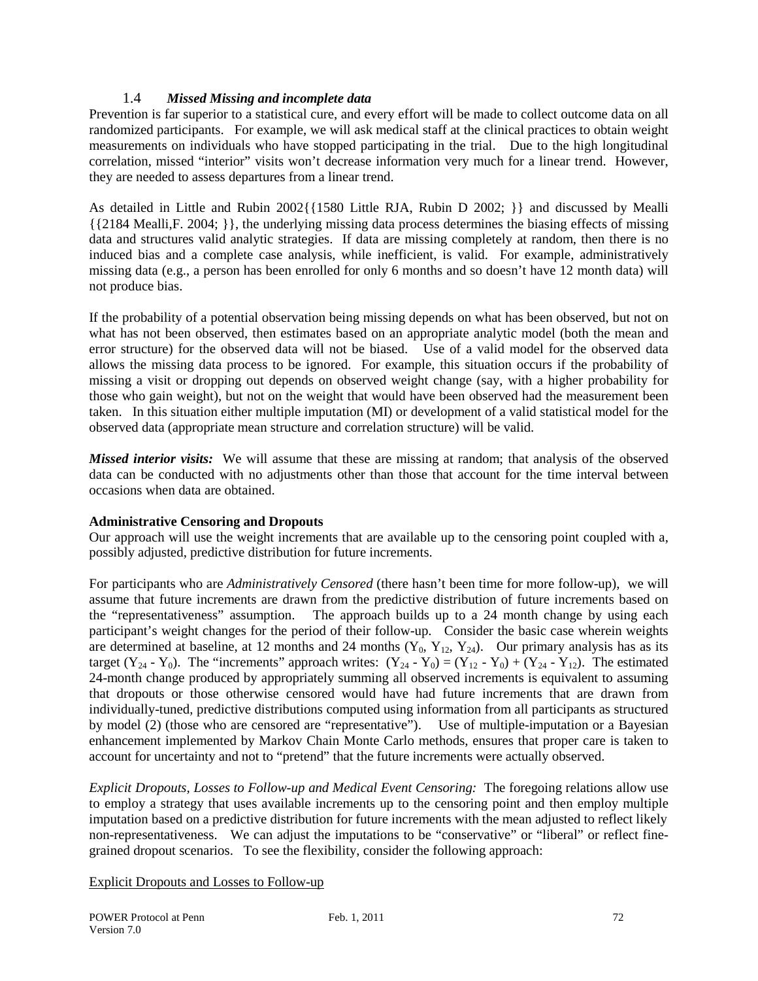# 1.4 *Missed Missing and incomplete data*

Prevention is far superior to a statistical cure, and every effort will be made to collect outcome data on all randomized participants. For example, we will ask medical staff at the clinical practices to obtain weight measurements on individuals who have stopped participating in the trial. Due to the high longitudinal correlation, missed "interior" visits won't decrease information very much for a linear trend. However, they are needed to assess departures from a linear trend.

As detailed in Little and Rubin 2002{{1580 Little RJA, Rubin D 2002; }} and discussed by Mealli {{2184 Mealli,F. 2004; }}, the underlying missing data process determines the biasing effects of missing data and structures valid analytic strategies. If data are missing completely at random, then there is no induced bias and a complete case analysis, while inefficient, is valid. For example, administratively missing data (e.g., a person has been enrolled for only 6 months and so doesn't have 12 month data) will not produce bias.

If the probability of a potential observation being missing depends on what has been observed, but not on what has not been observed, then estimates based on an appropriate analytic model (both the mean and error structure) for the observed data will not be biased. Use of a valid model for the observed data allows the missing data process to be ignored. For example, this situation occurs if the probability of missing a visit or dropping out depends on observed weight change (say, with a higher probability for those who gain weight), but not on the weight that would have been observed had the measurement been taken. In this situation either multiple imputation (MI) or development of a valid statistical model for the observed data (appropriate mean structure and correlation structure) will be valid.

*Missed interior visits:* We will assume that these are missing at random; that analysis of the observed data can be conducted with no adjustments other than those that account for the time interval between occasions when data are obtained.

# **Administrative Censoring and Dropouts**

Our approach will use the weight increments that are available up to the censoring point coupled with a, possibly adjusted, predictive distribution for future increments.

For participants who are *Administratively Censored* (there hasn't been time for more follow-up), we will assume that future increments are drawn from the predictive distribution of future increments based on the "representativeness" assumption. The approach builds up to a 24 month change by using each participant's weight changes for the period of their follow-up. Consider the basic case wherein weights are determined at baseline, at 12 months and 24 months  $(Y_0, Y_{12}, Y_{24})$ . Our primary analysis has as its target  $(Y_{24} - Y_0)$ . The "increments" approach writes:  $(Y_{24} - Y_0) = (Y_{12} - Y_0) + (Y_{24} - Y_{12})$ . The estimated 24-month change produced by appropriately summing all observed increments is equivalent to assuming that dropouts or those otherwise censored would have had future increments that are drawn from individually-tuned, predictive distributions computed using information from all participants as structured by model (2) (those who are censored are "representative"). Use of multiple-imputation or a Bayesian enhancement implemented by Markov Chain Monte Carlo methods, ensures that proper care is taken to account for uncertainty and not to "pretend" that the future increments were actually observed.

*Explicit Dropouts, Losses to Follow-up and Medical Event Censoring:* The foregoing relations allow use to employ a strategy that uses available increments up to the censoring point and then employ multiple imputation based on a predictive distribution for future increments with the mean adjusted to reflect likely non-representativeness. We can adjust the imputations to be "conservative" or "liberal" or reflect finegrained dropout scenarios. To see the flexibility, consider the following approach:

Explicit Dropouts and Losses to Follow-up